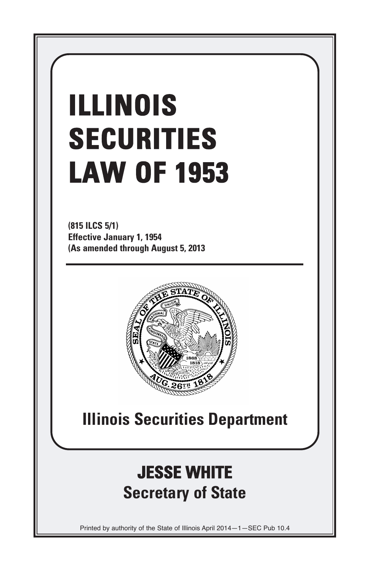# **ILLINOIS SECURITIES LAW OF 1953**

**(815 ILCS 5/1) Effective January 1, 1954 (As amended through August 5, 2013**



# **Illinois Securities Department**

# **JESSE WHITE Secretary of State**

Printed by authority of the State of Illinois April 2014—1—SEC Pub 10.4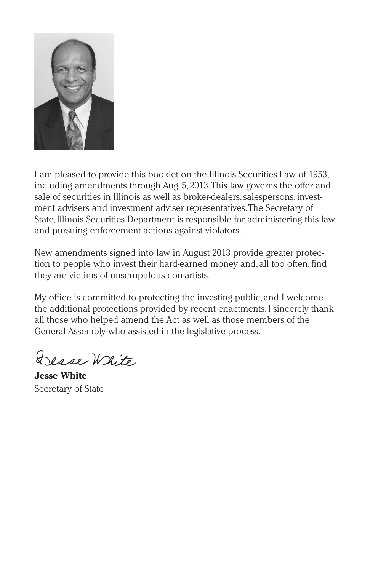

I am pleased to provide this booklet on the Illinois Securities Law of 1953, including amendments through Aug. 5, 2013.This law governs the offer and sale of securities in Illinois as well as broker-dealers,salespersons,investment advisers and investment adviser representatives.The Secretary of State,Illinois Securities Department is responsible for administering this law and pursuing enforcement actions against violators.

New amendments signed into law in August 2013 provide greater protection to people who invest their hard-earned money and, all too often,find they are victims of unscrupulous con-artists.

My office is committed to protecting the investing public, and I welcome the additional protections provided by recent enactments.I sincerely thank all those who helped amend the Act as well as those members of the General Assembly who assisted in the legislative process.

Desse White

**Jesse White** Secretary of State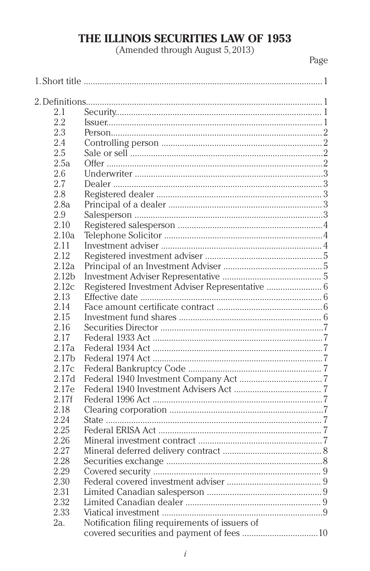## THE ILLINOIS SECURITIES LAW OF 1953

(Amended through August 5, 2013)

Page

| 2.1               |                                                 |  |  |
|-------------------|-------------------------------------------------|--|--|
| 2.2               |                                                 |  |  |
| 2.3               |                                                 |  |  |
| 2.4               |                                                 |  |  |
| 2.5               |                                                 |  |  |
| 2.5a              |                                                 |  |  |
| 2.6               |                                                 |  |  |
| 2.7               |                                                 |  |  |
| 2.8               |                                                 |  |  |
| 2.8a              |                                                 |  |  |
| 2.9               |                                                 |  |  |
| 2.10              |                                                 |  |  |
| 2.10a             |                                                 |  |  |
| 2.11              |                                                 |  |  |
| 2.12              |                                                 |  |  |
| 2.12a             |                                                 |  |  |
| 2.12 <sub>b</sub> |                                                 |  |  |
| 2.12c             | Registered Investment Adviser Representative  6 |  |  |
| 2.13              |                                                 |  |  |
| 2.14              |                                                 |  |  |
| 2.15              |                                                 |  |  |
| 2.16              |                                                 |  |  |
| 2.17              |                                                 |  |  |
| 2.17a             |                                                 |  |  |
| 2.17b             |                                                 |  |  |
| 2.17c             |                                                 |  |  |
| 2.17d             |                                                 |  |  |
| 2.17e             |                                                 |  |  |
| 2.17f             |                                                 |  |  |
| 2.18              |                                                 |  |  |
| 2.24              |                                                 |  |  |
| 2.25              |                                                 |  |  |
| 2.26              |                                                 |  |  |
| 2.27              |                                                 |  |  |
| 2.28              |                                                 |  |  |
| 2.29              |                                                 |  |  |
| 2.30              |                                                 |  |  |
| 2.31              |                                                 |  |  |
| 2.32              |                                                 |  |  |
| 2.33              |                                                 |  |  |
| 2a.               | Notification filing requirements of issuers of  |  |  |
|                   |                                                 |  |  |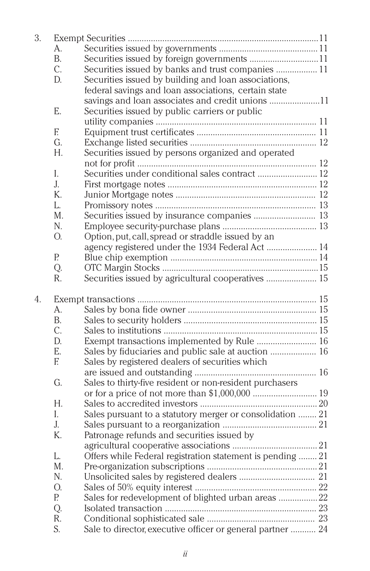| 3. |                |                                                            |  |
|----|----------------|------------------------------------------------------------|--|
|    | А.             |                                                            |  |
|    | <b>B.</b>      |                                                            |  |
|    | C.             | Securities issued by banks and trust companies  11         |  |
|    | D.             | Securities issued by building and loan associations,       |  |
|    |                | federal savings and loan associations, certain state       |  |
|    |                | savings and loan associates and credit unions 11           |  |
|    | E.             | Securities issued by public carriers or public             |  |
|    |                |                                                            |  |
|    | E              |                                                            |  |
|    | G.             |                                                            |  |
|    | Н.             | Securities issued by persons organized and operated        |  |
|    |                |                                                            |  |
|    | L              | Securities under conditional sales contract  12            |  |
|    | $\mathbf{J}$ . |                                                            |  |
|    | K.             |                                                            |  |
|    | L.             |                                                            |  |
|    | M.             |                                                            |  |
|    |                | Securities issued by insurance companies  13               |  |
|    | N.             |                                                            |  |
|    | О.             | Option, put, call, spread or straddle issued by an         |  |
|    |                | agency registered under the 1934 Federal Act  14           |  |
|    | Р.             |                                                            |  |
|    | Q.             |                                                            |  |
|    | R.             | Securities issued by agricultural cooperatives  15         |  |
| 4. |                |                                                            |  |
|    | A.             |                                                            |  |
|    | <b>B.</b>      |                                                            |  |
|    | C.             |                                                            |  |
|    | D.             | Exempt transactions implemented by Rule  16                |  |
|    | E.             | Sales by fiduciaries and public sale at auction  16        |  |
|    | E              | Sales by registered dealers of securities which            |  |
|    |                |                                                            |  |
|    | G.             | Sales to thirty-five resident or non-resident purchasers   |  |
|    |                |                                                            |  |
|    | Н.             |                                                            |  |
|    | I.             | Sales pursuant to a statutory merger or consolidation  21  |  |
|    | J.             |                                                            |  |
|    | K.             | Patronage refunds and securities issued by                 |  |
|    |                |                                                            |  |
|    | L.             | Offers while Federal registration statement is pending  21 |  |
|    | M.             |                                                            |  |
|    |                |                                                            |  |
|    | N.             |                                                            |  |
|    | О.             |                                                            |  |
|    | P.             | Sales for redevelopment of blighted urban areas 22         |  |
|    | Q.             |                                                            |  |
|    |                |                                                            |  |
|    | R.<br>S.       | Sale to director, executive officer or general partner  24 |  |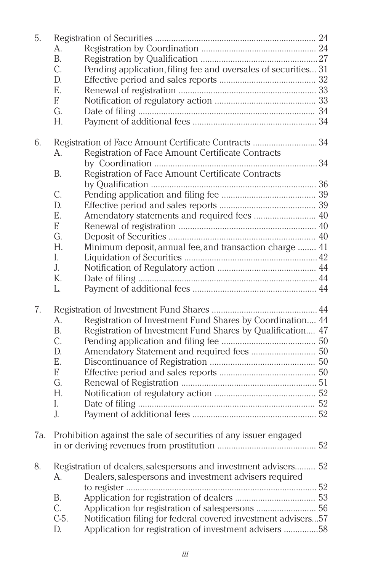| 5.  |                |                                                                  |  |  |
|-----|----------------|------------------------------------------------------------------|--|--|
|     | А.             |                                                                  |  |  |
|     | B.             |                                                                  |  |  |
|     | C.             | Pending application, filing fee and oversales of securities 31   |  |  |
|     | D.             |                                                                  |  |  |
|     | E.             |                                                                  |  |  |
|     | E              |                                                                  |  |  |
|     | G.             |                                                                  |  |  |
|     | Н.             |                                                                  |  |  |
|     |                |                                                                  |  |  |
| 6.  |                | Registration of Face Amount Certificate Contracts 34             |  |  |
|     | А.             | Registration of Face Amount Certificate Contracts                |  |  |
|     |                |                                                                  |  |  |
|     | В.             | Registration of Face Amount Certificate Contracts                |  |  |
|     |                |                                                                  |  |  |
|     | C.             |                                                                  |  |  |
|     | D.             |                                                                  |  |  |
|     | Е.             | Amendatory statements and required fees  40                      |  |  |
|     | E              |                                                                  |  |  |
|     | G.             |                                                                  |  |  |
|     | Н.             | Minimum deposit, annual fee, and transaction charge  41          |  |  |
|     | I.             |                                                                  |  |  |
|     | $\mathbf{J}$ . |                                                                  |  |  |
|     | K.             |                                                                  |  |  |
|     | L.             |                                                                  |  |  |
|     |                |                                                                  |  |  |
| 7.  |                |                                                                  |  |  |
|     | А.             | Registration of Investment Fund Shares by Coordination 44        |  |  |
|     | B.             | Registration of Investment Fund Shares by Qualification 47       |  |  |
|     | C.             |                                                                  |  |  |
|     | D.             |                                                                  |  |  |
|     | E.             |                                                                  |  |  |
|     | E              |                                                                  |  |  |
|     | G.             |                                                                  |  |  |
|     | Н.             |                                                                  |  |  |
|     | I.             |                                                                  |  |  |
|     | J.             |                                                                  |  |  |
|     |                |                                                                  |  |  |
| 7a. |                | Prohibition against the sale of securities of any issuer engaged |  |  |
|     |                |                                                                  |  |  |
|     |                |                                                                  |  |  |
| 8.  |                | Registration of dealers, salespersons and investment advisers 52 |  |  |
|     | А.             | Dealers, salespersons and investment advisers required           |  |  |
|     |                |                                                                  |  |  |
|     | В.             |                                                                  |  |  |
|     | C.             |                                                                  |  |  |
|     | C-5.           | Notification filing for federal covered investment advisers57    |  |  |
|     | D.             | Application for registration of investment advisers 58           |  |  |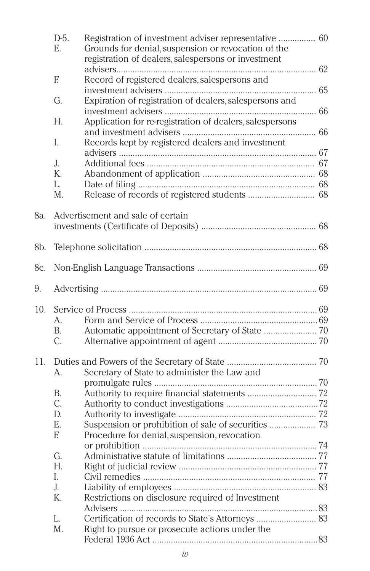|     | $D-5.$<br>E.    | Registration of investment adviser representative  60<br>Grounds for denial, suspension or revocation of the |  |
|-----|-----------------|--------------------------------------------------------------------------------------------------------------|--|
|     |                 | registration of dealers, salespersons or investment                                                          |  |
|     | E               | Record of registered dealers, salespersons and                                                               |  |
|     | G.              | Expiration of registration of dealers, salespersons and                                                      |  |
|     |                 |                                                                                                              |  |
|     | Н.              | Application for re-registration of dealers, salespersons                                                     |  |
|     |                 |                                                                                                              |  |
|     | L               | Records kept by registered dealers and investment                                                            |  |
|     |                 |                                                                                                              |  |
|     | $\mathbf{J}$ .  |                                                                                                              |  |
|     | $K_{\cdot}$     |                                                                                                              |  |
|     | L.<br>M.        |                                                                                                              |  |
|     |                 |                                                                                                              |  |
| 8a. |                 | Advertisement and sale of certain                                                                            |  |
|     |                 |                                                                                                              |  |
|     |                 |                                                                                                              |  |
| 8b. |                 |                                                                                                              |  |
| 8c. |                 |                                                                                                              |  |
|     |                 |                                                                                                              |  |
| 9.  |                 |                                                                                                              |  |
| 10. |                 |                                                                                                              |  |
|     | A.              |                                                                                                              |  |
|     | B.              |                                                                                                              |  |
|     | $\mathcal{C}$ . |                                                                                                              |  |
|     |                 |                                                                                                              |  |
| 11. |                 |                                                                                                              |  |
|     | $\mathsf{A}$ .  | Secretary of State to administer the Law and                                                                 |  |
|     |                 |                                                                                                              |  |
|     | В.<br>C.        | Authority to require financial statements  72                                                                |  |
|     | D.              |                                                                                                              |  |
|     | E.              |                                                                                                              |  |
|     | E               | Procedure for denial, suspension, revocation                                                                 |  |
|     |                 |                                                                                                              |  |
|     | G.              |                                                                                                              |  |
|     | H.              |                                                                                                              |  |
|     | L               |                                                                                                              |  |
|     | J.              |                                                                                                              |  |
|     | K.              | Restrictions on disclosure required of Investment                                                            |  |
|     |                 |                                                                                                              |  |
|     | L.              | Certification of records to State's Attorneys  83                                                            |  |
|     | M.              | Right to pursue or prosecute actions under the                                                               |  |
|     |                 |                                                                                                              |  |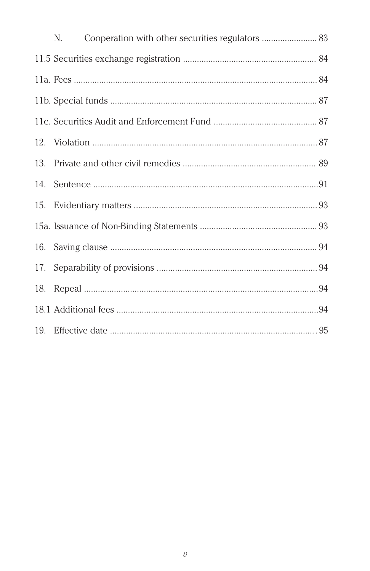|     | N. | Cooperation with other securities regulators  83 |
|-----|----|--------------------------------------------------|
|     |    |                                                  |
|     |    |                                                  |
|     |    |                                                  |
|     |    |                                                  |
|     |    |                                                  |
|     |    |                                                  |
|     |    |                                                  |
|     |    |                                                  |
|     |    |                                                  |
|     |    |                                                  |
|     |    |                                                  |
| 18. |    |                                                  |
|     |    |                                                  |
|     |    |                                                  |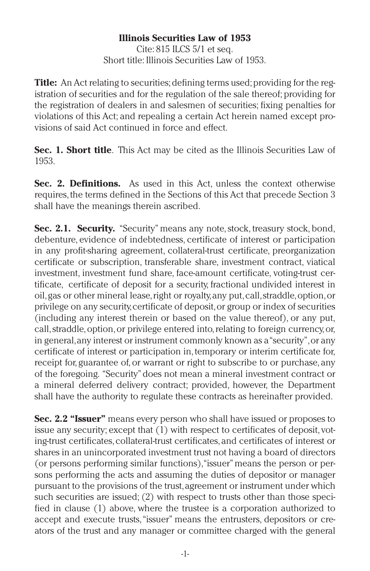### **Illinois Securities Law of 1953**

Cite: 815 ILCS 5/1 et seq. Short title: Illinois Securities Law of 1953.

**Title:** An Act relating to securities; defining terms used; providing for the registration of securities and for the regulation of the sale thereof; providing for the registration of dealers in and salesmen of securities; fixing penalties for violations of this Act; and repealing a certain Act herein named except provisions of said Act continued in force and effect.

**Sec. 1. Short title**. This Act may be cited as the Illinois Securities Law of 1953.

**Sec. 2. Definitions.** As used in this Act, unless the context otherwise requires, the terms defined in the Sections of this Act that precede Section 3 shall have the meanings therein ascribed.

**Sec. 2.1. Security.** "Security" means any note,stock, treasury stock, bond, debenture, evidence of indebtedness, certificate of interest or participation in any profit-sharing agreement, collateral-trust certificate, preorganization certificate or subscription, transferable share, investment contract, viatical investment, investment fund share, face-amount certificate, voting-trust certificate, certificate of deposit for a security, fractional undivided interest in oil,gas or other mineral lease,right or royalty,any put,call,straddle,option,or privilege on any security,certificate of deposit,or group or index of securities (including any interest therein or based on the value thereof), or any put, call,straddle,option,or privilege entered into,relating to foreign currency,or, in general,any interest or instrument commonly known as a"security",or any certificate of interest or participation in,temporary or interim certificate for, receipt for, guarantee of, or warrant or right to subscribe to or purchase, any of the foregoing. "Security"does not mean a mineral investment contract or a mineral deferred delivery contract; provided, however, the Department shall have the authority to regulate these contracts as hereinafter provided.

**Sec. 2.2 "Issuer"** means every person who shall have issued or proposes to issue any security; except that (1) with respect to certificates of deposit, voting-trust certificates,collateral-trust certificates,and certificates of interest or shares in an unincorporated investment trust not having a board of directors (or persons performing similar functions),"issuer"means the person or persons performing the acts and assuming the duties of depositor or manager pursuant to the provisions of the trust,agreement or instrument under which such securities are issued; (2) with respect to trusts other than those specified in clause (1) above, where the trustee is a corporation authorized to accept and execute trusts,"issuer" means the entrusters, depositors or creators of the trust and any manager or committee charged with the general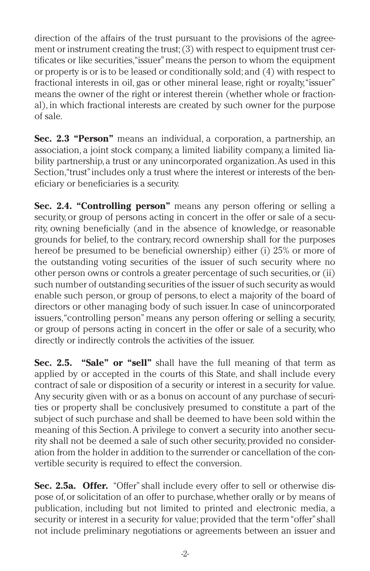direction of the affairs of the trust pursuant to the provisions of the agreement or instrument creating the trust; (3) with respect to equipment trust certificates or like securities,"issuer"means the person to whom the equipment or property is or is to be leased or conditionally sold; and (4) with respect to fractional interests in oil, gas or other mineral lease, right or royalty,"issuer" means the owner of the right or interest therein (whether whole or fractional), in which fractional interests are created by such owner for the purpose of sale.

**Sec. 2.3 "Person"** means an individual, a corporation, a partnership, an association, a joint stock company, a limited liability company, a limited liability partnership,a trust or any unincorporated organization.As used in this Section, "trust" includes only a trust where the interest or interests of the beneficiary or beneficiaries is a security.

**Sec. 2.4. "Controlling person"** means any person offering or selling a security, or group of persons acting in concert in the offer or sale of a security, owning beneficially (and in the absence of knowledge, or reasonable grounds for belief, to the contrary, record ownership shall for the purposes hereof be presumed to be beneficial ownership) either (i) 25% or more of the outstanding voting securities of the issuer of such security where no other person owns or controls a greater percentage of such securities,or (ii) such number of outstanding securities of the issuer of such security as would enable such person, or group of persons, to elect a majority of the board of directors or other managing body of such issuer. In case of unincorporated issuers,"controlling person" means any person offering or selling a security, or group of persons acting in concert in the offer or sale of a security, who directly or indirectly controls the activities of the issuer.

**Sec. 2.5. "Sale" or "sell"** shall have the full meaning of that term as applied by or accepted in the courts of this State, and shall include every contract of sale or disposition of a security or interest in a security for value. Any security given with or as a bonus on account of any purchase of securities or property shall be conclusively presumed to constitute a part of the subject of such purchase and shall be deemed to have been sold within the meaning of this Section.A privilege to convert a security into another security shall not be deemed a sale of such other security,provided no consideration from the holder in addition to the surrender or cancellation of the convertible security is required to effect the conversion.

**Sec. 2.5a. Offer.** "Offer"shall include every offer to sell or otherwise dispose of,or solicitation of an offer to purchase,whether orally or by means of publication, including but not limited to printed and electronic media, a security or interest in a security for value; provided that the term"offer"shall not include preliminary negotiations or agreements between an issuer and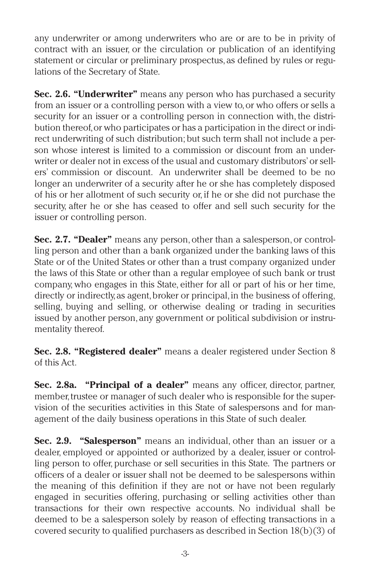any underwriter or among underwriters who are or are to be in privity of contract with an issuer, or the circulation or publication of an identifying statement or circular or preliminary prospectus, as defined by rules or regulations of the Secretary of State.

**Sec. 2.6. "Underwriter"** means any person who has purchased a security from an issuer or a controlling person with a view to,or who offers or sells a security for an issuer or a controlling person in connection with, the distribution thereof,or who participates or has a participation in the direct or indirect underwriting of such distribution; but such term shall not include a person whose interest is limited to a commission or discount from an underwriter or dealer not in excess of the usual and customary distributors'or sellers' commission or discount. An underwriter shall be deemed to be no longer an underwriter of a security after he or she has completely disposed of his or her allotment of such security or, if he or she did not purchase the security, after he or she has ceased to offer and sell such security for the issuer or controlling person.

**Sec. 2.7. "Dealer"** means any person, other than a salesperson, or controlling person and other than a bank organized under the banking laws of this State or of the United States or other than a trust company organized under the laws of this State or other than a regular employee of such bank or trust company, who engages in this State, either for all or part of his or her time, directly or indirectly, as agent, broker or principal, in the business of offering, selling, buying and selling, or otherwise dealing or trading in securities issued by another person, any government or political subdivision or instrumentality thereof.

**Sec. 2.8. "Registered dealer"** means a dealer registered under Section 8 of this Act.

**Sec. 2.8a. "Principal of a dealer"** means any officer, director, partner, member, trustee or manager of such dealer who is responsible for the supervision of the securities activities in this State of salespersons and for management of the daily business operations in this State of such dealer.

**Sec. 2.9. "Salesperson"** means an individual, other than an issuer or a dealer, employed or appointed or authorized by a dealer, issuer or controlling person to offer, purchase or sell securities in this State. The partners or officers of a dealer or issuer shall not be deemed to be salespersons within the meaning of this definition if they are not or have not been regularly engaged in securities offering, purchasing or selling activities other than transactions for their own respective accounts. No individual shall be deemed to be a salesperson solely by reason of effecting transactions in a covered security to qualified purchasers as described in Section 18(b)(3) of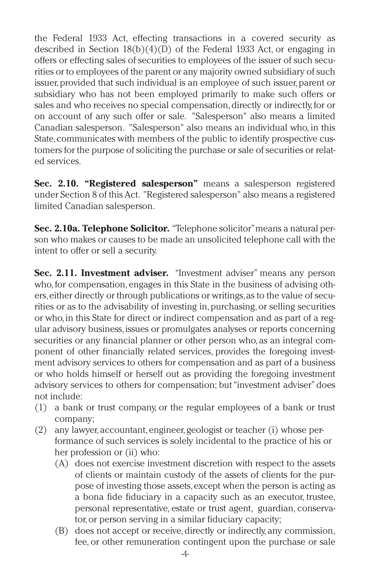the Federal 1933 Act, effecting transactions in a covered security as described in Section 18(b)(4)(D) of the Federal 1933 Act, or engaging in offers or effecting sales of securities to employees of the issuer of such securities or to employees of the parent or any majority owned subsidiary of such issuer, provided that such individual is an employee of such issuer, parent or subsidiary who has not been employed primarily to make such offers or sales and who receives no special compensation, directly or indirectly, for or on account of any such offer or sale. "Salesperson" also means a limited Canadian salesperson. "Salesperson" also means an individual who, in this State, communicates with members of the public to identify prospective customers for the purpose of soliciting the purchase or sale of securities or related services.

**Sec. 2.10. "Registered salesperson"** means a salesperson registered under Section 8 of this Act. "Registered salesperson" also means a registered limited Canadian salesperson.

**Sec. 2.10a. Telephone Solicitor.** "Telephone solicitor"means a natural person who makes or causes to be made an unsolicited telephone call with the intent to offer or sell a security.

**Sec. 2.11. Investment adviser.** "Investment adviser" means any person who, for compensation, engages in this State in the business of advising others,either directly or through publications or writings,as to the value of securities or as to the advisability of investing in, purchasing, or selling securities or who,in this State for direct or indirect compensation and as part of a regular advisory business,issues or promulgates analyses or reports concerning securities or any financial planner or other person who, as an integral component of other financially related services, provides the foregoing investment advisory services to others for compensation and as part of a business or who holds himself or herself out as providing the foregoing investment advisory services to others for compensation; but"investment adviser" does not include:

- (1) a bank or trust company, or the regular employees of a bank or trust company;
- (2) any lawyer, accountant, engineer, geologist or teacher (i) whose performance of such services is solely incidental to the practice of his or her profession or (ii) who:
	- (A) does not exercise investment discretion with respect to the assets of clients or maintain custody of the assets of clients for the purpose of investing those assets, except when the person is acting as a bona fide fiduciary in a capacity such as an executor, trustee, personal representative, estate or trust agent, guardian, conservator,or person serving in a similar fiduciary capacity;
	- (B) does not accept or receive, directly or indirectly, any commission, fee, or other remuneration contingent upon the purchase or sale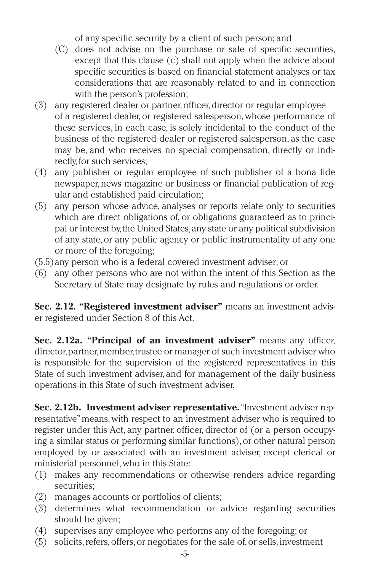of any specific security by a client of such person; and

- (C) does not advise on the purchase or sale of specific securities, except that this clause (c) shall not apply when the advice about specific securities is based on financial statement analyses or tax considerations that are reasonably related to and in connection with the person's profession;
- (3) any registered dealer or partner,officer,director or regular employee of a registered dealer, or registered salesperson,whose performance of these services, in each case, is solely incidental to the conduct of the business of the registered dealer or registered salesperson, as the case may be, and who receives no special compensation, directly or indirectly, for such services:
- (4) any publisher or regular employee of such publisher of a bona fide newspaper, news magazine or business or financial publication of regular and established paid circulation;
- (5) any person whose advice, analyses or reports relate only to securities which are direct obligations of, or obligations guaranteed as to principal or interest by,the United States,any state or any political subdivision of any state, or any public agency or public instrumentality of any one or more of the foregoing;
- (5.5)any person who is a federal covered investment adviser; or
- (6) any other persons who are not within the intent of this Section as the Secretary of State may designate by rules and regulations or order.

**Sec. 2.12. "Registered investment adviser"** means an investment adviser registered under Section 8 of this Act.

**Sec. 2.12a. "Principal of an investment adviser"** means any officer, director, partner, member, trustee or manager of such investment adviser who is responsible for the supervision of the registered representatives in this State of such investment adviser, and for management of the daily business operations in this State of such investment adviser.

**Sec. 2.12b. Investment adviser representative.**"Investment adviser representative"means,with respect to an investment adviser who is required to register under this Act, any partner, officer, director of (or a person occupying a similar status or performing similar functions), or other natural person employed by or associated with an investment adviser, except clerical or ministerial personnel,who in this State:

- (1) makes any recommendations or otherwise renders advice regarding securities;
- (2) manages accounts or portfolios of clients;
- (3) determines what recommendation or advice regarding securities should be given;
- (4) supervises any employee who performs any of the foregoing; or
- (5) solicits,refers,offers,or negotiates for the sale of,or sells,investment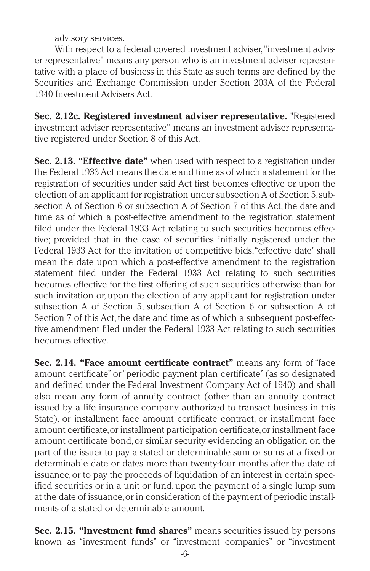advisory services.

With respect to a federal covered investment adviser, "investment adviser representative" means any person who is an investment adviser representative with a place of business in this State as such terms are defined by the Securities and Exchange Commission under Section 203A of the Federal 1940 Investment Advisers Act.

**Sec. 2.12c. Registered investment adviser representative.** "Registered investment adviser representative" means an investment adviser representative registered under Section 8 of this Act.

**Sec. 2.13. "Effective date"** when used with respect to a registration under the Federal 1933 Act means the date and time as of which a statement for the registration of securities under said Act first becomes effective or, upon the election of an applicant for registration under subsection A of Section 5,subsection A of Section 6 or subsection A of Section 7 of this Act, the date and time as of which a post-effective amendment to the registration statement filed under the Federal 1933 Act relating to such securities becomes effective; provided that in the case of securities initially registered under the Federal 1933 Act for the invitation of competitive bids, "effective date" shall mean the date upon which a post-effective amendment to the registration statement filed under the Federal 1933 Act relating to such securities becomes effective for the first offering of such securities otherwise than for such invitation or, upon the election of any applicant for registration under subsection A of Section 5, subsection A of Section 6 or subsection A of Section 7 of this Act, the date and time as of which a subsequent post-effective amendment filed under the Federal 1933 Act relating to such securities becomes effective.

**Sec. 2.14. "Face amount certificate contract"** means any form of"face amount certificate"or"periodic payment plan certificate" (as so designated and defined under the Federal Investment Company Act of 1940) and shall also mean any form of annuity contract (other than an annuity contract issued by a life insurance company authorized to transact business in this State), or installment face amount certificate contract, or installment face amount certificate,or installment participation certificate,or installment face amount certificate bond,or similar security evidencing an obligation on the part of the issuer to pay a stated or determinable sum or sums at a fixed or determinable date or dates more than twenty-four months after the date of issuance,or to pay the proceeds of liquidation of an interest in certain specified securities or in a unit or fund, upon the payment of a single lump sum at the date of issuance,or in consideration of the payment of periodic installments of a stated or determinable amount.

**Sec. 2.15. "Investment fund shares"** means securities issued by persons known as "investment funds" or "investment companies" or "investment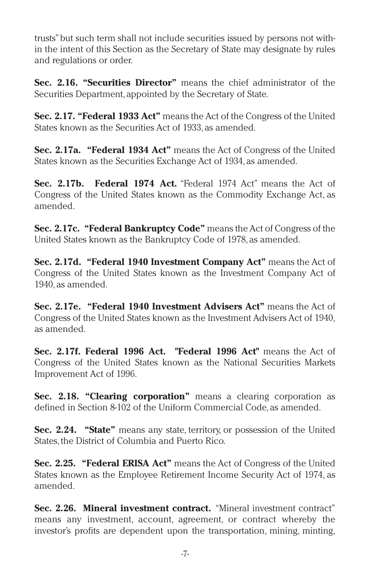trusts"but such term shall not include securities issued by persons not within the intent of this Section as the Secretary of State may designate by rules and regulations or order.

**Sec. 2.16. "Securities Director"** means the chief administrator of the Securities Department, appointed by the Secretary of State.

**Sec. 2.17. "Federal 1933 Act"** means the Act of the Congress of the United States known as the Securities Act of 1933, as amended.

**Sec. 2.17a. "Federal 1934 Act"** means the Act of Congress of the United States known as the Securities Exchange Act of 1934, as amended.

**Sec. 2.17b. Federal 1974 Act.** "Federal 1974 Act" means the Act of Congress of the United States known as the Commodity Exchange Act, as amended.

**Sec. 2.17c. "Federal Bankruptcy Code"** means the Act of Congress of the United States known as the Bankruptcy Code of 1978, as amended.

**Sec. 2.17d. "Federal 1940 Investment Company Act"** means the Act of Congress of the United States known as the Investment Company Act of 1940, as amended.

**Sec. 2.17e. "Federal 1940 Investment Advisers Act"** means the Act of Congress of the United States known as the Investment Advisers Act of 1940, as amended.

**Sec. 2.17f. Federal 1996 Act. "Federal 1996 Act"** means the Act of Congress of the United States known as the National Securities Markets Improvement Act of 1996.

**Sec. 2.18. "Clearing corporation"** means a clearing corporation as defined in Section 8-102 of the Uniform Commercial Code, as amended.

**Sec. 2.24. "State"** means any state, territory, or possession of the United States, the District of Columbia and Puerto Rico.

**Sec. 2.25. "Federal ERISA Act"** means the Act of Congress of the United States known as the Employee Retirement Income Security Act of 1974, as amended.

**Sec. 2.26. Mineral investment contract.** "Mineral investment contract" means any investment, account, agreement, or contract whereby the investor's profits are dependent upon the transportation, mining, minting,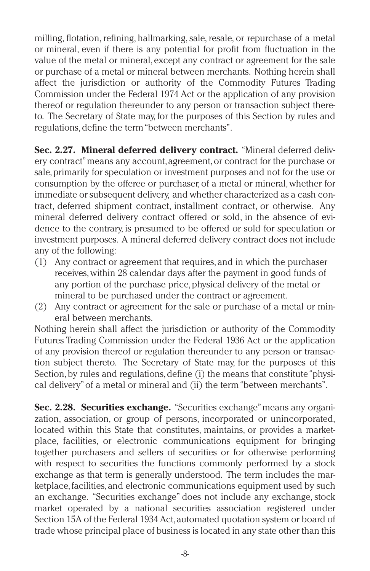milling, flotation, refining, hallmarking,sale, resale, or repurchase of a metal or mineral, even if there is any potential for profit from fluctuation in the value of the metal or mineral, except any contract or agreement for the sale or purchase of a metal or mineral between merchants. Nothing herein shall affect the jurisdiction or authority of the Commodity Futures Trading Commission under the Federal 1974 Act or the application of any provision thereof or regulation thereunder to any person or transaction subject thereto. The Secretary of State may, for the purposes of this Section by rules and regulations, define the term "between merchants".

**Sec. 2.27. Mineral deferred delivery contract.** "Mineral deferred delivery contract"means any account,agreement,or contract for the purchase or sale,primarily for speculation or investment purposes and not for the use or consumption by the offeree or purchaser,of a metal or mineral,whether for immediate or subsequent delivery, and whether characterized as a cash contract, deferred shipment contract, installment contract, or otherwise. Any mineral deferred delivery contract offered or sold, in the absence of evidence to the contrary, is presumed to be offered or sold for speculation or investment purposes. A mineral deferred delivery contract does not include any of the following:

- (1) Any contract or agreement that requires, and in which the purchaser receives,within 28 calendar days after the payment in good funds of any portion of the purchase price, physical delivery of the metal or mineral to be purchased under the contract or agreement.
- (2) Any contract or agreement for the sale or purchase of a metal or mineral between merchants.

Nothing herein shall affect the jurisdiction or authority of the Commodity Futures Trading Commission under the Federal 1936 Act or the application of any provision thereof or regulation thereunder to any person or transaction subject thereto. The Secretary of State may, for the purposes of this Section, by rules and regulations, define (i) the means that constitute "physical delivery"of a metal or mineral and (ii) the term"between merchants".

**Sec. 2.28. Securities exchange.** "Securities exchange"means any organization, association, or group of persons, incorporated or unincorporated, located within this State that constitutes, maintains, or provides a marketplace, facilities, or electronic communications equipment for bringing together purchasers and sellers of securities or for otherwise performing with respect to securities the functions commonly performed by a stock exchange as that term is generally understood. The term includes the marketplace, facilities, and electronic communications equipment used by such an exchange. "Securities exchange" does not include any exchange, stock market operated by a national securities association registered under Section 15A of the Federal 1934 Act, automated quotation system or board of trade whose principal place of business is located in any state other than this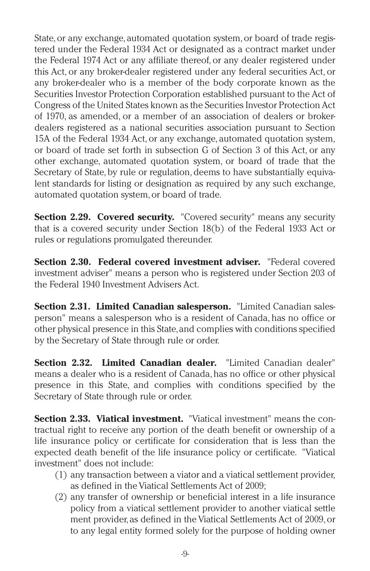State, or any exchange, automated quotation system, or board of trade registered under the Federal 1934 Act or designated as a contract market under the Federal 1974 Act or any affiliate thereof, or any dealer registered under this Act, or any broker-dealer registered under any federal securities Act, or any broker-dealer who is a member of the body corporate known as the Securities Investor Protection Corporation established pursuant to the Act of Congress of the United States known as the Securities Investor Protection Act of 1970, as amended, or a member of an association of dealers or brokerdealers registered as a national securities association pursuant to Section 15A of the Federal 1934 Act, or any exchange, automated quotation system, or board of trade set forth in subsection G of Section 3 of this Act, or any other exchange, automated quotation system, or board of trade that the Secretary of State, by rule or regulation, deems to have substantially equivalent standards for listing or designation as required by any such exchange, automated quotation system,or board of trade.

**Section 2.29. Covered security.** "Covered security" means any security that is a covered security under Section 18(b) of the Federal 1933 Act or rules or regulations promulgated thereunder.

**Section 2.30. Federal covered investment adviser.** "Federal covered investment adviser" means a person who is registered under Section 203 of the Federal 1940 Investment Advisers Act.

**Section 2.31. Limited Canadian salesperson.** "Limited Canadian salesperson" means a salesperson who is a resident of Canada, has no office or other physical presence in this State,and complies with conditions specified by the Secretary of State through rule or order.

**Section 2.32. Limited Canadian dealer.** "Limited Canadian dealer" means a dealer who is a resident of Canada,has no office or other physical presence in this State, and complies with conditions specified by the Secretary of State through rule or order.

**Section 2.33. Viatical investment.** "Viatical investment" means the contractual right to receive any portion of the death benefit or ownership of a life insurance policy or certificate for consideration that is less than the expected death benefit of the life insurance policy or certificate. "Viatical investment" does not include:

- (1) any transaction between a viator and a viatical settlement provider, as defined in the Viatical Settlements Act of 2009;
- (2) any transfer of ownership or beneficial interest in a life insurance policy from a viatical settlement provider to another viatical settle ment provider, as defined in the Viatical Settlements Act of 2009, or to any legal entity formed solely for the purpose of holding owner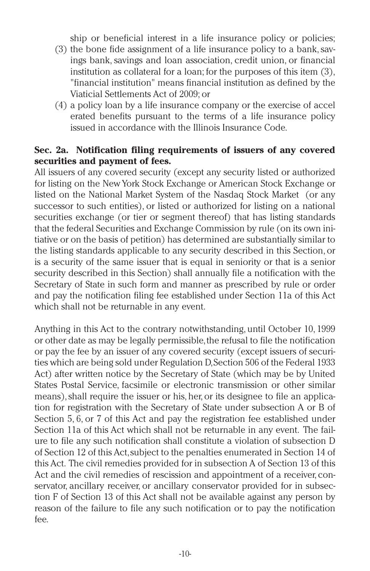ship or beneficial interest in a life insurance policy or policies;

- (3) the bone fide assignment of a life insurance policy to a bank,savings bank, savings and loan association, credit union, or financial institution as collateral for a loan; for the purposes of this item (3), "financial institution" means financial institution as defined by the Viaticial Settlements Act of 2009; or
- (4) a policy loan by a life insurance company or the exercise of accel erated benefits pursuant to the terms of a life insurance policy issued in accordance with the Illinois Insurance Code.

### **Sec. 2a. Notification filing requirements of issuers of any covered securities and payment of fees.**

All issuers of any covered security (except any security listed or authorized for listing on the New York Stock Exchange or American Stock Exchange or listed on the National Market System of the Nasdaq Stock Market (or any successor to such entities), or listed or authorized for listing on a national securities exchange (or tier or segment thereof) that has listing standards that the federal Securities and Exchange Commission by rule (on its own initiative or on the basis of petition) has determined are substantially similar to the listing standards applicable to any security described in this Section, or is a security of the same issuer that is equal in seniority or that is a senior security described in this Section) shall annually file a notification with the Secretary of State in such form and manner as prescribed by rule or order and pay the notification filing fee established under Section 11a of this Act which shall not be returnable in any event.

Anything in this Act to the contrary notwithstanding, until October 10, 1999 or other date as may be legally permissible,the refusal to file the notification or pay the fee by an issuer of any covered security (except issuers of securities which are being sold under Regulation D,Section 506 of the Federal 1933 Act) after written notice by the Secretary of State (which may be by United States Postal Service, facsimile or electronic transmission or other similar means), shall require the issuer or his, her, or its designee to file an application for registration with the Secretary of State under subsection A or B of Section 5, 6, or 7 of this Act and pay the registration fee established under Section 11a of this Act which shall not be returnable in any event. The failure to file any such notification shall constitute a violation of subsection D of Section 12 of this Act,subject to the penalties enumerated in Section 14 of this Act. The civil remedies provided for in subsection A of Section 13 of this Act and the civil remedies of rescission and appointment of a receiver, conservator, ancillary receiver, or ancillary conservator provided for in subsection F of Section 13 of this Act shall not be available against any person by reason of the failure to file any such notification or to pay the notification fee.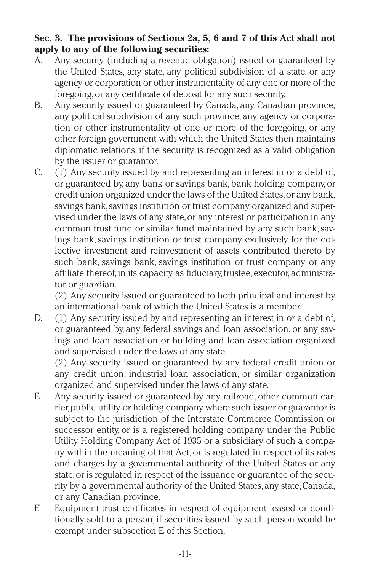## **Sec. 3. The provisions of Sections 2a, 5, 6 and 7 of this Act shall not apply to any of the following securities:**

- A. Any security (including a revenue obligation) issued or guaranteed by the United States, any state, any political subdivision of a state, or any agency or corporation or other instrumentality of any one or more of the foregoing,or any certificate of deposit for any such security.
- B. Any security issued or guaranteed by Canada, any Canadian province, any political subdivision of any such province, any agency or corporation or other instrumentality of one or more of the foregoing, or any other foreign government with which the United States then maintains diplomatic relations, if the security is recognized as a valid obligation by the issuer or guarantor.
- C. (1) Any security issued by and representing an interest in or a debt of, or guaranteed by, any bank or savings bank, bank holding company, or credit union organized under the laws of the United States,or any bank, savings bank,savings institution or trust company organized and supervised under the laws of any state,or any interest or participation in any common trust fund or similar fund maintained by any such bank, savings bank,savings institution or trust company exclusively for the collective investment and reinvestment of assets contributed thereto by such bank, savings bank, savings institution or trust company or any affiliate thereof, in its capacity as fiduciary, trustee, executor, administrator or guardian.

(2) Any security issued or guaranteed to both principal and interest by an international bank of which the United States is a member.

D. (1) Any security issued by and representing an interest in or a debt of, or guaranteed by, any federal savings and loan association, or any savings and loan association or building and loan association organized and supervised under the laws of any state.

(2) Any security issued or guaranteed by any federal credit union or any credit union, industrial loan association, or similar organization organized and supervised under the laws of any state.

- E. Any security issued or guaranteed by any railroad, other common carrier,public utility or holding company where such issuer or guarantor is subject to the jurisdiction of the Interstate Commerce Commission or successor entity, or is a registered holding company under the Public Utility Holding Company Act of 1935 or a subsidiary of such a company within the meaning of that Act, or is regulated in respect of its rates and charges by a governmental authority of the United States or any state,or is regulated in respect of the issuance or guarantee of the security by a governmental authority of the United States,any state,Canada, or any Canadian province.
- F. Equipment trust certificates in respect of equipment leased or conditionally sold to a person, if securities issued by such person would be exempt under subsection E of this Section.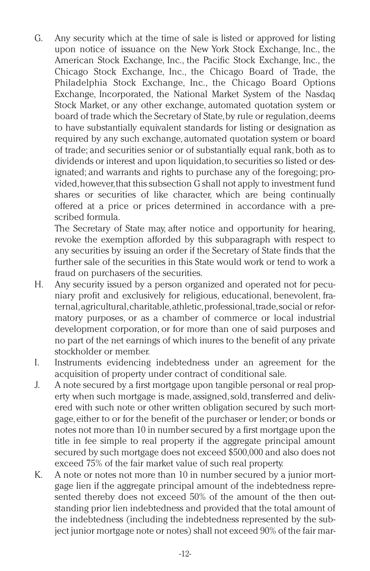G. Any security which at the time of sale is listed or approved for listing upon notice of issuance on the New York Stock Exchange, Inc., the American Stock Exchange, Inc., the Pacific Stock Exchange, Inc., the Chicago Stock Exchange, Inc., the Chicago Board of Trade, the Philadelphia Stock Exchange, Inc., the Chicago Board Options Exchange, Incorporated, the National Market System of the Nasdaq Stock Market, or any other exchange, automated quotation system or board of trade which the Secretary of State, by rule or regulation, deems to have substantially equivalent standards for listing or designation as required by any such exchange, automated quotation system or board of trade; and securities senior or of substantially equal rank,both as to dividends or interest and upon liquidation,to securities so listed or designated; and warrants and rights to purchase any of the foregoing; provided,however,that this subsection G shall not apply to investment fund shares or securities of like character, which are being continually offered at a price or prices determined in accordance with a prescribed formula.

The Secretary of State may, after notice and opportunity for hearing, revoke the exemption afforded by this subparagraph with respect to any securities by issuing an order if the Secretary of State finds that the further sale of the securities in this State would work or tend to work a fraud on purchasers of the securities.

- H. Any security issued by a person organized and operated not for pecuniary profit and exclusively for religious, educational, benevolent, fraternal,agricultural,charitable,athletic,professional,trade,social or reformatory purposes, or as a chamber of commerce or local industrial development corporation, or for more than one of said purposes and no part of the net earnings of which inures to the benefit of any private stockholder or member.
- I. Instruments evidencing indebtedness under an agreement for the acquisition of property under contract of conditional sale.
- J. A note secured by a first mortgage upon tangible personal or real property when such mortgage is made, assigned, sold, transferred and delivered with such note or other written obligation secured by such mortgage,either to or for the benefit of the purchaser or lender; or bonds or notes not more than 10 in number secured by a first mortgage upon the title in fee simple to real property if the aggregate principal amount secured by such mortgage does not exceed \$500,000 and also does not exceed 75% of the fair market value of such real property.
- K. A note or notes not more than 10 in number secured by a junior mortgage lien if the aggregate principal amount of the indebtedness represented thereby does not exceed 50% of the amount of the then outstanding prior lien indebtedness and provided that the total amount of the indebtedness (including the indebtedness represented by the subject junior mortgage note or notes) shall not exceed 90% of the fair mar-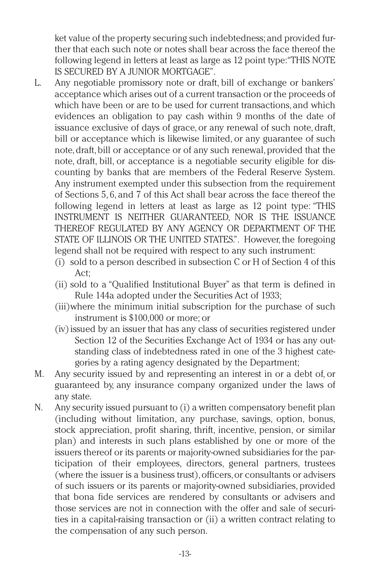ket value of the property securing such indebtedness; and provided further that each such note or notes shall bear across the face thereof the following legend in letters at least as large as 12 point type:"THIS NOTE IS SECURED BY A JUNIOR MORTGAGE".

- L. Any negotiable promissory note or draft, bill of exchange or bankers' acceptance which arises out of a current transaction or the proceeds of which have been or are to be used for current transactions, and which evidences an obligation to pay cash within 9 months of the date of issuance exclusive of days of grace, or any renewal of such note, draft, bill or acceptance which is likewise limited, or any guarantee of such note, draft, bill or acceptance or of any such renewal, provided that the note, draft, bill, or acceptance is a negotiable security eligible for discounting by banks that are members of the Federal Reserve System. Any instrument exempted under this subsection from the requirement of Sections 5, 6, and 7 of this Act shall bear across the face thereof the following legend in letters at least as large as 12 point type: "THIS INSTRUMENT IS NEITHER GUARANTEED, NOR IS THE ISSUANCE THEREOF REGULATED BY ANY AGENCY OR DEPARTMENT OF THE STATE OF ILLINOIS OR THE UNITED STATES.". However, the foregoing legend shall not be required with respect to any such instrument:
	- (i) sold to a person described in subsection C or H of Section 4 of this Act;
	- (ii) sold to a "Qualified Institutional Buyer" as that term is defined in Rule 144a adopted under the Securities Act of 1933;
	- (iii)where the minimum initial subscription for the purchase of such instrument is \$100,000 or more; or
	- (iv) issued by an issuer that has any class of securities registered under Section 12 of the Securities Exchange Act of 1934 or has any outstanding class of indebtedness rated in one of the 3 highest categories by a rating agency designated by the Department;
- M. Any security issued by and representing an interest in or a debt of, or guaranteed by, any insurance company organized under the laws of any state.
- N. Any security issued pursuant to (i) a written compensatory benefit plan (including without limitation, any purchase, savings, option, bonus, stock appreciation, profit sharing, thrift, incentive, pension, or similar plan) and interests in such plans established by one or more of the issuers thereof or its parents or majority-owned subsidiaries for the participation of their employees, directors, general partners, trustees (where the issuer is a business trust), officers, or consultants or advisers of such issuers or its parents or majority-owned subsidiaries, provided that bona fide services are rendered by consultants or advisers and those services are not in connection with the offer and sale of securities in a capital-raising transaction or (ii) a written contract relating to the compensation of any such person.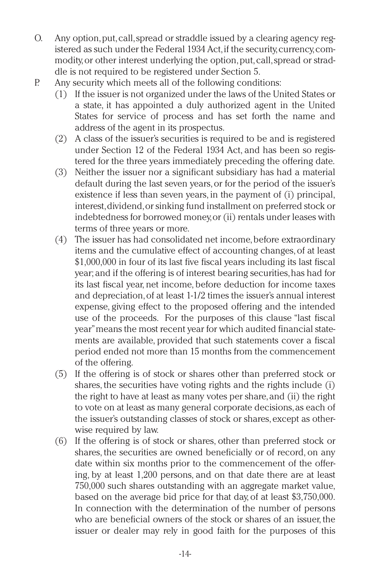- O. Any option,put,call,spread or straddle issued by a clearing agency registered as such under the Federal 1934 Act, if the security, currency, commodity,or other interest underlying the option,put,call,spread or straddle is not required to be registered under Section 5.
- P. Any security which meets all of the following conditions:
	- (1) If the issuer is not organized under the laws of the United States or a state, it has appointed a duly authorized agent in the United States for service of process and has set forth the name and address of the agent in its prospectus.
	- (2) A class of the issuer's securities is required to be and is registered under Section 12 of the Federal 1934 Act, and has been so registered for the three years immediately preceding the offering date.
	- (3) Neither the issuer nor a significant subsidiary has had a material default during the last seven years,or for the period of the issuer's existence if less than seven years, in the payment of (i) principal, interest,dividend,or sinking fund installment on preferred stock or indebtedness for borrowed money,or (ii) rentals under leases with terms of three years or more.
	- (4) The issuer has had consolidated net income,before extraordinary items and the cumulative effect of accounting changes,of at least \$1,000,000 in four of its last five fiscal years including its last fiscal year; and if the offering is of interest bearing securities,has had for its last fiscal year, net income, before deduction for income taxes and depreciation,of at least 1-1/2 times the issuer's annual interest expense, giving effect to the proposed offering and the intended use of the proceeds. For the purposes of this clause "last fiscal year"means the most recent year for which audited financial statements are available, provided that such statements cover a fiscal period ended not more than 15 months from the commencement of the offering.
	- (5) If the offering is of stock or shares other than preferred stock or shares, the securities have voting rights and the rights include (i) the right to have at least as many votes per share,and (ii) the right to vote on at least as many general corporate decisions,as each of the issuer's outstanding classes of stock or shares, except as otherwise required by law.
	- (6) If the offering is of stock or shares, other than preferred stock or shares, the securities are owned beneficially or of record, on any date within six months prior to the commencement of the offering, by at least 1,200 persons, and on that date there are at least 750,000 such shares outstanding with an aggregate market value, based on the average bid price for that day, of at least \$3,750,000. In connection with the determination of the number of persons who are beneficial owners of the stock or shares of an issuer, the issuer or dealer may rely in good faith for the purposes of this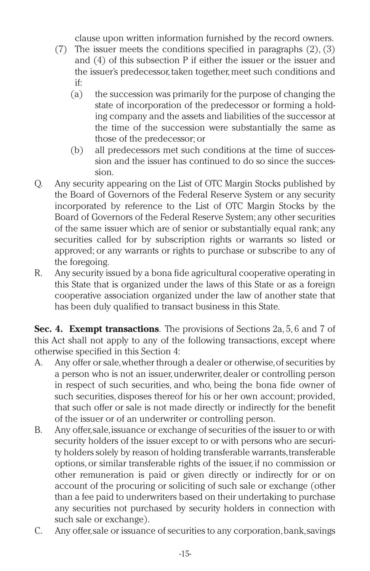clause upon written information furnished by the record owners.

- (7) The issuer meets the conditions specified in paragraphs (2), (3) and (4) of this subsection P if either the issuer or the issuer and the issuer's predecessor, taken together, meet such conditions and if:
	- (a) the succession was primarily for the purpose of changing the state of incorporation of the predecessor or forming a holding company and the assets and liabilities of the successor at the time of the succession were substantially the same as those of the predecessor; or
	- (b) all predecessors met such conditions at the time of succession and the issuer has continued to do so since the succession.
- Q. Any security appearing on the List of OTC Margin Stocks published by the Board of Governors of the Federal Reserve System or any security incorporated by reference to the List of OTC Margin Stocks by the Board of Governors of the Federal Reserve System; any other securities of the same issuer which are of senior or substantially equal rank; any securities called for by subscription rights or warrants so listed or approved; or any warrants or rights to purchase or subscribe to any of the foregoing.
- R. Any security issued by a bona fide agricultural cooperative operating in this State that is organized under the laws of this State or as a foreign cooperative association organized under the law of another state that has been duly qualified to transact business in this State.

**Sec. 4. Exempt transactions**. The provisions of Sections 2a, 5, 6 and 7 of this Act shall not apply to any of the following transactions, except where otherwise specified in this Section 4:

- A. Any offer or sale,whether through a dealer or otherwise,of securities by a person who is not an issuer, underwriter, dealer or controlling person in respect of such securities, and who, being the bona fide owner of such securities, disposes thereof for his or her own account; provided, that such offer or sale is not made directly or indirectly for the benefit of the issuer or of an underwriter or controlling person.
- B. Any offer,sale,issuance or exchange of securities of the issuer to or with security holders of the issuer except to or with persons who are security holders solely by reason of holding transferable warrants,transferable options, or similar transferable rights of the issuer, if no commission or other remuneration is paid or given directly or indirectly for or on account of the procuring or soliciting of such sale or exchange (other than a fee paid to underwriters based on their undertaking to purchase any securities not purchased by security holders in connection with such sale or exchange).
- C. Any offer,sale or issuance of securities to any corporation,bank,savings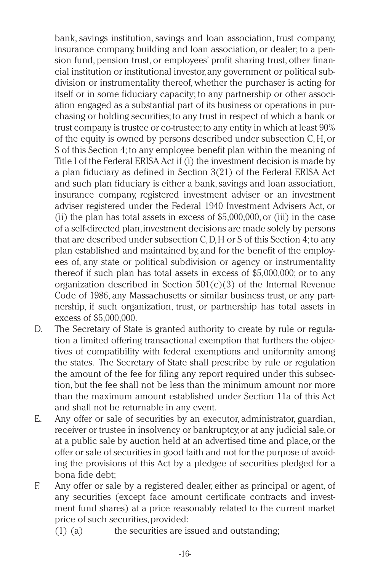bank, savings institution, savings and loan association, trust company, insurance company, building and loan association, or dealer; to a pension fund, pension trust, or employees' profit sharing trust, other financial institution or institutional investor,any government or political subdivision or instrumentality thereof, whether the purchaser is acting for itself or in some fiduciary capacity; to any partnership or other association engaged as a substantial part of its business or operations in purchasing or holding securities; to any trust in respect of which a bank or trust company is trustee or co-trustee;to any entity in which at least 90% of the equity is owned by persons described under subsection C,H, or S of this Section 4; to any employee benefit plan within the meaning of Title I of the Federal ERISA Act if (i) the investment decision is made by a plan fiduciary as defined in Section 3(21) of the Federal ERISA Act and such plan fiduciary is either a bank,savings and loan association, insurance company, registered investment adviser or an investment adviser registered under the Federal 1940 Investment Advisers Act, or (ii) the plan has total assets in excess of  $$5,000,000$ , or (iii) in the case of a self-directed plan,investment decisions are made solely by persons that are described under subsection C,D,H or S of this Section 4; to any plan established and maintained by, and for the benefit of the employees of, any state or political subdivision or agency or instrumentality thereof if such plan has total assets in excess of \$5,000,000; or to any organization described in Section  $501(c)(3)$  of the Internal Revenue Code of 1986, any Massachusetts or similar business trust, or any partnership, if such organization, trust, or partnership has total assets in excess of \$5,000,000.

- D. The Secretary of State is granted authority to create by rule or regulation a limited offering transactional exemption that furthers the objectives of compatibility with federal exemptions and uniformity among the states. The Secretary of State shall prescribe by rule or regulation the amount of the fee for filing any report required under this subsection, but the fee shall not be less than the minimum amount nor more than the maximum amount established under Section 11a of this Act and shall not be returnable in any event.
- E. Any offer or sale of securities by an executor, administrator, guardian, receiver or trustee in insolvency or bankruptcy,or at any judicial sale,or at a public sale by auction held at an advertised time and place,or the offer or sale of securities in good faith and not for the purpose of avoiding the provisions of this Act by a pledgee of securities pledged for a bona fide debt;
- F. Any offer or sale by a registered dealer, either as principal or agent, of any securities (except face amount certificate contracts and investment fund shares) at a price reasonably related to the current market price of such securities, provided:
	- (1) (a) the securities are issued and outstanding;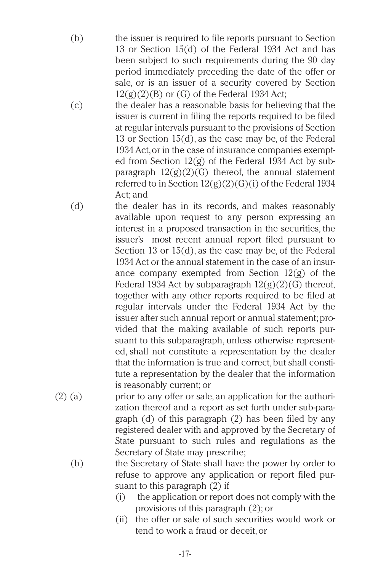- (b) the issuer is required to file reports pursuant to Section 13 or Section 15(d) of the Federal 1934 Act and has been subject to such requirements during the 90 day period immediately preceding the date of the offer or sale, or is an issuer of a security covered by Section  $12(g)(2)(B)$  or  $(G)$  of the Federal 1934 Act;
- (c) the dealer has a reasonable basis for believing that the issuer is current in filing the reports required to be filed at regular intervals pursuant to the provisions of Section 13 or Section 15(d), as the case may be, of the Federal 1934 Act,or in the case of insurance companies exempted from Section 12(g) of the Federal 1934 Act by subparagraph  $12(g)(2)(G)$  thereof, the annual statement referred to in Section  $12(g)(2)(G)(i)$  of the Federal 1934 Act; and
- (d) the dealer has in its records, and makes reasonably available upon request to any person expressing an interest in a proposed transaction in the securities, the issuer's most recent annual report filed pursuant to Section 13 or 15(d), as the case may be, of the Federal 1934 Act or the annual statement in the case of an insurance company exempted from Section  $12(g)$  of the Federal 1934 Act by subparagraph  $12(g)(2)(G)$  thereof, together with any other reports required to be filed at regular intervals under the Federal 1934 Act by the issuer after such annual report or annual statement; provided that the making available of such reports pursuant to this subparagraph, unless otherwise represented, shall not constitute a representation by the dealer that the information is true and correct,but shall constitute a representation by the dealer that the information is reasonably current; or
- (2) (a) prior to any offer or sale, an application for the authorization thereof and a report as set forth under sub-paragraph (d) of this paragraph (2) has been filed by any registered dealer with and approved by the Secretary of State pursuant to such rules and regulations as the Secretary of State may prescribe;
	- (b) the Secretary of State shall have the power by order to refuse to approve any application or report filed pursuant to this paragraph (2) if
		- (i) the application or report does not comply with the provisions of this paragraph (2); or
		- (ii) the offer or sale of such securities would work or tend to work a fraud or deceit,or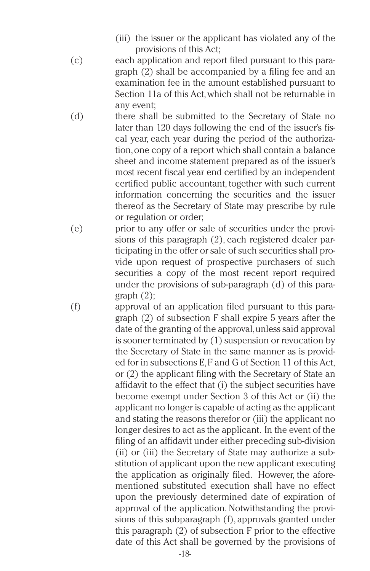- (iii) the issuer or the applicant has violated any of the provisions of this Act;
- (c) each application and report filed pursuant to this paragraph (2) shall be accompanied by a filing fee and an examination fee in the amount established pursuant to Section 11a of this Act,which shall not be returnable in any event;
- (d) there shall be submitted to the Secretary of State no later than 120 days following the end of the issuer's fiscal year, each year during the period of the authorization,one copy of a report which shall contain a balance sheet and income statement prepared as of the issuer's most recent fiscal year end certified by an independent certified public accountant, together with such current information concerning the securities and the issuer thereof as the Secretary of State may prescribe by rule or regulation or order;
- (e) prior to any offer or sale of securities under the provisions of this paragraph (2), each registered dealer participating in the offer or sale of such securities shall provide upon request of prospective purchasers of such securities a copy of the most recent report required under the provisions of sub-paragraph (d) of this paragraph (2);
- (f) approval of an application filed pursuant to this paragraph (2) of subsection F shall expire 5 years after the date of the granting of the approval,unless said approval is sooner terminated by (1) suspension or revocation by the Secretary of State in the same manner as is provided for in subsections E,F and G of Section 11 of this Act, or (2) the applicant filing with the Secretary of State an affidavit to the effect that (i) the subject securities have become exempt under Section 3 of this Act or (ii) the applicant no longer is capable of acting as the applicant and stating the reasons therefor or (iii) the applicant no longer desires to act as the applicant. In the event of the filing of an affidavit under either preceding sub-division (ii) or (iii) the Secretary of State may authorize a substitution of applicant upon the new applicant executing the application as originally filed. However, the aforementioned substituted execution shall have no effect upon the previously determined date of expiration of approval of the application. Notwithstanding the provisions of this subparagraph (f), approvals granted under this paragraph (2) of subsection F prior to the effective date of this Act shall be governed by the provisions of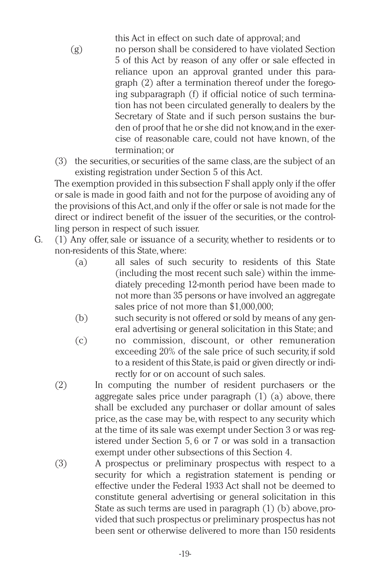this Act in effect on such date of approval; and

- (g) no person shall be considered to have violated Section 5 of this Act by reason of any offer or sale effected in reliance upon an approval granted under this paragraph (2) after a termination thereof under the foregoing subparagraph (f) if official notice of such termination has not been circulated generally to dealers by the Secretary of State and if such person sustains the burden of proof that he or she did not know,and in the exercise of reasonable care, could not have known, of the termination; or
- (3) the securities,or securities of the same class, are the subject of an existing registration under Section 5 of this Act.

The exemption provided in this subsection F shall apply only if the offer or sale is made in good faith and not for the purpose of avoiding any of the provisions of this Act,and only if the offer or sale is not made for the direct or indirect benefit of the issuer of the securities, or the controlling person in respect of such issuer.

- G. (1) Any offer,sale or issuance of a security, whether to residents or to non-residents of this State,where:
	- (a) all sales of such security to residents of this State (including the most recent such sale) within the immediately preceding 12-month period have been made to not more than 35 persons or have involved an aggregate sales price of not more than \$1,000,000;
	- (b) such security is not offered or sold by means of any general advertising or general solicitation in this State; and
	- (c) no commission, discount, or other remuneration exceeding 20% of the sale price of such security, if sold to a resident of this State,is paid or given directly or indirectly for or on account of such sales.
	- (2) In computing the number of resident purchasers or the aggregate sales price under paragraph (1) (a) above, there shall be excluded any purchaser or dollar amount of sales price, as the case may be,with respect to any security which at the time of its sale was exempt under Section 3 or was registered under Section 5, 6 or 7 or was sold in a transaction exempt under other subsections of this Section 4.
	- (3) A prospectus or preliminary prospectus with respect to a security for which a registration statement is pending or effective under the Federal 1933 Act shall not be deemed to constitute general advertising or general solicitation in this State as such terms are used in paragraph (1) (b) above, provided that such prospectus or preliminary prospectus has not been sent or otherwise delivered to more than 150 residents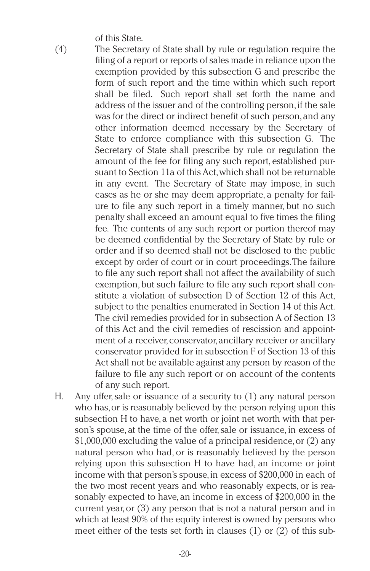of this State.

- (4) The Secretary of State shall by rule or regulation require the filing of a report or reports of sales made in reliance upon the exemption provided by this subsection G and prescribe the form of such report and the time within which such report shall be filed. Such report shall set forth the name and address of the issuer and of the controlling person, if the sale was for the direct or indirect benefit of such person,and any other information deemed necessary by the Secretary of State to enforce compliance with this subsection G. The Secretary of State shall prescribe by rule or regulation the amount of the fee for filing any such report, established pursuant to Section 11a of this Act,which shall not be returnable in any event. The Secretary of State may impose, in such cases as he or she may deem appropriate, a penalty for failure to file any such report in a timely manner, but no such penalty shall exceed an amount equal to five times the filing fee. The contents of any such report or portion thereof may be deemed confidential by the Secretary of State by rule or order and if so deemed shall not be disclosed to the public except by order of court or in court proceedings.The failure to file any such report shall not affect the availability of such exemption, but such failure to file any such report shall constitute a violation of subsection D of Section 12 of this Act, subject to the penalties enumerated in Section 14 of this Act. The civil remedies provided for in subsection A of Section 13 of this Act and the civil remedies of rescission and appointment of a receiver, conservator, ancillary receiver or ancillary conservator provided for in subsection F of Section 13 of this Act shall not be available against any person by reason of the failure to file any such report or on account of the contents of any such report.
- H. Any offer,sale or issuance of a security to (1) any natural person who has,or is reasonably believed by the person relying upon this subsection H to have, a net worth or joint net worth with that person's spouse, at the time of the offer,sale or issuance, in excess of \$1,000,000 excluding the value of a principal residence,or (2) any natural person who had, or is reasonably believed by the person relying upon this subsection H to have had, an income or joint income with that person's spouse,in excess of \$200,000 in each of the two most recent years and who reasonably expects, or is reasonably expected to have, an income in excess of \$200,000 in the current year, or (3) any person that is not a natural person and in which at least 90% of the equity interest is owned by persons who meet either of the tests set forth in clauses (1) or (2) of this sub-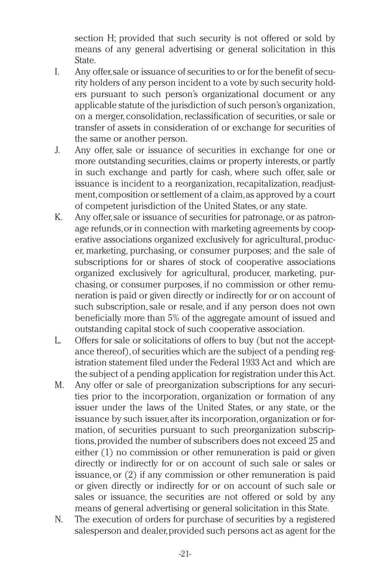section H; provided that such security is not offered or sold by means of any general advertising or general solicitation in this State.

- I. Any offer,sale or issuance of securities to or for the benefit of security holders of any person incident to a vote by such security holders pursuant to such person's organizational document or any applicable statute of the jurisdiction of such person's organization, on a merger, consolidation,reclassification of securities,or sale or transfer of assets in consideration of or exchange for securities of the same or another person.
- J. Any offer, sale or issuance of securities in exchange for one or more outstanding securities, claims or property interests, or partly in such exchange and partly for cash, where such offer, sale or issuance is incident to a reorganization, recapitalization, readiustment,composition or settlement of a claim,as approved by a court of competent jurisdiction of the United States,or any state.
- K. Any offer,sale or issuance of securities for patronage,or as patronage refunds,or in connection with marketing agreements by cooperative associations organized exclusively for agricultural, producer, marketing, purchasing, or consumer purposes; and the sale of subscriptions for or shares of stock of cooperative associations organized exclusively for agricultural, producer, marketing, purchasing, or consumer purposes, if no commission or other remuneration is paid or given directly or indirectly for or on account of such subscription, sale or resale, and if any person does not own beneficially more than 5% of the aggregate amount of issued and outstanding capital stock of such cooperative association.
- L. Offers for sale or solicitations of offers to buy (but not the acceptance thereof), of securities which are the subject of a pending registration statement filed under the Federal 1933 Act and which are the subject of a pending application for registration under this Act.
- M. Any offer or sale of preorganization subscriptions for any securities prior to the incorporation, organization or formation of any issuer under the laws of the United States, or any state, or the issuance by such issuer, after its incorporation, organization or formation, of securities pursuant to such preorganization subscriptions,provided the number of subscribers does not exceed 25 and either (1) no commission or other remuneration is paid or given directly or indirectly for or on account of such sale or sales or issuance, or (2) if any commission or other remuneration is paid or given directly or indirectly for or on account of such sale or sales or issuance, the securities are not offered or sold by any means of general advertising or general solicitation in this State.
- N. The execution of orders for purchase of securities by a registered salesperson and dealer,provided such persons act as agent for the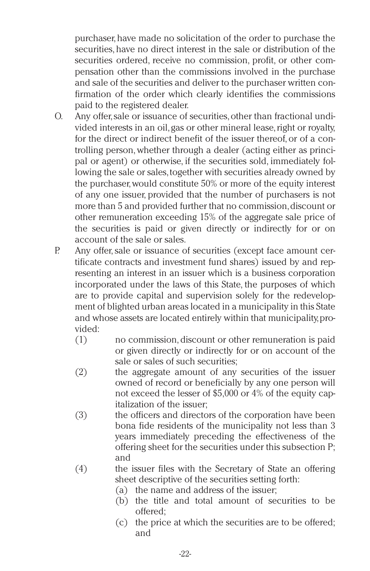purchaser, have made no solicitation of the order to purchase the securities, have no direct interest in the sale or distribution of the securities ordered, receive no commission, profit, or other compensation other than the commissions involved in the purchase and sale of the securities and deliver to the purchaser written confirmation of the order which clearly identifies the commissions paid to the registered dealer.

- O. Any offer,sale or issuance of securities,other than fractional undivided interests in an oil, gas or other mineral lease, right or royalty, for the direct or indirect benefit of the issuer thereof, or of a controlling person, whether through a dealer (acting either as principal or agent) or otherwise, if the securities sold, immediately following the sale or sales, together with securities already owned by the purchaser, would constitute 50% or more of the equity interest of any one issuer, provided that the number of purchasers is not more than 5 and provided further that no commission,discount or other remuneration exceeding 15% of the aggregate sale price of the securities is paid or given directly or indirectly for or on account of the sale or sales.
- P. Any offer, sale or issuance of securities (except face amount certificate contracts and investment fund shares) issued by and representing an interest in an issuer which is a business corporation incorporated under the laws of this State, the purposes of which are to provide capital and supervision solely for the redevelopment of blighted urban areas located in a municipality in this State and whose assets are located entirely within that municipality, provided:
	- (1) no commission,discount or other remuneration is paid or given directly or indirectly for or on account of the sale or sales of such securities;
	- (2) the aggregate amount of any securities of the issuer owned of record or beneficially by any one person will not exceed the lesser of \$5,000 or 4% of the equity capitalization of the issuer;
	- (3) the officers and directors of the corporation have been bona fide residents of the municipality not less than 3 years immediately preceding the effectiveness of the offering sheet for the securities under this subsection P; and
	- (4) the issuer files with the Secretary of State an offering sheet descriptive of the securities setting forth:
		- (a) the name and address of the issuer;
		- (b) the title and total amount of securities to be offered;
		- (c) the price at which the securities are to be offered; and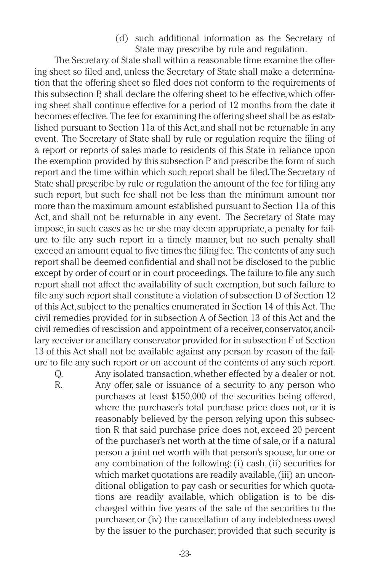(d) such additional information as the Secretary of State may prescribe by rule and regulation.

The Secretary of State shall within a reasonable time examine the offering sheet so filed and, unless the Secretary of State shall make a determination that the offering sheet so filed does not conform to the requirements of this subsection P, shall declare the offering sheet to be effective, which offering sheet shall continue effective for a period of 12 months from the date it becomes effective. The fee for examining the offering sheet shall be as established pursuant to Section 11a of this Act,and shall not be returnable in any event. The Secretary of State shall by rule or regulation require the filing of a report or reports of sales made to residents of this State in reliance upon the exemption provided by this subsection P and prescribe the form of such report and the time within which such report shall be filed.The Secretary of State shall prescribe by rule or regulation the amount of the fee for filing any such report, but such fee shall not be less than the minimum amount nor more than the maximum amount established pursuant to Section 11a of this Act, and shall not be returnable in any event. The Secretary of State may impose, in such cases as he or she may deem appropriate, a penalty for failure to file any such report in a timely manner, but no such penalty shall exceed an amount equal to five times the filing fee. The contents of any such report shall be deemed confidential and shall not be disclosed to the public except by order of court or in court proceedings. The failure to file any such report shall not affect the availability of such exemption, but such failure to file any such report shall constitute a violation of subsection D of Section 12 of this Act,subject to the penalties enumerated in Section 14 of this Act. The civil remedies provided for in subsection A of Section 13 of this Act and the civil remedies of rescission and appointment of a receiver,conservator,ancillary receiver or ancillary conservator provided for in subsection F of Section 13 of this Act shall not be available against any person by reason of the failure to file any such report or on account of the contents of any such report.

Q. Any isolated transaction,whether effected by a dealer or not.

R. Any offer, sale or issuance of a security to any person who purchases at least \$150,000 of the securities being offered, where the purchaser's total purchase price does not, or it is reasonably believed by the person relying upon this subsection R that said purchase price does not, exceed 20 percent of the purchaser's net worth at the time of sale,or if a natural person a joint net worth with that person's spouse,for one or any combination of the following: (i) cash, (ii) securities for which market quotations are readily available,(iii) an unconditional obligation to pay cash or securities for which quotations are readily available, which obligation is to be discharged within five years of the sale of the securities to the purchaser,or (iv) the cancellation of any indebtedness owed by the issuer to the purchaser; provided that such security is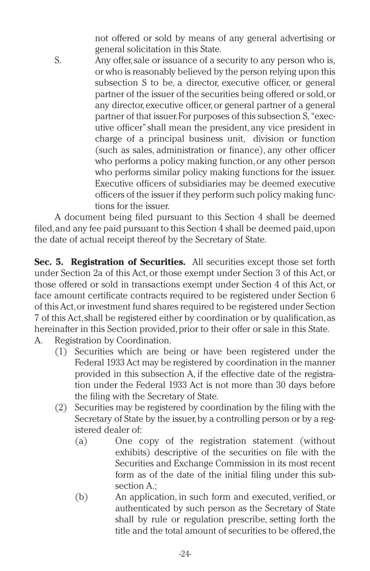not offered or sold by means of any general advertising or general solicitation in this State.

S. Any offer,sale or issuance of a security to any person who is, or who is reasonably believed by the person relying upon this subsection S to be, a director, executive officer, or general partner of the issuer of the securities being offered or sold,or any director, executive officer, or general partner of a general partner of that issuer.For purposes of this subsection S,"executive officer"shall mean the president, any vice president in charge of a principal business unit, division or function (such as sales, administration or finance), any other officer who performs a policy making function, or any other person who performs similar policy making functions for the issuer. Executive officers of subsidiaries may be deemed executive officers of the issuer if they perform such policy making functions for the issuer.

A document being filed pursuant to this Section 4 shall be deemed filed,and any fee paid pursuant to this Section 4 shall be deemed paid,upon the date of actual receipt thereof by the Secretary of State.

**Sec. 5. Registration of Securities.** All securities except those set forth under Section 2a of this Act, or those exempt under Section 3 of this Act, or those offered or sold in transactions exempt under Section 4 of this Act, or face amount certificate contracts required to be registered under Section 6 of this Act,or investment fund shares required to be registered under Section 7 of this Act,shall be registered either by coordination or by qualification,as hereinafter in this Section provided,prior to their offer or sale in this State.

- A. Registration by Coordination.
	- (1) Securities which are being or have been registered under the Federal 1933 Act may be registered by coordination in the manner provided in this subsection A, if the effective date of the registration under the Federal 1933 Act is not more than 30 days before the filing with the Secretary of State.
	- (2) Securities may be registered by coordination by the filing with the Secretary of State by the issuer, by a controlling person or by a registered dealer of:
		- (a) One copy of the registration statement (without exhibits) descriptive of the securities on file with the Securities and Exchange Commission in its most recent form as of the date of the initial filing under this subsection A.;
		- (b) An application, in such form and executed, verified, or authenticated by such person as the Secretary of State shall by rule or regulation prescribe, setting forth the title and the total amount of securities to be offered, the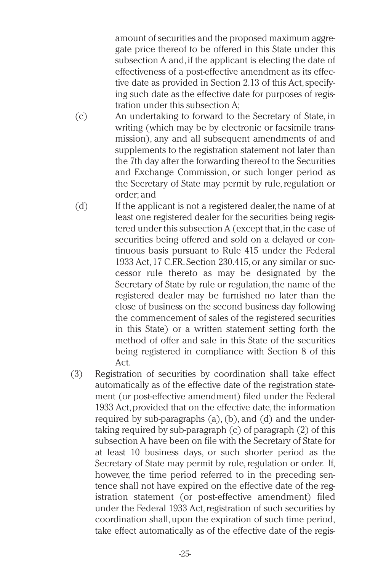amount of securities and the proposed maximum aggregate price thereof to be offered in this State under this subsection A and,if the applicant is electing the date of effectiveness of a post-effective amendment as its effective date as provided in Section 2.13 of this Act, specifying such date as the effective date for purposes of registration under this subsection A;

- (c) An undertaking to forward to the Secretary of State, in writing (which may be by electronic or facsimile transmission), any and all subsequent amendments of and supplements to the registration statement not later than the 7th day after the forwarding thereof to the Securities and Exchange Commission, or such longer period as the Secretary of State may permit by rule, regulation or order; and
- (d) If the applicant is not a registered dealer, the name of at least one registered dealer for the securities being registered under this subsection A (except that,in the case of securities being offered and sold on a delayed or continuous basis pursuant to Rule 415 under the Federal 1933 Act, 17 C.F.R. Section 230.415, or any similar or successor rule thereto as may be designated by the Secretary of State by rule or regulation, the name of the registered dealer may be furnished no later than the close of business on the second business day following the commencement of sales of the registered securities in this State) or a written statement setting forth the method of offer and sale in this State of the securities being registered in compliance with Section 8 of this Act.
- (3) Registration of securities by coordination shall take effect automatically as of the effective date of the registration statement (or post-effective amendment) filed under the Federal 1933 Act, provided that on the effective date, the information required by sub-paragraphs (a), (b), and (d) and the undertaking required by sub-paragraph (c) of paragraph (2) of this subsection A have been on file with the Secretary of State for at least 10 business days, or such shorter period as the Secretary of State may permit by rule, regulation or order. If, however, the time period referred to in the preceding sentence shall not have expired on the effective date of the registration statement (or post-effective amendment) filed under the Federal 1933 Act, registration of such securities by coordination shall, upon the expiration of such time period, take effect automatically as of the effective date of the regis-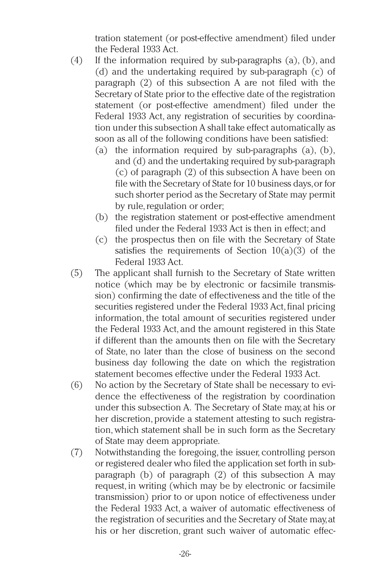tration statement (or post-effective amendment) filed under the Federal 1933 Act.

- (4) If the information required by sub-paragraphs (a), (b), and (d) and the undertaking required by sub-paragraph (c) of paragraph (2) of this subsection A are not filed with the Secretary of State prior to the effective date of the registration statement (or post-effective amendment) filed under the Federal 1933 Act, any registration of securities by coordination under this subsection A shall take effect automatically as soon as all of the following conditions have been satisfied:
	- (a) the information required by sub-paragraphs (a), (b), and (d) and the undertaking required by sub-paragraph (c) of paragraph (2) of this subsection A have been on file with the Secretary of State for 10 business days, or for such shorter period as the Secretary of State may permit by rule, regulation or order;
	- (b) the registration statement or post-effective amendment filed under the Federal 1933 Act is then in effect; and
	- (c) the prospectus then on file with the Secretary of State satisfies the requirements of Section  $10(a)(3)$  of the Federal 1933 Act.
- (5) The applicant shall furnish to the Secretary of State written notice (which may be by electronic or facsimile transmission) confirming the date of effectiveness and the title of the securities registered under the Federal 1933 Act, final pricing information, the total amount of securities registered under the Federal 1933 Act, and the amount registered in this State if different than the amounts then on file with the Secretary of State, no later than the close of business on the second business day following the date on which the registration statement becomes effective under the Federal 1933 Act.
- (6) No action by the Secretary of State shall be necessary to evidence the effectiveness of the registration by coordination under this subsection A. The Secretary of State may, at his or her discretion, provide a statement attesting to such registration, which statement shall be in such form as the Secretary of State may deem appropriate.
- (7) Notwithstanding the foregoing, the issuer, controlling person or registered dealer who filed the application set forth in subparagraph (b) of paragraph (2) of this subsection A may request, in writing (which may be by electronic or facsimile transmission) prior to or upon notice of effectiveness under the Federal 1933 Act, a waiver of automatic effectiveness of the registration of securities and the Secretary of State may,at his or her discretion, grant such waiver of automatic effec-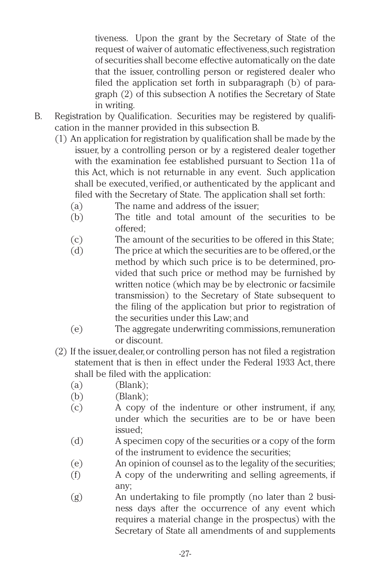tiveness. Upon the grant by the Secretary of State of the request of waiver of automatic effectiveness,such registration of securities shall become effective automatically on the date that the issuer, controlling person or registered dealer who filed the application set forth in subparagraph (b) of paragraph (2) of this subsection A notifies the Secretary of State in writing.

- B. Registration by Qualification. Securities may be registered by qualification in the manner provided in this subsection B.
	- (1) An application for registration by qualification shall be made by the issuer, by a controlling person or by a registered dealer together with the examination fee established pursuant to Section 11a of this Act, which is not returnable in any event. Such application shall be executed, verified, or authenticated by the applicant and filed with the Secretary of State. The application shall set forth:
		- (a) The name and address of the issuer;
		- (b) The title and total amount of the securities to be offered;
		- (c) The amount of the securities to be offered in this State;
		- (d) The price at which the securities are to be offered,or the method by which such price is to be determined, provided that such price or method may be furnished by written notice (which may be by electronic or facsimile transmission) to the Secretary of State subsequent to the filing of the application but prior to registration of the securities under this Law; and
		- (e) The aggregate underwriting commissions,remuneration or discount.
	- (2) If the issuer,dealer,or controlling person has not filed a registration statement that is then in effect under the Federal 1933 Act, there shall be filed with the application:
		- $(a)$  (Blank);
		- (b) (Blank);
		- (c) A copy of the indenture or other instrument, if any, under which the securities are to be or have been issued;
		- (d) A specimen copy of the securities or a copy of the form of the instrument to evidence the securities;
		- (e) An opinion of counsel as to the legality of the securities;
		- (f) A copy of the underwriting and selling agreements, if any;
		- (g) An undertaking to file promptly (no later than 2 business days after the occurrence of any event which requires a material change in the prospectus) with the Secretary of State all amendments of and supplements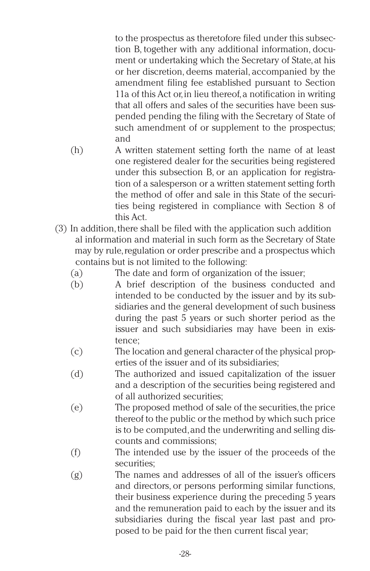to the prospectus as theretofore filed under this subsection B, together with any additional information, document or undertaking which the Secretary of State,at his or her discretion, deems material, accompanied by the amendment filing fee established pursuant to Section 11a of this Act or,in lieu thereof,a notification in writing that all offers and sales of the securities have been suspended pending the filing with the Secretary of State of such amendment of or supplement to the prospectus; and

- (h) A written statement setting forth the name of at least one registered dealer for the securities being registered under this subsection B, or an application for registration of a salesperson or a written statement setting forth the method of offer and sale in this State of the securities being registered in compliance with Section 8 of this Act.
- (3) In addition,there shall be filed with the application such addition al information and material in such form as the Secretary of State may by rule, regulation or order prescribe and a prospectus which contains but is not limited to the following:
	- (a) The date and form of organization of the issuer;
	- (b) A brief description of the business conducted and intended to be conducted by the issuer and by its subsidiaries and the general development of such business during the past 5 years or such shorter period as the issuer and such subsidiaries may have been in existence;
	- (c) The location and general character of the physical properties of the issuer and of its subsidiaries;
	- (d) The authorized and issued capitalization of the issuer and a description of the securities being registered and of all authorized securities;
	- (e) The proposed method of sale of the securities,the price thereof to the public or the method by which such price is to be computed,and the underwriting and selling discounts and commissions;
	- (f) The intended use by the issuer of the proceeds of the securities;
	- (g) The names and addresses of all of the issuer's officers and directors, or persons performing similar functions, their business experience during the preceding 5 years and the remuneration paid to each by the issuer and its subsidiaries during the fiscal year last past and proposed to be paid for the then current fiscal year;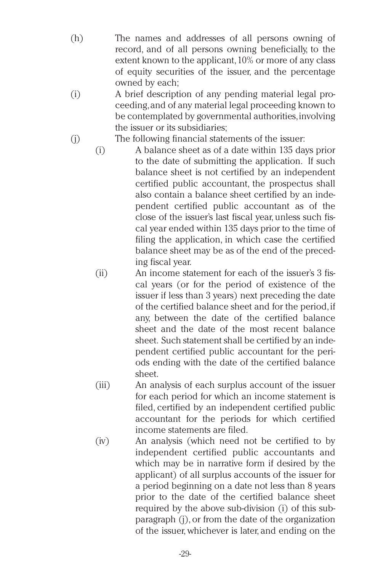- (h) The names and addresses of all persons owning of record, and of all persons owning beneficially, to the extent known to the applicant,10% or more of any class of equity securities of the issuer, and the percentage owned by each;
- (i) A brief description of any pending material legal proceeding,and of any material legal proceeding known to be contemplated by governmental authorities,involving the issuer or its subsidiaries;
- (j) The following financial statements of the issuer:
	- (i) A balance sheet as of a date within 135 days prior to the date of submitting the application. If such balance sheet is not certified by an independent certified public accountant, the prospectus shall also contain a balance sheet certified by an independent certified public accountant as of the close of the issuer's last fiscal year, unless such fiscal year ended within 135 days prior to the time of filing the application, in which case the certified balance sheet may be as of the end of the preceding fiscal year.
	- (ii) An income statement for each of the issuer's 3 fiscal years (or for the period of existence of the issuer if less than 3 years) next preceding the date of the certified balance sheet and for the period,if any, between the date of the certified balance sheet and the date of the most recent balance sheet. Such statement shall be certified by an independent certified public accountant for the periods ending with the date of the certified balance sheet.
	- (iii) An analysis of each surplus account of the issuer for each period for which an income statement is filed, certified by an independent certified public accountant for the periods for which certified income statements are filed.
	- (iv) An analysis (which need not be certified to by independent certified public accountants and which may be in narrative form if desired by the applicant) of all surplus accounts of the issuer for a period beginning on a date not less than 8 years prior to the date of the certified balance sheet required by the above sub-division (i) of this subparagraph (j), or from the date of the organization of the issuer, whichever is later, and ending on the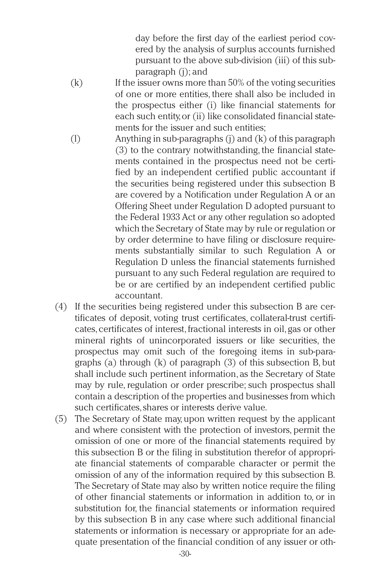day before the first day of the earliest period covered by the analysis of surplus accounts furnished pursuant to the above sub-division (iii) of this subparagraph (j); and

- $(k)$  If the issuer owns more than 50% of the voting securities of one or more entities, there shall also be included in the prospectus either (i) like financial statements for each such entity,or (ii) like consolidated financial statements for the issuer and such entities;
- (l) Anything in sub-paragraphs (j) and (k) of this paragraph (3) to the contrary notwithstanding, the financial statements contained in the prospectus need not be certified by an independent certified public accountant if the securities being registered under this subsection B are covered by a Notification under Regulation A or an Offering Sheet under Regulation D adopted pursuant to the Federal 1933 Act or any other regulation so adopted which the Secretary of State may by rule or regulation or by order determine to have filing or disclosure requirements substantially similar to such Regulation A or Regulation D unless the financial statements furnished pursuant to any such Federal regulation are required to be or are certified by an independent certified public accountant.
- (4) If the securities being registered under this subsection B are certificates of deposit, voting trust certificates, collateral-trust certificates, certificates of interest,fractional interests in oil, gas or other mineral rights of unincorporated issuers or like securities, the prospectus may omit such of the foregoing items in sub-paragraphs (a) through (k) of paragraph (3) of this subsection B, but shall include such pertinent information, as the Secretary of State may by rule, regulation or order prescribe; such prospectus shall contain a description of the properties and businesses from which such certificates, shares or interests derive value.
- (5) The Secretary of State may, upon written request by the applicant and where consistent with the protection of investors, permit the omission of one or more of the financial statements required by this subsection B or the filing in substitution therefor of appropriate financial statements of comparable character or permit the omission of any of the information required by this subsection B. The Secretary of State may also by written notice require the filing of other financial statements or information in addition to, or in substitution for, the financial statements or information required by this subsection B in any case where such additional financial statements or information is necessary or appropriate for an adequate presentation of the financial condition of any issuer or oth-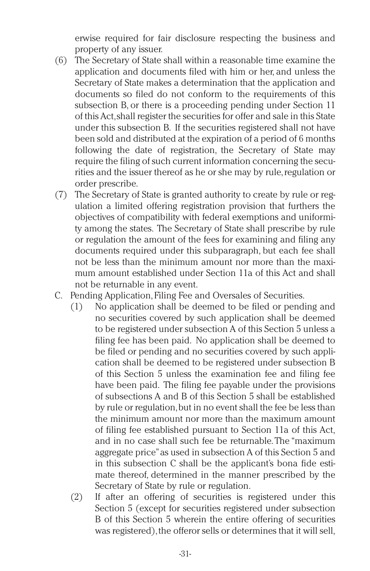erwise required for fair disclosure respecting the business and property of any issuer.

- (6) The Secretary of State shall within a reasonable time examine the application and documents filed with him or her, and unless the Secretary of State makes a determination that the application and documents so filed do not conform to the requirements of this subsection B, or there is a proceeding pending under Section 11 of this Act,shall register the securities for offer and sale in this State under this subsection B. If the securities registered shall not have been sold and distributed at the expiration of a period of 6 months following the date of registration, the Secretary of State may require the filing of such current information concerning the securities and the issuer thereof as he or she may by rule, regulation or order prescribe.
- (7) The Secretary of State is granted authority to create by rule or regulation a limited offering registration provision that furthers the objectives of compatibility with federal exemptions and uniformity among the states. The Secretary of State shall prescribe by rule or regulation the amount of the fees for examining and filing any documents required under this subparagraph, but each fee shall not be less than the minimum amount nor more than the maximum amount established under Section 11a of this Act and shall not be returnable in any event.
- C. Pending Application, Filing Fee and Oversales of Securities.
	- (1) No application shall be deemed to be filed or pending and no securities covered by such application shall be deemed to be registered under subsection A of this Section 5 unless a filing fee has been paid. No application shall be deemed to be filed or pending and no securities covered by such application shall be deemed to be registered under subsection B of this Section 5 unless the examination fee and filing fee have been paid. The filing fee payable under the provisions of subsections A and B of this Section 5 shall be established by rule or regulation,but in no event shall the fee be less than the minimum amount nor more than the maximum amount of filing fee established pursuant to Section 11a of this Act, and in no case shall such fee be returnable.The "maximum aggregate price"as used in subsection A of this Section 5 and in this subsection C shall be the applicant's bona fide estimate thereof, determined in the manner prescribed by the Secretary of State by rule or regulation.
	- (2) If after an offering of securities is registered under this Section 5 (except for securities registered under subsection B of this Section 5 wherein the entire offering of securities was registered), the offeror sells or determines that it will sell,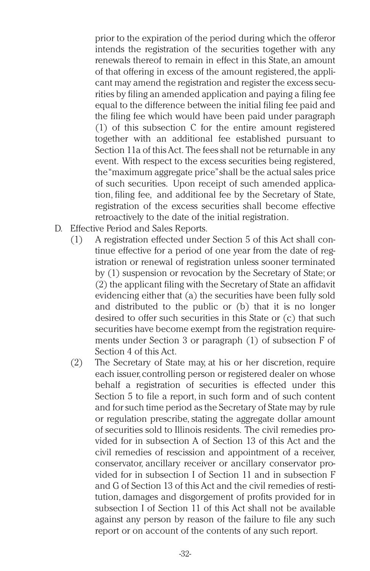prior to the expiration of the period during which the offeror intends the registration of the securities together with any renewals thereof to remain in effect in this State, an amount of that offering in excess of the amount registered, the applicant may amend the registration and register the excess securities by filing an amended application and paying a filing fee equal to the difference between the initial filing fee paid and the filing fee which would have been paid under paragraph (1) of this subsection C for the entire amount registered together with an additional fee established pursuant to Section 11a of this Act. The fees shall not be returnable in any event. With respect to the excess securities being registered, the"maximum aggregate price"shall be the actual sales price of such securities. Upon receipt of such amended application, filing fee, and additional fee by the Secretary of State, registration of the excess securities shall become effective retroactively to the date of the initial registration.

- D. Effective Period and Sales Reports.
	- (1) A registration effected under Section 5 of this Act shall continue effective for a period of one year from the date of registration or renewal of registration unless sooner terminated by (1) suspension or revocation by the Secretary of State; or (2) the applicant filing with the Secretary of State an affidavit evidencing either that (a) the securities have been fully sold and distributed to the public or (b) that it is no longer desired to offer such securities in this State or (c) that such securities have become exempt from the registration requirements under Section 3 or paragraph (1) of subsection F of Section 4 of this Act.
	- (2) The Secretary of State may, at his or her discretion, require each issuer,controlling person or registered dealer on whose behalf a registration of securities is effected under this Section 5 to file a report, in such form and of such content and for such time period as the Secretary of State may by rule or regulation prescribe, stating the aggregate dollar amount of securities sold to Illinois residents. The civil remedies provided for in subsection A of Section 13 of this Act and the civil remedies of rescission and appointment of a receiver, conservator, ancillary receiver or ancillary conservator provided for in subsection I of Section 11 and in subsection F and G of Section 13 of this Act and the civil remedies of restitution, damages and disgorgement of profits provided for in subsection I of Section 11 of this Act shall not be available against any person by reason of the failure to file any such report or on account of the contents of any such report.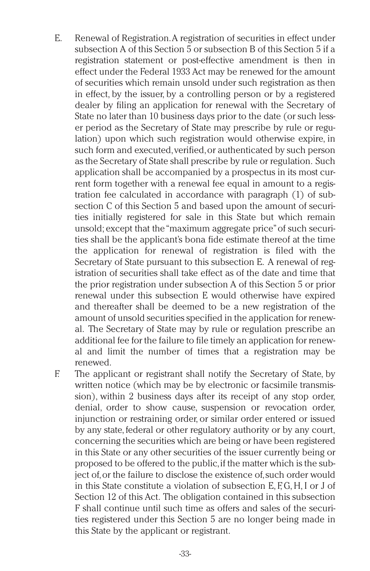- E. Renewal of Registration.A registration of securities in effect under subsection A of this Section 5 or subsection B of this Section 5 if a registration statement or post-effective amendment is then in effect under the Federal 1933 Act may be renewed for the amount of securities which remain unsold under such registration as then in effect, by the issuer, by a controlling person or by a registered dealer by filing an application for renewal with the Secretary of State no later than 10 business days prior to the date (or such lesser period as the Secretary of State may prescribe by rule or regulation) upon which such registration would otherwise expire, in such form and executed, verified, or authenticated by such person as the Secretary of State shall prescribe by rule or regulation. Such application shall be accompanied by a prospectus in its most current form together with a renewal fee equal in amount to a registration fee calculated in accordance with paragraph (1) of subsection C of this Section 5 and based upon the amount of securities initially registered for sale in this State but which remain unsold; except that the"maximum aggregate price"of such securities shall be the applicant's bona fide estimate thereof at the time the application for renewal of registration is filed with the Secretary of State pursuant to this subsection E. A renewal of registration of securities shall take effect as of the date and time that the prior registration under subsection A of this Section 5 or prior renewal under this subsection E would otherwise have expired and thereafter shall be deemed to be a new registration of the amount of unsold securities specified in the application for renewal. The Secretary of State may by rule or regulation prescribe an additional fee for the failure to file timely an application for renewal and limit the number of times that a registration may be renewed.
- 

F. The applicant or registrant shall notify the Secretary of State, by written notice (which may be by electronic or facsimile transmission), within 2 business days after its receipt of any stop order, denial, order to show cause, suspension or revocation order, injunction or restraining order, or similar order entered or issued by any state, federal or other regulatory authority or by any court, concerning the securities which are being or have been registered in this State or any other securities of the issuer currently being or proposed to be offered to the public,if the matter which is the subject of,or the failure to disclose the existence of,such order would .<br>in this State constitute a violation of subsection E, F, G, H, I or J of Section 12 of this Act. The obligation contained in this subsection F shall continue until such time as offers and sales of the securities registered under this Section 5 are no longer being made in this State by the applicant or registrant.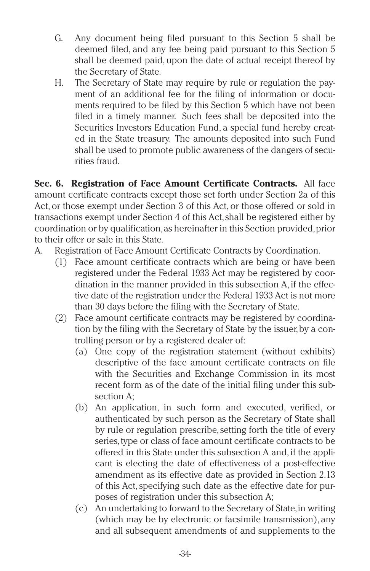- G. Any document being filed pursuant to this Section 5 shall be deemed filed, and any fee being paid pursuant to this Section 5 shall be deemed paid, upon the date of actual receipt thereof by the Secretary of State.
- H. The Secretary of State may require by rule or regulation the payment of an additional fee for the filing of information or documents required to be filed by this Section 5 which have not been filed in a timely manner. Such fees shall be deposited into the Securities Investors Education Fund, a special fund hereby created in the State treasury. The amounts deposited into such Fund shall be used to promote public awareness of the dangers of securities fraud.

**Sec. 6. Registration of Face Amount Certificate Contracts.** All face amount certificate contracts except those set forth under Section 2a of this Act, or those exempt under Section 3 of this Act, or those offered or sold in transactions exempt under Section 4 of this Act,shall be registered either by coordination or by qualification,as hereinafter in this Section provided,prior to their offer or sale in this State.

- A. Registration of Face Amount Certificate Contracts by Coordination.
	- (1) Face amount certificate contracts which are being or have been registered under the Federal 1933 Act may be registered by coordination in the manner provided in this subsection A, if the effective date of the registration under the Federal 1933 Act is not more than 30 days before the filing with the Secretary of State.
	- (2) Face amount certificate contracts may be registered by coordination by the filing with the Secretary of State by the issuer,by a controlling person or by a registered dealer of:
		- (a) One copy of the registration statement (without exhibits) descriptive of the face amount certificate contracts on file with the Securities and Exchange Commission in its most recent form as of the date of the initial filing under this subsection A;
		- (b) An application, in such form and executed, verified, or authenticated by such person as the Secretary of State shall by rule or regulation prescribe,setting forth the title of every series,type or class of face amount certificate contracts to be offered in this State under this subsection A and, if the applicant is electing the date of effectiveness of a post-effective amendment as its effective date as provided in Section 2.13 of this Act,specifying such date as the effective date for purposes of registration under this subsection A;
		- (c) An undertaking to forward to the Secretary of State,in writing (which may be by electronic or facsimile transmission), any and all subsequent amendments of and supplements to the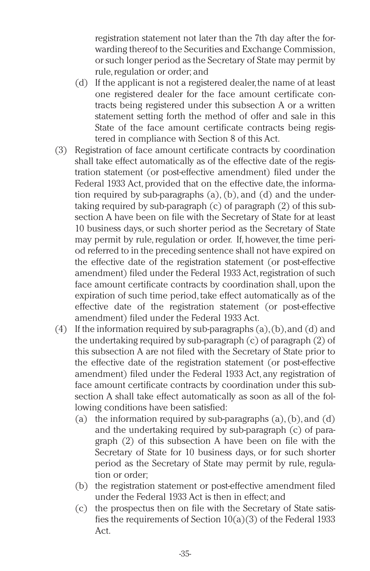registration statement not later than the 7th day after the forwarding thereof to the Securities and Exchange Commission, or such longer period as the Secretary of State may permit by rule, regulation or order; and

- (d) If the applicant is not a registered dealer,the name of at least one registered dealer for the face amount certificate contracts being registered under this subsection A or a written statement setting forth the method of offer and sale in this State of the face amount certificate contracts being registered in compliance with Section 8 of this Act.
- (3) Registration of face amount certificate contracts by coordination shall take effect automatically as of the effective date of the registration statement (or post-effective amendment) filed under the Federal 1933 Act, provided that on the effective date, the information required by sub-paragraphs (a), (b), and (d) and the undertaking required by sub-paragraph (c) of paragraph (2) of this subsection A have been on file with the Secretary of State for at least 10 business days, or such shorter period as the Secretary of State may permit by rule, regulation or order. If, however, the time period referred to in the preceding sentence shall not have expired on the effective date of the registration statement (or post-effective amendment) filed under the Federal 1933 Act, registration of such face amount certificate contracts by coordination shall, upon the expiration of such time period, take effect automatically as of the effective date of the registration statement (or post-effective amendment) filed under the Federal 1933 Act.
- (4) If the information required by sub-paragraphs  $(a)$ ,  $(b)$ , and  $(d)$  and the undertaking required by sub-paragraph (c) of paragraph (2) of this subsection A are not filed with the Secretary of State prior to the effective date of the registration statement (or post-effective amendment) filed under the Federal 1933 Act, any registration of face amount certificate contracts by coordination under this subsection A shall take effect automatically as soon as all of the following conditions have been satisfied:
	- (a) the information required by sub-paragraphs  $(a)$ ,  $(b)$ , and  $(d)$ and the undertaking required by sub-paragraph (c) of paragraph (2) of this subsection A have been on file with the Secretary of State for 10 business days, or for such shorter period as the Secretary of State may permit by rule, regulation or order;
	- (b) the registration statement or post-effective amendment filed under the Federal 1933 Act is then in effect; and
	- (c) the prospectus then on file with the Secretary of State satisfies the requirements of Section 10(a)(3) of the Federal 1933 Act.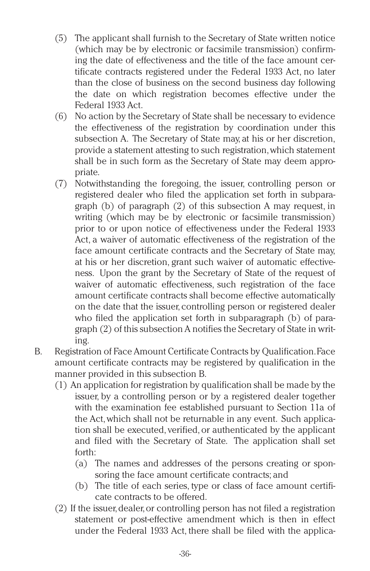- (5) The applicant shall furnish to the Secretary of State written notice (which may be by electronic or facsimile transmission) confirming the date of effectiveness and the title of the face amount certificate contracts registered under the Federal 1933 Act, no later than the close of business on the second business day following the date on which registration becomes effective under the Federal 1933 Act.
- (6) No action by the Secretary of State shall be necessary to evidence the effectiveness of the registration by coordination under this subsection A. The Secretary of State may, at his or her discretion, provide a statement attesting to such registration,which statement shall be in such form as the Secretary of State may deem appropriate.
- (7) Notwithstanding the foregoing, the issuer, controlling person or registered dealer who filed the application set forth in subparagraph (b) of paragraph (2) of this subsection A may request, in writing (which may be by electronic or facsimile transmission) prior to or upon notice of effectiveness under the Federal 1933 Act, a waiver of automatic effectiveness of the registration of the face amount certificate contracts and the Secretary of State may, at his or her discretion, grant such waiver of automatic effectiveness. Upon the grant by the Secretary of State of the request of waiver of automatic effectiveness, such registration of the face amount certificate contracts shall become effective automatically on the date that the issuer, controlling person or registered dealer who filed the application set forth in subparagraph (b) of paragraph (2) of this subsection A notifies the Secretary of State in writing.
- B. Registration of Face Amount Certificate Contracts by Qualification.Face amount certificate contracts may be registered by qualification in the manner provided in this subsection B.
	- (1) An application for registration by qualification shall be made by the issuer, by a controlling person or by a registered dealer together with the examination fee established pursuant to Section 11a of the Act,which shall not be returnable in any event. Such application shall be executed, verified, or authenticated by the applicant and filed with the Secretary of State. The application shall set forth:
		- (a) The names and addresses of the persons creating or sponsoring the face amount certificate contracts; and
		- (b) The title of each series, type or class of face amount certificate contracts to be offered.
	- (2) If the issuer,dealer,or controlling person has not filed a registration statement or post-effective amendment which is then in effect under the Federal 1933 Act, there shall be filed with the applica-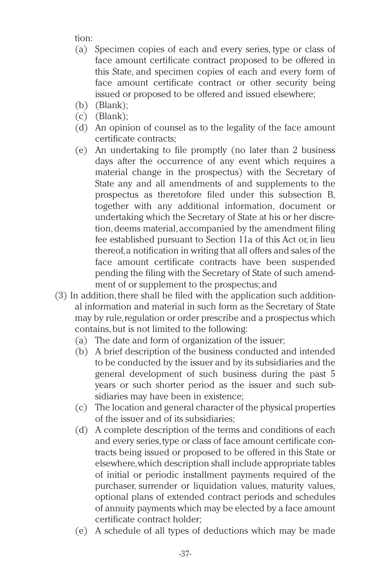tion:

- (a) Specimen copies of each and every series, type or class of face amount certificate contract proposed to be offered in this State, and specimen copies of each and every form of face amount certificate contract or other security being issued or proposed to be offered and issued elsewhere;
- (b) (Blank);
- $(c)$  (Blank);
- (d) An opinion of counsel as to the legality of the face amount certificate contracts;
- (e) An undertaking to file promptly (no later than 2 business days after the occurrence of any event which requires a material change in the prospectus) with the Secretary of State any and all amendments of and supplements to the prospectus as theretofore filed under this subsection B, together with any additional information, document or undertaking which the Secretary of State at his or her discretion, deems material, accompanied by the amendment filing fee established pursuant to Section 11a of this Act or, in lieu thereof,a notification in writing that all offers and sales of the face amount certificate contracts have been suspended pending the filing with the Secretary of State of such amendment of or supplement to the prospectus; and
- (3) In addition, there shall be filed with the application such additional information and material in such form as the Secretary of State may by rule, regulation or order prescribe and a prospectus which contains,but is not limited to the following:
	- (a) The date and form of organization of the issuer;
	- (b) A brief description of the business conducted and intended to be conducted by the issuer and by its subsidiaries and the general development of such business during the past 5 years or such shorter period as the issuer and such subsidiaries may have been in existence;
	- (c) The location and general character of the physical properties of the issuer and of its subsidiaries;
	- (d) A complete description of the terms and conditions of each and every series,type or class of face amount certificate contracts being issued or proposed to be offered in this State or elsewhere,which description shall include appropriate tables of initial or periodic installment payments required of the purchaser, surrender or liquidation values, maturity values, optional plans of extended contract periods and schedules of annuity payments which may be elected by a face amount certificate contract holder;
	- (e) A schedule of all types of deductions which may be made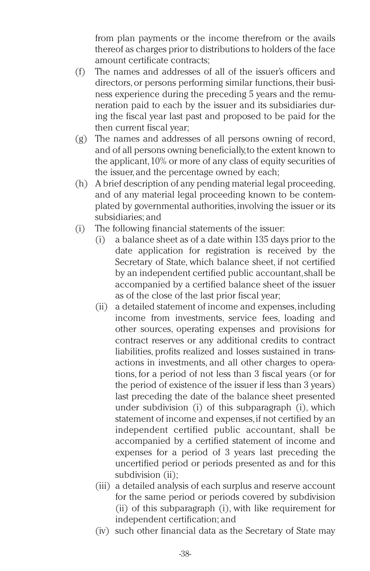from plan payments or the income therefrom or the avails thereof as charges prior to distributions to holders of the face amount certificate contracts;

- (f) The names and addresses of all of the issuer's officers and directors, or persons performing similar functions, their business experience during the preceding 5 years and the remuneration paid to each by the issuer and its subsidiaries during the fiscal year last past and proposed to be paid for the then current fiscal year;
- (g) The names and addresses of all persons owning of record, and of all persons owning beneficially,to the extent known to the applicant,10% or more of any class of equity securities of the issuer, and the percentage owned by each;
- (h) A brief description of any pending material legal proceeding, and of any material legal proceeding known to be contemplated by governmental authorities,involving the issuer or its subsidiaries; and
- (i) The following financial statements of the issuer:
	- (i) a balance sheet as of a date within 135 days prior to the date application for registration is received by the Secretary of State, which balance sheet, if not certified by an independent certified public accountant,shall be accompanied by a certified balance sheet of the issuer as of the close of the last prior fiscal year;
	- (ii) a detailed statement of income and expenses,including income from investments, service fees, loading and other sources, operating expenses and provisions for contract reserves or any additional credits to contract liabilities, profits realized and losses sustained in transactions in investments, and all other charges to operations, for a period of not less than 3 fiscal years (or for the period of existence of the issuer if less than 3 years) last preceding the date of the balance sheet presented under subdivision (i) of this subparagraph (i), which statement of income and expenses,if not certified by an independent certified public accountant, shall be accompanied by a certified statement of income and expenses for a period of 3 years last preceding the uncertified period or periods presented as and for this subdivision (ii);
	- (iii) a detailed analysis of each surplus and reserve account for the same period or periods covered by subdivision (ii) of this subparagraph (i), with like requirement for independent certification; and
	- (iv) such other financial data as the Secretary of State may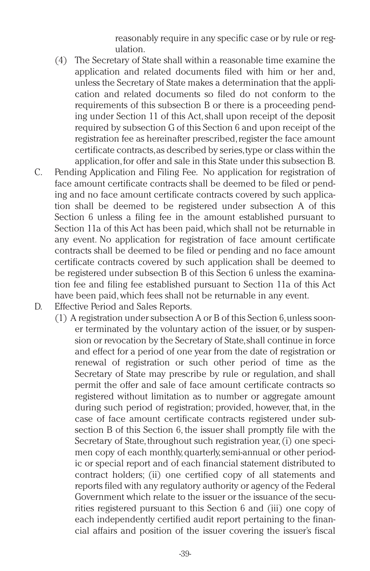reasonably require in any specific case or by rule or regulation.

- (4) The Secretary of State shall within a reasonable time examine the application and related documents filed with him or her and, unless the Secretary of State makes a determination that the application and related documents so filed do not conform to the requirements of this subsection B or there is a proceeding pending under Section 11 of this Act,shall upon receipt of the deposit required by subsection G of this Section 6 and upon receipt of the registration fee as hereinafter prescribed, register the face amount certificate contracts,as described by series,type or class within the application,for offer and sale in this State under this subsection B.
- C. Pending Application and Filing Fee. No application for registration of face amount certificate contracts shall be deemed to be filed or pending and no face amount certificate contracts covered by such application shall be deemed to be registered under subsection A of this Section 6 unless a filing fee in the amount established pursuant to Section 11a of this Act has been paid,which shall not be returnable in any event. No application for registration of face amount certificate contracts shall be deemed to be filed or pending and no face amount certificate contracts covered by such application shall be deemed to be registered under subsection B of this Section 6 unless the examination fee and filing fee established pursuant to Section 11a of this Act have been paid,which fees shall not be returnable in any event.
- D. Effective Period and Sales Reports.
	- (1) A registration under subsection A or B of this Section 6,unless sooner terminated by the voluntary action of the issuer, or by suspension or revocation by the Secretary of State,shall continue in force and effect for a period of one year from the date of registration or renewal of registration or such other period of time as the Secretary of State may prescribe by rule or regulation, and shall permit the offer and sale of face amount certificate contracts so registered without limitation as to number or aggregate amount during such period of registration; provided, however, that, in the case of face amount certificate contracts registered under subsection B of this Section 6, the issuer shall promptly file with the Secretary of State, throughout such registration year, (i) one specimen copy of each monthly,quarterly,semi-annual or other periodic or special report and of each financial statement distributed to contract holders; (ii) one certified copy of all statements and reports filed with any regulatory authority or agency of the Federal Government which relate to the issuer or the issuance of the securities registered pursuant to this Section 6 and (iii) one copy of each independently certified audit report pertaining to the financial affairs and position of the issuer covering the issuer's fiscal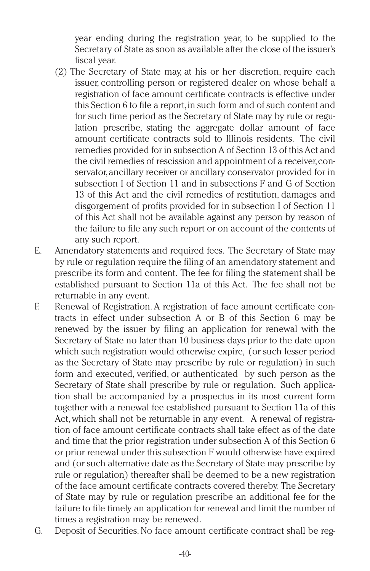year ending during the registration year, to be supplied to the Secretary of State as soon as available after the close of the issuer's fiscal year.

- (2) The Secretary of State may, at his or her discretion, require each issuer, controlling person or registered dealer on whose behalf a registration of face amount certificate contracts is effective under this Section 6 to file a report,in such form and of such content and for such time period as the Secretary of State may by rule or regulation prescribe, stating the aggregate dollar amount of face amount certificate contracts sold to Illinois residents. The civil remedies provided for in subsection A of Section 13 of this Act and the civil remedies of rescission and appointment of a receiver,conservator,ancillary receiver or ancillary conservator provided for in subsection I of Section 11 and in subsections F and G of Section 13 of this Act and the civil remedies of restitution, damages and disgorgement of profits provided for in subsection I of Section 11 of this Act shall not be available against any person by reason of the failure to file any such report or on account of the contents of any such report.
- E. Amendatory statements and required fees. The Secretary of State may by rule or regulation require the filing of an amendatory statement and prescribe its form and content. The fee for filing the statement shall be established pursuant to Section 11a of this Act. The fee shall not be returnable in any event.
- F. Renewal of Registration.A registration of face amount certificate contracts in effect under subsection A or B of this Section 6 may be renewed by the issuer by filing an application for renewal with the Secretary of State no later than 10 business days prior to the date upon which such registration would otherwise expire, (or such lesser period as the Secretary of State may prescribe by rule or regulation) in such form and executed, verified, or authenticated by such person as the Secretary of State shall prescribe by rule or regulation. Such application shall be accompanied by a prospectus in its most current form together with a renewal fee established pursuant to Section 11a of this Act, which shall not be returnable in any event. A renewal of registration of face amount certificate contracts shall take effect as of the date and time that the prior registration under subsection A of this Section 6 or prior renewal under this subsection F would otherwise have expired and (or such alternative date as the Secretary of State may prescribe by rule or regulation) thereafter shall be deemed to be a new registration of the face amount certificate contracts covered thereby. The Secretary of State may by rule or regulation prescribe an additional fee for the failure to file timely an application for renewal and limit the number of times a registration may be renewed.
- G. Deposit of Securities.No face amount certificate contract shall be reg-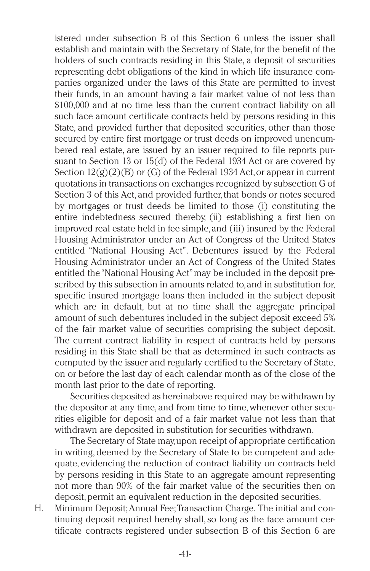istered under subsection B of this Section 6 unless the issuer shall establish and maintain with the Secretary of State,for the benefit of the holders of such contracts residing in this State, a deposit of securities representing debt obligations of the kind in which life insurance companies organized under the laws of this State are permitted to invest their funds, in an amount having a fair market value of not less than \$100,000 and at no time less than the current contract liability on all such face amount certificate contracts held by persons residing in this State, and provided further that deposited securities, other than those secured by entire first mortgage or trust deeds on improved unencumbered real estate, are issued by an issuer required to file reports pursuant to Section 13 or 15(d) of the Federal 1934 Act or are covered by Section  $12(g)(2)(B)$  or  $(G)$  of the Federal 1934 Act, or appear in current quotations in transactions on exchanges recognized by subsection G of Section 3 of this Act, and provided further, that bonds or notes secured by mortgages or trust deeds be limited to those (i) constituting the entire indebtedness secured thereby, (ii) establishing a first lien on improved real estate held in fee simple,and (iii) insured by the Federal Housing Administrator under an Act of Congress of the United States entitled "National Housing Act". Debentures issued by the Federal Housing Administrator under an Act of Congress of the United States entitled the"National Housing Act"may be included in the deposit prescribed by this subsection in amounts related to,and in substitution for, specific insured mortgage loans then included in the subject deposit which are in default, but at no time shall the aggregate principal amount of such debentures included in the subject deposit exceed 5% of the fair market value of securities comprising the subject deposit. The current contract liability in respect of contracts held by persons residing in this State shall be that as determined in such contracts as computed by the issuer and regularly certified to the Secretary of State, on or before the last day of each calendar month as of the close of the month last prior to the date of reporting.

Securities deposited as hereinabove required may be withdrawn by the depositor at any time, and from time to time, whenever other securities eligible for deposit and of a fair market value not less than that withdrawn are deposited in substitution for securities withdrawn.

The Secretary of State may,upon receipt of appropriate certification in writing,deemed by the Secretary of State to be competent and adequate, evidencing the reduction of contract liability on contracts held by persons residing in this State to an aggregate amount representing not more than 90% of the fair market value of the securities then on deposit, permit an equivalent reduction in the deposited securities.

H. Minimum Deposit;Annual Fee;Transaction Charge. The initial and continuing deposit required hereby shall, so long as the face amount certificate contracts registered under subsection B of this Section 6 are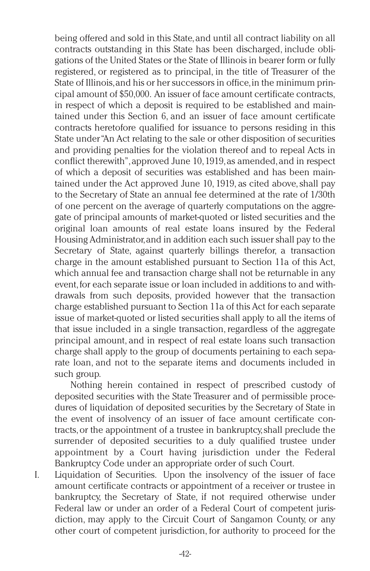being offered and sold in this State,and until all contract liability on all contracts outstanding in this State has been discharged, include obligations of the United States or the State of Illinois in bearer form or fully registered, or registered as to principal, in the title of Treasurer of the State of Illinois,and his or her successors in office,in the minimum principal amount of \$50,000. An issuer of face amount certificate contracts, in respect of which a deposit is required to be established and maintained under this Section 6, and an issuer of face amount certificate contracts heretofore qualified for issuance to persons residing in this State under"An Act relating to the sale or other disposition of securities and providing penalties for the violation thereof and to repeal Acts in conflict therewith",approved June 10,1919,as amended,and in respect of which a deposit of securities was established and has been maintained under the Act approved June 10, 1919, as cited above,shall pay to the Secretary of State an annual fee determined at the rate of 1/30th of one percent on the average of quarterly computations on the aggregate of principal amounts of market-quoted or listed securities and the original loan amounts of real estate loans insured by the Federal Housing Administrator,and in addition each such issuer shall pay to the Secretary of State, against quarterly billings therefor, a transaction charge in the amount established pursuant to Section 11a of this Act, which annual fee and transaction charge shall not be returnable in any event, for each separate issue or loan included in additions to and withdrawals from such deposits, provided however that the transaction charge established pursuant to Section 11a of this Act for each separate issue of market-quoted or listed securities shall apply to all the items of that issue included in a single transaction, regardless of the aggregate principal amount, and in respect of real estate loans such transaction charge shall apply to the group of documents pertaining to each separate loan, and not to the separate items and documents included in such group.

Nothing herein contained in respect of prescribed custody of deposited securities with the State Treasurer and of permissible procedures of liquidation of deposited securities by the Secretary of State in the event of insolvency of an issuer of face amount certificate contracts,or the appointment of a trustee in bankruptcy,shall preclude the surrender of deposited securities to a duly qualified trustee under appointment by a Court having jurisdiction under the Federal Bankruptcy Code under an appropriate order of such Court.

I. Liquidation of Securities. Upon the insolvency of the issuer of face amount certificate contracts or appointment of a receiver or trustee in bankruptcy, the Secretary of State, if not required otherwise under Federal law or under an order of a Federal Court of competent jurisdiction, may apply to the Circuit Court of Sangamon County, or any other court of competent jurisdiction, for authority to proceed for the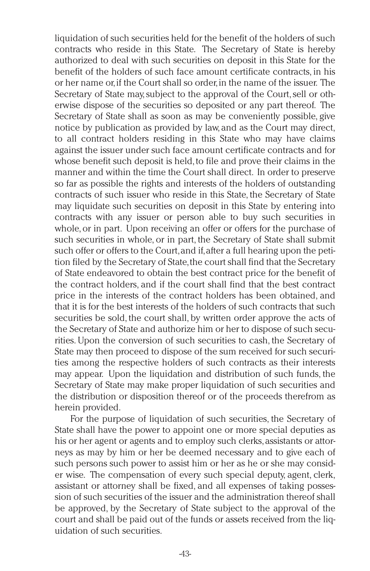liquidation of such securities held for the benefit of the holders of such contracts who reside in this State. The Secretary of State is hereby authorized to deal with such securities on deposit in this State for the benefit of the holders of such face amount certificate contracts, in his or her name or,if the Court shall so order,in the name of the issuer. The Secretary of State may, subject to the approval of the Court, sell or otherwise dispose of the securities so deposited or any part thereof. The Secretary of State shall as soon as may be conveniently possible, give notice by publication as provided by law, and as the Court may direct, to all contract holders residing in this State who may have claims against the issuer under such face amount certificate contracts and for whose benefit such deposit is held, to file and prove their claims in the manner and within the time the Court shall direct. In order to preserve so far as possible the rights and interests of the holders of outstanding contracts of such issuer who reside in this State, the Secretary of State may liquidate such securities on deposit in this State by entering into contracts with any issuer or person able to buy such securities in whole, or in part. Upon receiving an offer or offers for the purchase of such securities in whole, or in part, the Secretary of State shall submit such offer or offers to the Court,and if,after a full hearing upon the petition filed by the Secretary of State, the court shall find that the Secretary of State endeavored to obtain the best contract price for the benefit of the contract holders, and if the court shall find that the best contract price in the interests of the contract holders has been obtained, and that it is for the best interests of the holders of such contracts that such securities be sold, the court shall, by written order approve the acts of the Secretary of State and authorize him or her to dispose of such securities. Upon the conversion of such securities to cash, the Secretary of State may then proceed to dispose of the sum received for such securities among the respective holders of such contracts as their interests may appear. Upon the liquidation and distribution of such funds, the Secretary of State may make proper liquidation of such securities and the distribution or disposition thereof or of the proceeds therefrom as herein provided.

For the purpose of liquidation of such securities, the Secretary of State shall have the power to appoint one or more special deputies as his or her agent or agents and to employ such clerks, assistants or attorneys as may by him or her be deemed necessary and to give each of such persons such power to assist him or her as he or she may consider wise. The compensation of every such special deputy, agent, clerk, assistant or attorney shall be fixed, and all expenses of taking possession of such securities of the issuer and the administration thereof shall be approved, by the Secretary of State subject to the approval of the court and shall be paid out of the funds or assets received from the liquidation of such securities.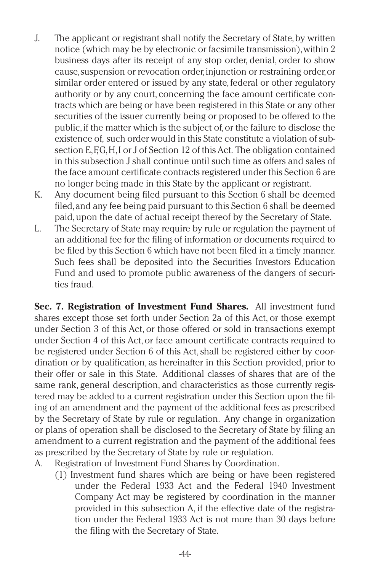- J. The applicant or registrant shall notify the Secretary of State, by written notice (which may be by electronic or facsimile transmission),within 2 business days after its receipt of any stop order, denial, order to show cause,suspension or revocation order,injunction or restraining order,or similar order entered or issued by any state, federal or other regulatory authority or by any court, concerning the face amount certificate contracts which are being or have been registered in this State or any other securities of the issuer currently being or proposed to be offered to the public,if the matter which is the subject of,or the failure to disclose the existence of, such order would in this State constitute a violation of subsection E, F,G, H, I or J of Section 12 of this Act. The obligation contained in this subsection J shall continue until such time as offers and sales of the face amount certificate contracts registered under this Section 6 are no longer being made in this State by the applicant or registrant.
- K. Any document being filed pursuant to this Section 6 shall be deemed filed,and any fee being paid pursuant to this Section 6 shall be deemed paid,upon the date of actual receipt thereof by the Secretary of State.
- L. The Secretary of State may require by rule or regulation the payment of an additional fee for the filing of information or documents required to be filed by this Section 6 which have not been filed in a timely manner. Such fees shall be deposited into the Securities Investors Education Fund and used to promote public awareness of the dangers of securities fraud.

**Sec. 7. Registration of Investment Fund Shares.** All investment fund shares except those set forth under Section 2a of this Act, or those exempt under Section 3 of this Act, or those offered or sold in transactions exempt under Section 4 of this Act, or face amount certificate contracts required to be registered under Section 6 of this Act,shall be registered either by coordination or by qualification, as hereinafter in this Section provided, prior to their offer or sale in this State. Additional classes of shares that are of the same rank, general description, and characteristics as those currently registered may be added to a current registration under this Section upon the filing of an amendment and the payment of the additional fees as prescribed by the Secretary of State by rule or regulation. Any change in organization or plans of operation shall be disclosed to the Secretary of State by filing an amendment to a current registration and the payment of the additional fees as prescribed by the Secretary of State by rule or regulation.

- A. Registration of Investment Fund Shares by Coordination.
	- (1) Investment fund shares which are being or have been registered under the Federal 1933 Act and the Federal 1940 Investment Company Act may be registered by coordination in the manner provided in this subsection A, if the effective date of the registration under the Federal 1933 Act is not more than 30 days before the filing with the Secretary of State.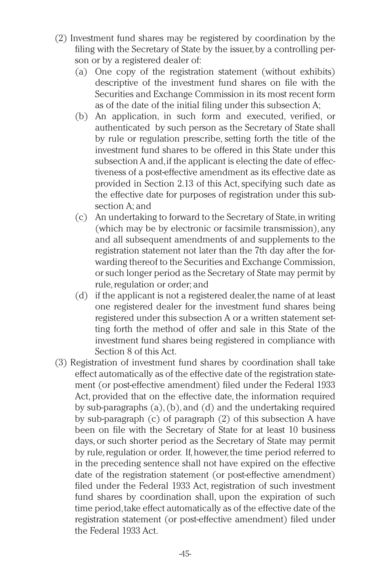- (2) Investment fund shares may be registered by coordination by the filing with the Secretary of State by the issuer, by a controlling person or by a registered dealer of:
	- (a) One copy of the registration statement (without exhibits) descriptive of the investment fund shares on file with the Securities and Exchange Commission in its most recent form as of the date of the initial filing under this subsection A;
	- (b) An application, in such form and executed, verified, or authenticated by such person as the Secretary of State shall by rule or regulation prescribe, setting forth the title of the investment fund shares to be offered in this State under this subsection A and,if the applicant is electing the date of effectiveness of a post-effective amendment as its effective date as provided in Section 2.13 of this Act, specifying such date as the effective date for purposes of registration under this subsection A; and
	- (c) An undertaking to forward to the Secretary of State,in writing (which may be by electronic or facsimile transmission), any and all subsequent amendments of and supplements to the registration statement not later than the 7th day after the forwarding thereof to the Securities and Exchange Commission, or such longer period as the Secretary of State may permit by rule, regulation or order; and
	- (d) if the applicant is not a registered dealer, the name of at least one registered dealer for the investment fund shares being registered under this subsection A or a written statement setting forth the method of offer and sale in this State of the investment fund shares being registered in compliance with Section 8 of this Act.
- (3) Registration of investment fund shares by coordination shall take effect automatically as of the effective date of the registration statement (or post-effective amendment) filed under the Federal 1933 Act, provided that on the effective date, the information required by sub-paragraphs (a), (b), and (d) and the undertaking required by sub-paragraph (c) of paragraph (2) of this subsection A have been on file with the Secretary of State for at least 10 business days, or such shorter period as the Secretary of State may permit by rule, regulation or order. If, however, the time period referred to in the preceding sentence shall not have expired on the effective date of the registration statement (or post-effective amendment) filed under the Federal 1933 Act, registration of such investment fund shares by coordination shall, upon the expiration of such time period, take effect automatically as of the effective date of the registration statement (or post-effective amendment) filed under the Federal 1933 Act.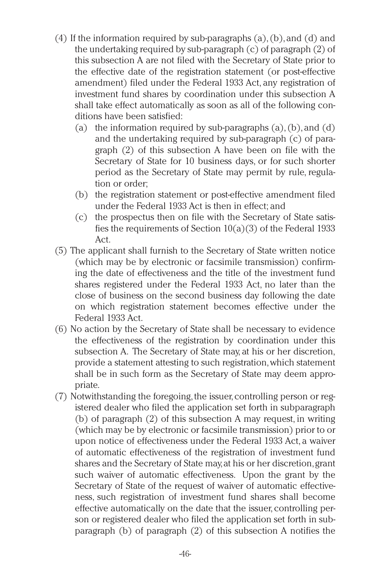- (4) If the information required by sub-paragraphs  $(a)$ ,  $(b)$ , and  $(d)$  and the undertaking required by sub-paragraph (c) of paragraph (2) of this subsection A are not filed with the Secretary of State prior to the effective date of the registration statement (or post-effective amendment) filed under the Federal 1933 Act, any registration of investment fund shares by coordination under this subsection A shall take effect automatically as soon as all of the following conditions have been satisfied:
	- (a) the information required by sub-paragraphs  $(a)$ ,  $(b)$ , and  $(d)$ and the undertaking required by sub-paragraph (c) of paragraph (2) of this subsection A have been on file with the Secretary of State for 10 business days, or for such shorter period as the Secretary of State may permit by rule, regulation or order;
	- (b) the registration statement or post-effective amendment filed under the Federal 1933 Act is then in effect; and
	- (c) the prospectus then on file with the Secretary of State satisfies the requirements of Section  $10(a)(3)$  of the Federal 1933 Act.
- (5) The applicant shall furnish to the Secretary of State written notice (which may be by electronic or facsimile transmission) confirming the date of effectiveness and the title of the investment fund shares registered under the Federal 1933 Act, no later than the close of business on the second business day following the date on which registration statement becomes effective under the Federal 1933 Act.
- (6) No action by the Secretary of State shall be necessary to evidence the effectiveness of the registration by coordination under this subsection A. The Secretary of State may, at his or her discretion, provide a statement attesting to such registration,which statement shall be in such form as the Secretary of State may deem appropriate.
- (7) Notwithstanding the foregoing, the issuer, controlling person or registered dealer who filed the application set forth in subparagraph (b) of paragraph (2) of this subsection A may request, in writing (which may be by electronic or facsimile transmission) prior to or upon notice of effectiveness under the Federal 1933 Act, a waiver of automatic effectiveness of the registration of investment fund shares and the Secretary of State may,at his or her discretion,grant such waiver of automatic effectiveness. Upon the grant by the Secretary of State of the request of waiver of automatic effectiveness, such registration of investment fund shares shall become effective automatically on the date that the issuer, controlling person or registered dealer who filed the application set forth in subparagraph (b) of paragraph (2) of this subsection A notifies the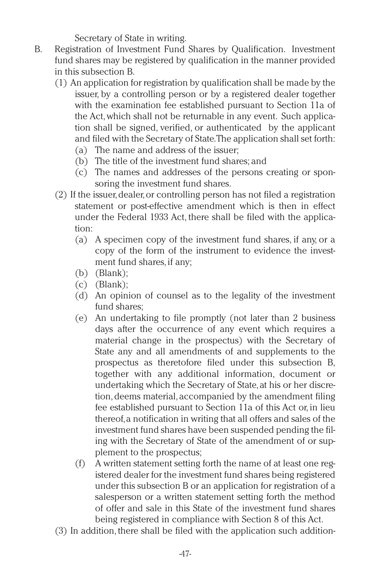Secretary of State in writing.

- B. Registration of Investment Fund Shares by Qualification. Investment fund shares may be registered by qualification in the manner provided in this subsection B.
	- (1) An application for registration by qualification shall be made by the issuer, by a controlling person or by a registered dealer together with the examination fee established pursuant to Section 11a of the Act,which shall not be returnable in any event. Such application shall be signed, verified, or authenticated by the applicant and filed with the Secretary of State.The application shall set forth:
		- (a) The name and address of the issuer;
		- (b) The title of the investment fund shares; and
		- (c) The names and addresses of the persons creating or sponsoring the investment fund shares.
	- (2) If the issuer,dealer,or controlling person has not filed a registration statement or post-effective amendment which is then in effect under the Federal 1933 Act, there shall be filed with the application:
		- (a) A specimen copy of the investment fund shares, if any, or a copy of the form of the instrument to evidence the investment fund shares, if any;
		- (b) (Blank);
		- $(c)$  (Blank);
		- (d) An opinion of counsel as to the legality of the investment fund shares;
		- (e) An undertaking to file promptly (not later than 2 business days after the occurrence of any event which requires a material change in the prospectus) with the Secretary of State any and all amendments of and supplements to the prospectus as theretofore filed under this subsection B, together with any additional information, document or undertaking which the Secretary of State,at his or her discretion, deems material, accompanied by the amendment filing fee established pursuant to Section 11a of this Act or, in lieu thereof,a notification in writing that all offers and sales of the investment fund shares have been suspended pending the filing with the Secretary of State of the amendment of or supplement to the prospectus;
		- (f) A written statement setting forth the name of at least one registered dealer for the investment fund shares being registered under this subsection B or an application for registration of a salesperson or a written statement setting forth the method of offer and sale in this State of the investment fund shares being registered in compliance with Section 8 of this Act.
	- (3) In addition, there shall be filed with the application such addition-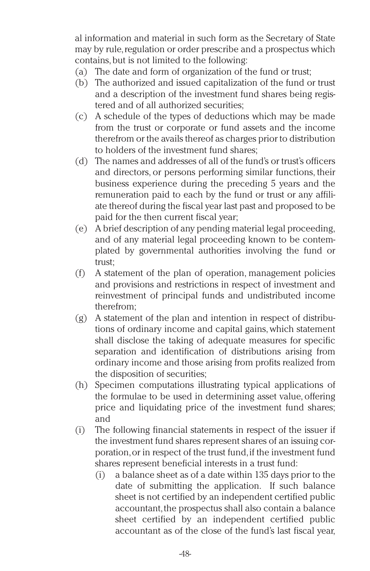al information and material in such form as the Secretary of State may by rule, regulation or order prescribe and a prospectus which contains,but is not limited to the following:

- (a) The date and form of organization of the fund or trust;
- (b) The authorized and issued capitalization of the fund or trust and a description of the investment fund shares being registered and of all authorized securities;
- (c) A schedule of the types of deductions which may be made from the trust or corporate or fund assets and the income therefrom or the avails thereof as charges prior to distribution to holders of the investment fund shares;
- (d) The names and addresses of all of the fund's or trust's officers and directors, or persons performing similar functions, their business experience during the preceding 5 years and the remuneration paid to each by the fund or trust or any affiliate thereof during the fiscal year last past and proposed to be paid for the then current fiscal year;
- (e) A brief description of any pending material legal proceeding, and of any material legal proceeding known to be contemplated by governmental authorities involving the fund or trust;
- (f) A statement of the plan of operation, management policies and provisions and restrictions in respect of investment and reinvestment of principal funds and undistributed income therefrom;
- (g) A statement of the plan and intention in respect of distributions of ordinary income and capital gains, which statement shall disclose the taking of adequate measures for specific separation and identification of distributions arising from ordinary income and those arising from profits realized from the disposition of securities;
- (h) Specimen computations illustrating typical applications of the formulae to be used in determining asset value, offering price and liquidating price of the investment fund shares; and
- (i) The following financial statements in respect of the issuer if the investment fund shares represent shares of an issuing corporation,or in respect of the trust fund,if the investment fund shares represent beneficial interests in a trust fund:
	- (i) a balance sheet as of a date within 135 days prior to the date of submitting the application. If such balance sheet is not certified by an independent certified public accountant, the prospectus shall also contain a balance sheet certified by an independent certified public accountant as of the close of the fund's last fiscal year,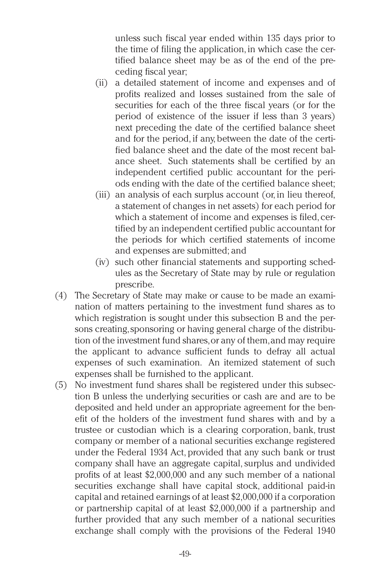unless such fiscal year ended within 135 days prior to the time of filing the application, in which case the certified balance sheet may be as of the end of the preceding fiscal year;

- (ii) a detailed statement of income and expenses and of profits realized and losses sustained from the sale of securities for each of the three fiscal years (or for the period of existence of the issuer if less than 3 years) next preceding the date of the certified balance sheet and for the period, if any, between the date of the certified balance sheet and the date of the most recent balance sheet. Such statements shall be certified by an independent certified public accountant for the periods ending with the date of the certified balance sheet;
- (iii) an analysis of each surplus account (or, in lieu thereof, a statement of changes in net assets) for each period for which a statement of income and expenses is filed, certified by an independent certified public accountant for the periods for which certified statements of income and expenses are submitted; and
- (iv) such other financial statements and supporting schedules as the Secretary of State may by rule or regulation prescribe.
- (4) The Secretary of State may make or cause to be made an examination of matters pertaining to the investment fund shares as to which registration is sought under this subsection B and the persons creating, sponsoring or having general charge of the distribution of the investment fund shares,or any of them,and may require the applicant to advance sufficient funds to defray all actual expenses of such examination. An itemized statement of such expenses shall be furnished to the applicant.
- (5) No investment fund shares shall be registered under this subsection B unless the underlying securities or cash are and are to be deposited and held under an appropriate agreement for the benefit of the holders of the investment fund shares with and by a trustee or custodian which is a clearing corporation, bank, trust company or member of a national securities exchange registered under the Federal 1934 Act, provided that any such bank or trust company shall have an aggregate capital, surplus and undivided profits of at least \$2,000,000 and any such member of a national securities exchange shall have capital stock, additional paid-in capital and retained earnings of at least \$2,000,000 if a corporation or partnership capital of at least \$2,000,000 if a partnership and further provided that any such member of a national securities exchange shall comply with the provisions of the Federal 1940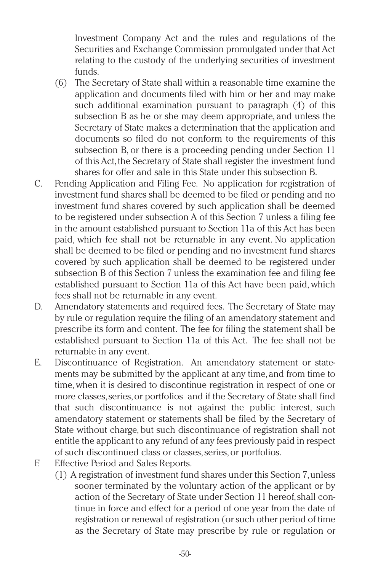Investment Company Act and the rules and regulations of the Securities and Exchange Commission promulgated under that Act relating to the custody of the underlying securities of investment funds.

- (6) The Secretary of State shall within a reasonable time examine the application and documents filed with him or her and may make such additional examination pursuant to paragraph (4) of this subsection B as he or she may deem appropriate, and unless the Secretary of State makes a determination that the application and documents so filed do not conform to the requirements of this subsection B, or there is a proceeding pending under Section 11 of this Act, the Secretary of State shall register the investment fund shares for offer and sale in this State under this subsection B.
- C. Pending Application and Filing Fee. No application for registration of investment fund shares shall be deemed to be filed or pending and no investment fund shares covered by such application shall be deemed to be registered under subsection A of this Section 7 unless a filing fee in the amount established pursuant to Section 11a of this Act has been paid, which fee shall not be returnable in any event. No application shall be deemed to be filed or pending and no investment fund shares covered by such application shall be deemed to be registered under subsection B of this Section 7 unless the examination fee and filing fee established pursuant to Section 11a of this Act have been paid, which fees shall not be returnable in any event.
- D. Amendatory statements and required fees. The Secretary of State may by rule or regulation require the filing of an amendatory statement and prescribe its form and content. The fee for filing the statement shall be established pursuant to Section 11a of this Act. The fee shall not be returnable in any event.
- E. Discontinuance of Registration. An amendatory statement or statements may be submitted by the applicant at any time, and from time to time, when it is desired to discontinue registration in respect of one or more classes,series,or portfolios and if the Secretary of State shall find that such discontinuance is not against the public interest, such amendatory statement or statements shall be filed by the Secretary of State without charge, but such discontinuance of registration shall not entitle the applicant to any refund of any fees previously paid in respect of such discontinued class or classes, series, or portfolios.
- F. Effective Period and Sales Reports.
	- (1) A registration of investment fund shares under this Section 7,unless sooner terminated by the voluntary action of the applicant or by action of the Secretary of State under Section 11 hereof, shall continue in force and effect for a period of one year from the date of registration or renewal of registration (or such other period of time as the Secretary of State may prescribe by rule or regulation or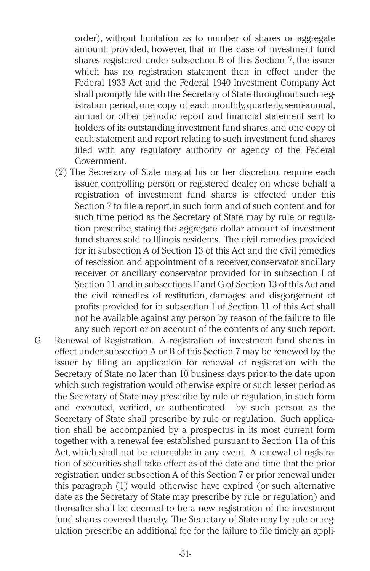order), without limitation as to number of shares or aggregate amount; provided, however, that in the case of investment fund shares registered under subsection B of this Section 7, the issuer which has no registration statement then in effect under the Federal 1933 Act and the Federal 1940 Investment Company Act shall promptly file with the Secretary of State throughout such registration period, one copy of each monthly, quarterly,semi-annual, annual or other periodic report and financial statement sent to holders of its outstanding investment fund shares,and one copy of each statement and report relating to such investment fund shares filed with any regulatory authority or agency of the Federal Government.

- (2) The Secretary of State may, at his or her discretion, require each issuer, controlling person or registered dealer on whose behalf a registration of investment fund shares is effected under this Section 7 to file a report, in such form and of such content and for such time period as the Secretary of State may by rule or regulation prescribe, stating the aggregate dollar amount of investment fund shares sold to Illinois residents. The civil remedies provided for in subsection A of Section 13 of this Act and the civil remedies of rescission and appointment of a receiver, conservator, ancillary receiver or ancillary conservator provided for in subsection I of Section 11 and in subsections F and G of Section 13 of this Act and the civil remedies of restitution, damages and disgorgement of profits provided for in subsection I of Section 11 of this Act shall not be available against any person by reason of the failure to file any such report or on account of the contents of any such report.
- G. Renewal of Registration. A registration of investment fund shares in effect under subsection A or B of this Section 7 may be renewed by the issuer by filing an application for renewal of registration with the Secretary of State no later than 10 business days prior to the date upon which such registration would otherwise expire or such lesser period as the Secretary of State may prescribe by rule or regulation,in such form and executed, verified, or authenticated by such person as the Secretary of State shall prescribe by rule or regulation. Such application shall be accompanied by a prospectus in its most current form together with a renewal fee established pursuant to Section 11a of this Act, which shall not be returnable in any event. A renewal of registration of securities shall take effect as of the date and time that the prior registration under subsection A of this Section 7 or prior renewal under this paragraph (1) would otherwise have expired (or such alternative date as the Secretary of State may prescribe by rule or regulation) and thereafter shall be deemed to be a new registration of the investment fund shares covered thereby. The Secretary of State may by rule or regulation prescribe an additional fee for the failure to file timely an appli-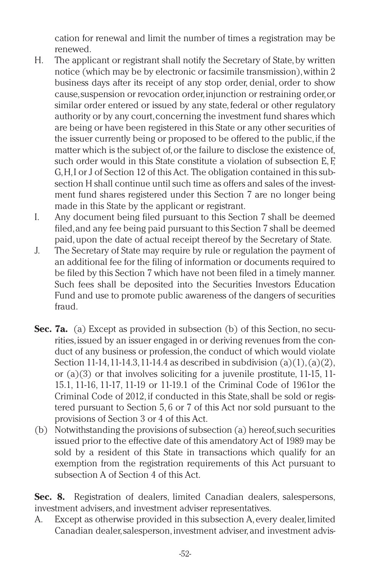cation for renewal and limit the number of times a registration may be renewed.

- H. The applicant or registrant shall notify the Secretary of State, by written notice (which may be by electronic or facsimile transmission),within 2 business days after its receipt of any stop order, denial, order to show cause,suspension or revocation order,injunction or restraining order,or similar order entered or issued by any state, federal or other regulatory authority or by any court, concerning the investment fund shares which are being or have been registered in this State or any other securities of the issuer currently being or proposed to be offered to the public,if the matter which is the subject of, or the failure to disclose the existence of, such order would in this State constitute a violation of subsection E.F. G,H,I or J of Section 12 of this Act. The obligation contained in this subsection H shall continue until such time as offers and sales of the investment fund shares registered under this Section 7 are no longer being made in this State by the applicant or registrant.
- I. Any document being filed pursuant to this Section 7 shall be deemed filed,and any fee being paid pursuant to this Section 7 shall be deemed paid,upon the date of actual receipt thereof by the Secretary of State.
- J. The Secretary of State may require by rule or regulation the payment of an additional fee for the filing of information or documents required to be filed by this Section 7 which have not been filed in a timely manner. Such fees shall be deposited into the Securities Investors Education Fund and use to promote public awareness of the dangers of securities fraud.
- **Sec. 7a.** (a) Except as provided in subsection (b) of this Section, no securities, issued by an issuer engaged in or deriving revenues from the conduct of any business or profession, the conduct of which would violate Section 11-14,11-14.3,11-14.4 as described in subdivision  $(a)(1), (a)(2),$ or (a)(3) or that involves soliciting for a juvenile prostitute, 11-15, 11- 15.1, 11-16, 11-17, 11-19 or 11-19.1 of the Criminal Code of 1961or the Criminal Code of 2012, if conducted in this State,shall be sold or registered pursuant to Section 5, 6 or 7 of this Act nor sold pursuant to the provisions of Section 3 or 4 of this Act.
- (b) Notwithstanding the provisions of subsection (a) hereof,such securities issued prior to the effective date of this amendatory Act of 1989 may be sold by a resident of this State in transactions which qualify for an exemption from the registration requirements of this Act pursuant to subsection A of Section 4 of this Act.

**Sec. 8.** Registration of dealers, limited Canadian dealers, salespersons, investment advisers, and investment adviser representatives.

A. Except as otherwise provided in this subsection A, every dealer, limited Canadian dealer, salesperson, investment adviser, and investment advis-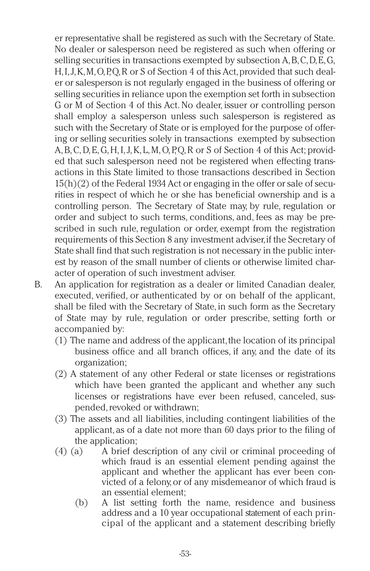er representative shall be registered as such with the Secretary of State. No dealer or salesperson need be registered as such when offering or selling securities in transactions exempted by subsection A,B,C,D,E,G, H, I, J, K, M, O, P, Q, R or S of Section 4 of this Act, provided that such dealer or salesperson is not regularly engaged in the business of offering or selling securities in reliance upon the exemption set forth in subsection G or M of Section 4 of this Act. No dealer, issuer or controlling person shall employ a salesperson unless such salesperson is registered as such with the Secretary of State or is employed for the purpose of offering or selling securities solely in transactions exempted by subsection A,B,C,D,E,G,H,I,J,K, L,M,O,P,Q,R or S of Section 4 of this Act; provided that such salesperson need not be registered when effecting transactions in this State limited to those transactions described in Section 15(h)(2) of the Federal 1934 Act or engaging in the offer or sale of securities in respect of which he or she has beneficial ownership and is a controlling person. The Secretary of State may, by rule, regulation or order and subject to such terms, conditions, and, fees as may be prescribed in such rule, regulation or order, exempt from the registration requirements of this Section 8 any investment adviser,if the Secretary of State shall find that such registration is not necessary in the public interest by reason of the small number of clients or otherwise limited character of operation of such investment adviser.

- B. An application for registration as a dealer or limited Canadian dealer, executed, verified, or authenticated by or on behalf of the applicant, shall be filed with the Secretary of State, in such form as the Secretary of State may by rule, regulation or order prescribe, setting forth or accompanied by:
	- (1) The name and address of the applicant, the location of its principal business office and all branch offices, if any, and the date of its organization;
	- (2) A statement of any other Federal or state licenses or registrations which have been granted the applicant and whether any such licenses or registrations have ever been refused, canceled, suspended, revoked or withdrawn;
	- (3) The assets and all liabilities, including contingent liabilities of the applicant, as of a date not more than 60 days prior to the filing of the application;
	- (4) (a) A brief description of any civil or criminal proceeding of which fraud is an essential element pending against the applicant and whether the applicant has ever been convicted of a felony,or of any misdemeanor of which fraud is an essential element;
		- (b) A list setting forth the name, residence and business address and a 10 year occupational statement of each principal of the applicant and a statement describing briefly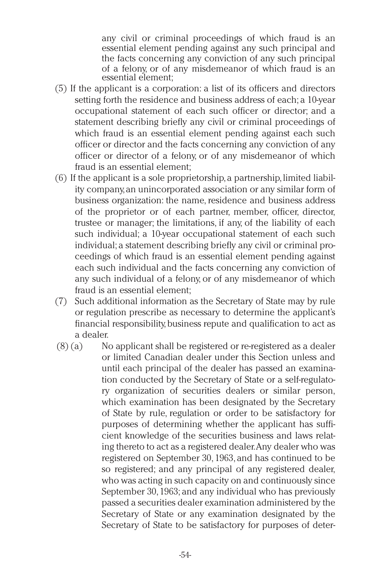any civil or criminal proceedings of which fraud is an essential element pending against any such principal and the facts concerning any conviction of any such principal of a felony, or of any misdemeanor of which fraud is an essential element;

- (5) If the applicant is a corporation: a list of its officers and directors setting forth the residence and business address of each; a 10-year occupational statement of each such officer or director; and a statement describing briefly any civil or criminal proceedings of which fraud is an essential element pending against each such officer or director and the facts concerning any conviction of any officer or director of a felony, or of any misdemeanor of which fraud is an essential element;
- $(6)$  If the applicant is a sole proprietorship, a partnership, limited liability company,an unincorporated association or any similar form of business organization: the name, residence and business address of the proprietor or of each partner, member, officer, director, trustee or manager; the limitations, if any, of the liability of each such individual; a 10-year occupational statement of each such individual; a statement describing briefly any civil or criminal proceedings of which fraud is an essential element pending against each such individual and the facts concerning any conviction of any such individual of a felony, or of any misdemeanor of which fraud is an essential element;
- (7) Such additional information as the Secretary of State may by rule or regulation prescribe as necessary to determine the applicant's financial responsibility,business repute and qualification to act as a dealer.
- $(8)$  (a) No applicant shall be registered or re-registered as a dealer or limited Canadian dealer under this Section unless and until each principal of the dealer has passed an examination conducted by the Secretary of State or a self-regulatory organization of securities dealers or similar person, which examination has been designated by the Secretary of State by rule, regulation or order to be satisfactory for purposes of determining whether the applicant has sufficient knowledge of the securities business and laws relating thereto to act as a registered dealer.Any dealer who was registered on September 30, 1963, and has continued to be so registered; and any principal of any registered dealer, who was acting in such capacity on and continuously since September 30,1963; and any individual who has previously passed a securities dealer examination administered by the Secretary of State or any examination designated by the Secretary of State to be satisfactory for purposes of deter-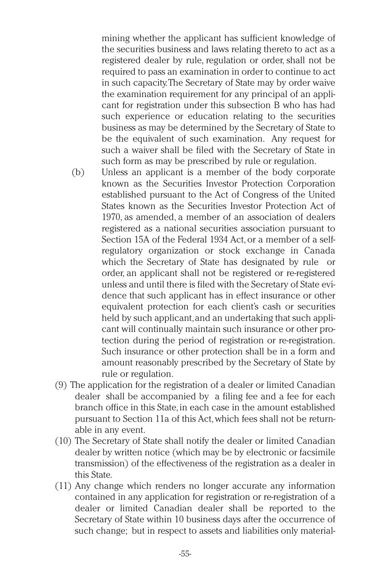mining whether the applicant has sufficient knowledge of the securities business and laws relating thereto to act as a registered dealer by rule, regulation or order, shall not be required to pass an examination in order to continue to act in such capacity.The Secretary of State may by order waive the examination requirement for any principal of an applicant for registration under this subsection B who has had such experience or education relating to the securities business as may be determined by the Secretary of State to be the equivalent of such examination. Any request for such a waiver shall be filed with the Secretary of State in such form as may be prescribed by rule or regulation.

- (b) Unless an applicant is a member of the body corporate known as the Securities Investor Protection Corporation established pursuant to the Act of Congress of the United States known as the Securities Investor Protection Act of 1970, as amended, a member of an association of dealers registered as a national securities association pursuant to Section 15A of the Federal 1934 Act, or a member of a selfregulatory organization or stock exchange in Canada which the Secretary of State has designated by rule or order, an applicant shall not be registered or re-registered unless and until there is filed with the Secretary of State evidence that such applicant has in effect insurance or other equivalent protection for each client's cash or securities held by such applicant,and an undertaking that such applicant will continually maintain such insurance or other protection during the period of registration or re-registration. Such insurance or other protection shall be in a form and amount reasonably prescribed by the Secretary of State by rule or regulation.
- (9) The application for the registration of a dealer or limited Canadian dealer shall be accompanied by a filing fee and a fee for each branch office in this State,in each case in the amount established pursuant to Section 11a of this Act,which fees shall not be returnable in any event.
- (10) The Secretary of State shall notify the dealer or limited Canadian dealer by written notice (which may be by electronic or facsimile transmission) of the effectiveness of the registration as a dealer in this State.
- (11) Any change which renders no longer accurate any information contained in any application for registration or re-registration of a dealer or limited Canadian dealer shall be reported to the Secretary of State within 10 business days after the occurrence of such change; but in respect to assets and liabilities only material-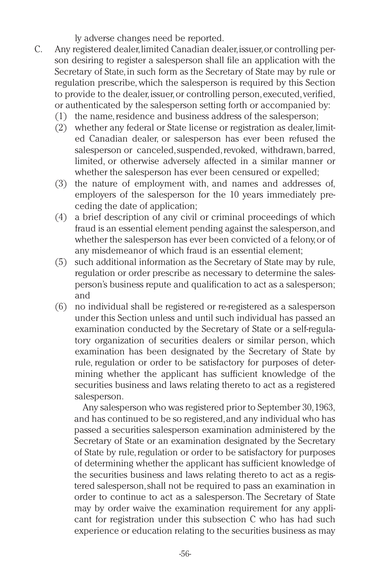ly adverse changes need be reported.

- C. Any registered dealer,limited Canadian dealer,issuer,or controlling person desiring to register a salesperson shall file an application with the Secretary of State, in such form as the Secretary of State may by rule or regulation prescribe, which the salesperson is required by this Section to provide to the dealer, issuer, or controlling person, executed, verified, or authenticated by the salesperson setting forth or accompanied by:
	- (1) the name,residence and business address of the salesperson;
	- (2) whether any federal or State license or registration as dealer,limited Canadian dealer, or salesperson has ever been refused the salesperson or canceled, suspended, revoked, withdrawn, barred, limited, or otherwise adversely affected in a similar manner or whether the salesperson has ever been censured or expelled;
	- (3) the nature of employment with, and names and addresses of, employers of the salesperson for the 10 years immediately preceding the date of application;
	- (4) a brief description of any civil or criminal proceedings of which fraud is an essential element pending against the salesperson,and whether the salesperson has ever been convicted of a felony,or of any misdemeanor of which fraud is an essential element;
	- (5) such additional information as the Secretary of State may by rule, regulation or order prescribe as necessary to determine the salesperson's business repute and qualification to act as a salesperson; and
	- (6) no individual shall be registered or re-registered as a salesperson under this Section unless and until such individual has passed an examination conducted by the Secretary of State or a self-regulatory organization of securities dealers or similar person, which examination has been designated by the Secretary of State by rule, regulation or order to be satisfactory for purposes of determining whether the applicant has sufficient knowledge of the securities business and laws relating thereto to act as a registered salesperson.

Any salesperson who was registered prior to September 30,1963, and has continued to be so registered,and any individual who has passed a securities salesperson examination administered by the Secretary of State or an examination designated by the Secretary of State by rule,regulation or order to be satisfactory for purposes of determining whether the applicant has sufficient knowledge of the securities business and laws relating thereto to act as a registered salesperson,shall not be required to pass an examination in order to continue to act as a salesperson. The Secretary of State may by order waive the examination requirement for any applicant for registration under this subsection C who has had such experience or education relating to the securities business as may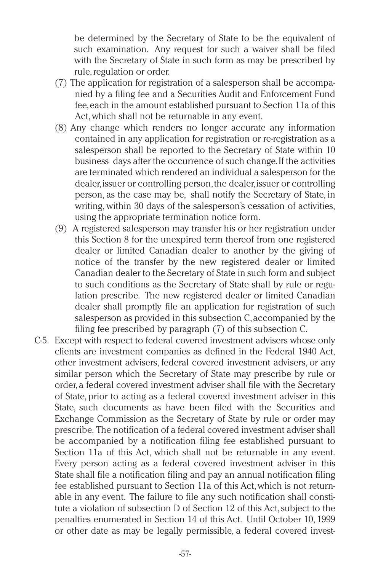be determined by the Secretary of State to be the equivalent of such examination. Any request for such a waiver shall be filed with the Secretary of State in such form as may be prescribed by rule, regulation or order.

- (7) The application for registration of a salesperson shall be accompanied by a filing fee and a Securities Audit and Enforcement Fund fee,each in the amount established pursuant to Section 11a of this Act,which shall not be returnable in any event.
- (8) Any change which renders no longer accurate any information contained in any application for registration or re-registration as a salesperson shall be reported to the Secretary of State within 10 business days after the occurrence of such change.If the activities are terminated which rendered an individual a salesperson for the dealer,issuer or controlling person,the dealer,issuer or controlling person, as the case may be, shall notify the Secretary of State, in writing, within 30 days of the salesperson's cessation of activities, using the appropriate termination notice form.
- (9) A registered salesperson may transfer his or her registration under this Section 8 for the unexpired term thereof from one registered dealer or limited Canadian dealer to another by the giving of notice of the transfer by the new registered dealer or limited Canadian dealer to the Secretary of State in such form and subject to such conditions as the Secretary of State shall by rule or regulation prescribe. The new registered dealer or limited Canadian dealer shall promptly file an application for registration of such salesperson as provided in this subsection C,accompanied by the filing fee prescribed by paragraph (7) of this subsection C.
- C-5. Except with respect to federal covered investment advisers whose only clients are investment companies as defined in the Federal 1940 Act, other investment advisers, federal covered investment advisers, or any similar person which the Secretary of State may prescribe by rule or order, a federal covered investment adviser shall file with the Secretary of State, prior to acting as a federal covered investment adviser in this State, such documents as have been filed with the Securities and Exchange Commission as the Secretary of State by rule or order may prescribe. The notification of a federal covered investment adviser shall be accompanied by a notification filing fee established pursuant to Section 11a of this Act, which shall not be returnable in any event. Every person acting as a federal covered investment adviser in this State shall file a notification filing and pay an annual notification filing fee established pursuant to Section 11a of this Act,which is not returnable in any event. The failure to file any such notification shall constitute a violation of subsection D of Section 12 of this Act, subject to the penalties enumerated in Section 14 of this Act. Until October 10, 1999 or other date as may be legally permissible, a federal covered invest-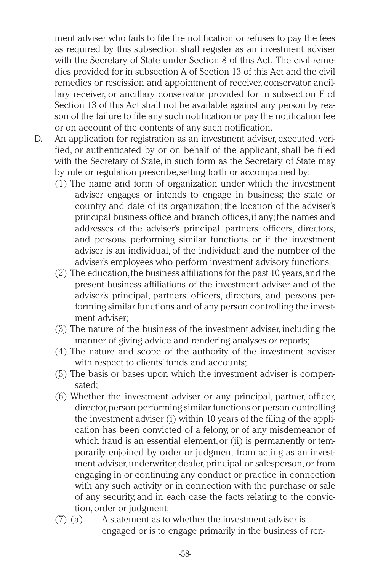ment adviser who fails to file the notification or refuses to pay the fees as required by this subsection shall register as an investment adviser with the Secretary of State under Section 8 of this Act. The civil remedies provided for in subsection A of Section 13 of this Act and the civil remedies or rescission and appointment of receiver, conservator, ancillary receiver, or ancillary conservator provided for in subsection F of Section 13 of this Act shall not be available against any person by reason of the failure to file any such notification or pay the notification fee or on account of the contents of any such notification.

- D. An application for registration as an investment adviser, executed, verified, or authenticated by or on behalf of the applicant, shall be filed with the Secretary of State, in such form as the Secretary of State may by rule or regulation prescribe,setting forth or accompanied by:
	- (1) The name and form of organization under which the investment adviser engages or intends to engage in business; the state or country and date of its organization; the location of the adviser's principal business office and branch offices,if any;the names and addresses of the adviser's principal, partners, officers, directors, and persons performing similar functions or, if the investment adviser is an individual, of the individual; and the number of the adviser's employees who perform investment advisory functions;
	- (2) The education,the business affiliations for the past 10 years,and the present business affiliations of the investment adviser and of the adviser's principal, partners, officers, directors, and persons performing similar functions and of any person controlling the investment adviser;
	- (3) The nature of the business of the investment adviser, including the manner of giving advice and rendering analyses or reports;
	- (4) The nature and scope of the authority of the investment adviser with respect to clients' funds and accounts;
	- (5) The basis or bases upon which the investment adviser is compensated;
	- (6) Whether the investment adviser or any principal, partner, officer, director,person performing similar functions or person controlling the investment adviser (i) within 10 years of the filing of the application has been convicted of a felony, or of any misdemeanor of which fraud is an essential element, or (ii) is permanently or temporarily enjoined by order or judgment from acting as an investment adviser, underwriter, dealer, principal or salesperson, or from engaging in or continuing any conduct or practice in connection with any such activity or in connection with the purchase or sale of any security, and in each case the facts relating to the conviction,order or judgment;
	- (7) (a) A statement as to whether the investment adviser is engaged or is to engage primarily in the business of ren-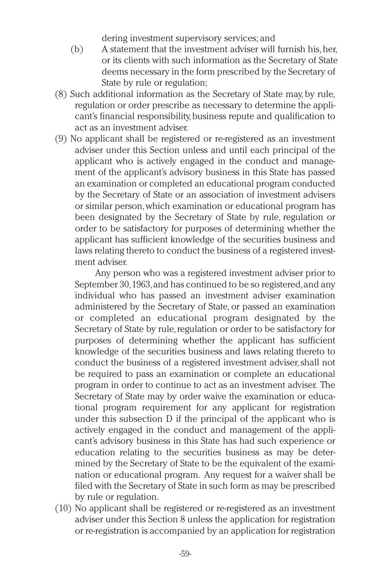dering investment supervisory services; and

- (b) A statement that the investment adviser will furnish his,her, or its clients with such information as the Secretary of State deems necessary in the form prescribed by the Secretary of State by rule or regulation;
- (8) Such additional information as the Secretary of State may, by rule, regulation or order prescribe as necessary to determine the applicant's financial responsibility, business repute and qualification to act as an investment adviser.
- (9) No applicant shall be registered or re-registered as an investment adviser under this Section unless and until each principal of the applicant who is actively engaged in the conduct and management of the applicant's advisory business in this State has passed an examination or completed an educational program conducted by the Secretary of State or an association of investment advisers or similar person,which examination or educational program has been designated by the Secretary of State by rule, regulation or order to be satisfactory for purposes of determining whether the applicant has sufficient knowledge of the securities business and laws relating thereto to conduct the business of a registered investment adviser.

Any person who was a registered investment adviser prior to September 30,1963,and has continued to be so registered,and any individual who has passed an investment adviser examination administered by the Secretary of State, or passed an examination or completed an educational program designated by the Secretary of State by rule, regulation or order to be satisfactory for purposes of determining whether the applicant has sufficient knowledge of the securities business and laws relating thereto to conduct the business of a registered investment adviser, shall not be required to pass an examination or complete an educational program in order to continue to act as an investment adviser. The Secretary of State may by order waive the examination or educational program requirement for any applicant for registration under this subsection D if the principal of the applicant who is actively engaged in the conduct and management of the applicant's advisory business in this State has had such experience or education relating to the securities business as may be determined by the Secretary of State to be the equivalent of the examination or educational program. Any request for a waiver shall be filed with the Secretary of State in such form as may be prescribed by rule or regulation.

(10) No applicant shall be registered or re-registered as an investment adviser under this Section 8 unless the application for registration or re-registration is accompanied by an application for registration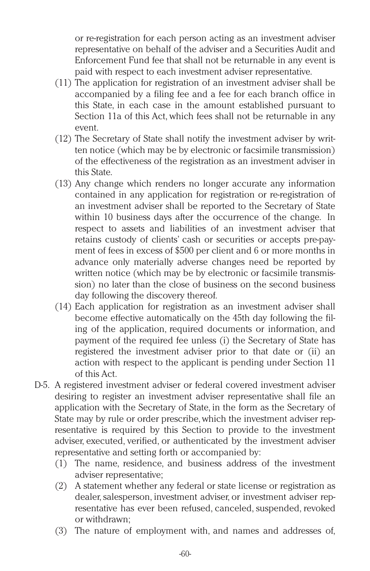or re-registration for each person acting as an investment adviser representative on behalf of the adviser and a Securities Audit and Enforcement Fund fee that shall not be returnable in any event is paid with respect to each investment adviser representative.

- (11) The application for registration of an investment adviser shall be accompanied by a filing fee and a fee for each branch office in this State, in each case in the amount established pursuant to Section 11a of this Act, which fees shall not be returnable in any event.
- (12) The Secretary of State shall notify the investment adviser by written notice (which may be by electronic or facsimile transmission) of the effectiveness of the registration as an investment adviser in this State.
- (13) Any change which renders no longer accurate any information contained in any application for registration or re-registration of an investment adviser shall be reported to the Secretary of State within 10 business days after the occurrence of the change. In respect to assets and liabilities of an investment adviser that retains custody of clients' cash or securities or accepts pre-payment of fees in excess of \$500 per client and 6 or more months in advance only materially adverse changes need be reported by written notice (which may be by electronic or facsimile transmission) no later than the close of business on the second business day following the discovery thereof.
- (14) Each application for registration as an investment adviser shall become effective automatically on the 45th day following the filing of the application, required documents or information, and payment of the required fee unless (i) the Secretary of State has registered the investment adviser prior to that date or (ii) an action with respect to the applicant is pending under Section 11 of this Act.
- D-5. A registered investment adviser or federal covered investment adviser desiring to register an investment adviser representative shall file an application with the Secretary of State, in the form as the Secretary of State may by rule or order prescribe, which the investment adviser representative is required by this Section to provide to the investment adviser, executed, verified, or authenticated by the investment adviser representative and setting forth or accompanied by:
	- (1) The name, residence, and business address of the investment adviser representative;
	- (2) A statement whether any federal or state license or registration as dealer, salesperson, investment adviser, or investment adviser representative has ever been refused, canceled, suspended, revoked or withdrawn;
	- (3) The nature of employment with, and names and addresses of,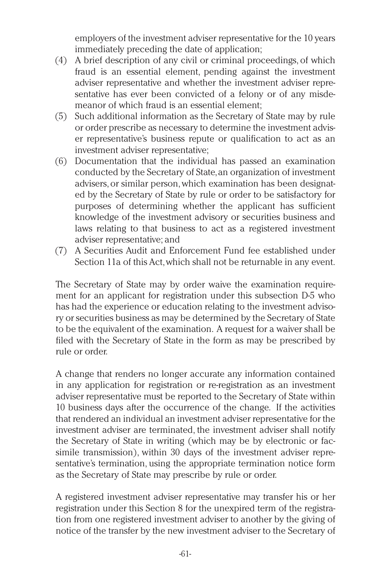employers of the investment adviser representative for the 10 years immediately preceding the date of application;

- (4) A brief description of any civil or criminal proceedings, of which fraud is an essential element, pending against the investment adviser representative and whether the investment adviser representative has ever been convicted of a felony or of any misdemeanor of which fraud is an essential element;
- (5) Such additional information as the Secretary of State may by rule or order prescribe as necessary to determine the investment adviser representative's business repute or qualification to act as an investment adviser representative;
- (6) Documentation that the individual has passed an examination conducted by the Secretary of State,an organization of investment advisers,or similar person,which examination has been designated by the Secretary of State by rule or order to be satisfactory for purposes of determining whether the applicant has sufficient knowledge of the investment advisory or securities business and laws relating to that business to act as a registered investment adviser representative; and
- (7) A Securities Audit and Enforcement Fund fee established under Section 11a of this Act,which shall not be returnable in any event.

The Secretary of State may by order waive the examination requirement for an applicant for registration under this subsection D-5 who has had the experience or education relating to the investment advisory or securities business as may be determined by the Secretary of State to be the equivalent of the examination. A request for a waiver shall be filed with the Secretary of State in the form as may be prescribed by rule or order.

A change that renders no longer accurate any information contained in any application for registration or re-registration as an investment adviser representative must be reported to the Secretary of State within 10 business days after the occurrence of the change. If the activities that rendered an individual an investment adviser representative for the investment adviser are terminated, the investment adviser shall notify the Secretary of State in writing (which may be by electronic or facsimile transmission), within 30 days of the investment adviser representative's termination, using the appropriate termination notice form as the Secretary of State may prescribe by rule or order.

A registered investment adviser representative may transfer his or her registration under this Section 8 for the unexpired term of the registration from one registered investment adviser to another by the giving of notice of the transfer by the new investment adviser to the Secretary of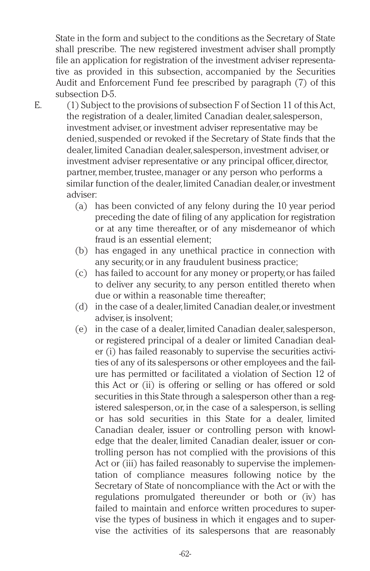State in the form and subject to the conditions as the Secretary of State shall prescribe. The new registered investment adviser shall promptly file an application for registration of the investment adviser representative as provided in this subsection, accompanied by the Securities Audit and Enforcement Fund fee prescribed by paragraph (7) of this subsection D-5.

E. (1) Subject to the provisions of subsection F of Section 11 of this Act, the registration of a dealer, limited Canadian dealer, salesperson, investment adviser, or investment adviser representative may be denied, suspended or revoked if the Secretary of State finds that the dealer, limited Canadian dealer, salesperson, investment adviser, or investment adviser representative or any principal officer, director, partner, member, trustee, manager or any person who performs a similar function of the dealer, limited Canadian dealer, or investment adviser:

- (a) has been convicted of any felony during the 10 year period preceding the date of filing of any application for registration or at any time thereafter, or of any misdemeanor of which fraud is an essential element;
- (b) has engaged in any unethical practice in connection with any security,or in any fraudulent business practice;
- (c) has failed to account for any money or property,or has failed to deliver any security, to any person entitled thereto when due or within a reasonable time thereafter;
- (d) in the case of a dealer,limited Canadian dealer,or investment adviser, is insolvent:
- (e) in the case of a dealer, limited Canadian dealer, salesperson, or registered principal of a dealer or limited Canadian dealer (i) has failed reasonably to supervise the securities activities of any of its salespersons or other employees and the failure has permitted or facilitated a violation of Section 12 of this Act or (ii) is offering or selling or has offered or sold securities in this State through a salesperson other than a registered salesperson, or, in the case of a salesperson, is selling or has sold securities in this State for a dealer, limited Canadian dealer, issuer or controlling person with knowledge that the dealer, limited Canadian dealer, issuer or controlling person has not complied with the provisions of this Act or (iii) has failed reasonably to supervise the implementation of compliance measures following notice by the Secretary of State of noncompliance with the Act or with the regulations promulgated thereunder or both or (iv) has failed to maintain and enforce written procedures to supervise the types of business in which it engages and to supervise the activities of its salespersons that are reasonably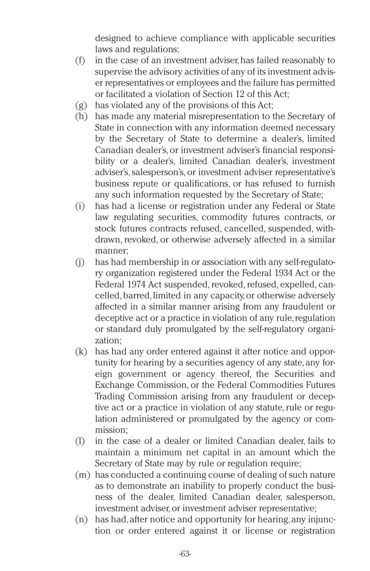designed to achieve compliance with applicable securities laws and regulations;

- (f) in the case of an investment adviser,has failed reasonably to supervise the advisory activities of any of its investment adviser representatives or employees and the failure has permitted or facilitated a violation of Section 12 of this Act;
- (g) has violated any of the provisions of this Act;
- (h) has made any material misrepresentation to the Secretary of State in connection with any information deemed necessary by the Secretary of State to determine a dealer's, limited Canadian dealer's,or investment adviser's financial responsibility or a dealer's, limited Canadian dealer's, investment adviser's,salesperson's, or investment adviser representative's business repute or qualifications, or has refused to furnish any such information requested by the Secretary of State;
- (i) has had a license or registration under any Federal or State law regulating securities, commodity futures contracts, or stock futures contracts refused, cancelled, suspended, withdrawn, revoked, or otherwise adversely affected in a similar manner;
- (j) has had membership in or association with any self-regulatory organization registered under the Federal 1934 Act or the Federal 1974 Act suspended, revoked, refused, expelled, cancelled,barred,limited in any capacity,or otherwise adversely affected in a similar manner arising from any fraudulent or deceptive act or a practice in violation of any rule, regulation or standard duly promulgated by the self-regulatory organization;
- (k) has had any order entered against it after notice and opportunity for hearing by a securities agency of any state, any foreign government or agency thereof, the Securities and Exchange Commission, or the Federal Commodities Futures Trading Commission arising from any fraudulent or deceptive act or a practice in violation of any statute, rule or regulation administered or promulgated by the agency or commission;
- (l) in the case of a dealer or limited Canadian dealer, fails to maintain a minimum net capital in an amount which the Secretary of State may by rule or regulation require;
- (m) has conducted a continuing course of dealing of such nature as to demonstrate an inability to properly conduct the business of the dealer, limited Canadian dealer, salesperson, investment adviser,or investment adviser representative;
- (n) has had,after notice and opportunity for hearing,any injunction or order entered against it or license or registration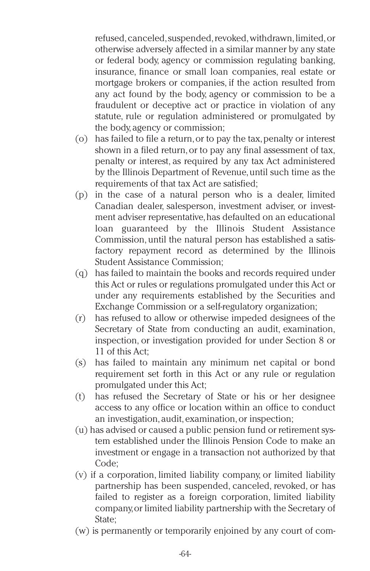refused, canceled, suspended, revoked, withdrawn, limited, or otherwise adversely affected in a similar manner by any state or federal body, agency or commission regulating banking, insurance, finance or small loan companies, real estate or mortgage brokers or companies, if the action resulted from any act found by the body, agency or commission to be a fraudulent or deceptive act or practice in violation of any statute, rule or regulation administered or promulgated by the body, agency or commission;

- (o) has failed to file a return,or to pay the tax,penalty or interest shown in a filed return, or to pay any final assessment of tax, penalty or interest, as required by any tax Act administered by the Illinois Department of Revenue,until such time as the requirements of that tax Act are satisfied;
- (p) in the case of a natural person who is a dealer, limited Canadian dealer, salesperson, investment adviser, or investment adviser representative,has defaulted on an educational loan guaranteed by the Illinois Student Assistance Commission, until the natural person has established a satisfactory repayment record as determined by the Illinois Student Assistance Commission;
- (q) has failed to maintain the books and records required under this Act or rules or regulations promulgated under this Act or under any requirements established by the Securities and Exchange Commission or a self-regulatory organization;
- (r) has refused to allow or otherwise impeded designees of the Secretary of State from conducting an audit, examination, inspection, or investigation provided for under Section 8 or 11 of this Act;
- (s) has failed to maintain any minimum net capital or bond requirement set forth in this Act or any rule or regulation promulgated under this Act;
- (t) has refused the Secretary of State or his or her designee access to any office or location within an office to conduct an investigation, audit, examination,or inspection;
- (u) has advised or caused a public pension fund or retirement system established under the Illinois Pension Code to make an investment or engage in a transaction not authorized by that Code;
- (v) if a corporation, limited liability company, or limited liability partnership has been suspended, canceled, revoked, or has failed to register as a foreign corporation, limited liability company,or limited liability partnership with the Secretary of State;
- (w) is permanently or temporarily enjoined by any court of com-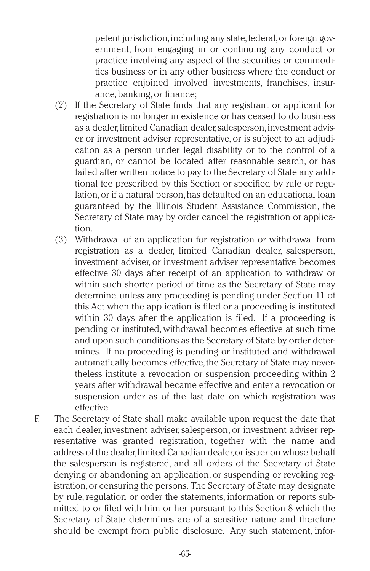petent jurisdiction,including any state,federal,or foreign government, from engaging in or continuing any conduct or practice involving any aspect of the securities or commodities business or in any other business where the conduct or practice enjoined involved investments, franchises, insurance,banking,or finance;

- (2) If the Secretary of State finds that any registrant or applicant for registration is no longer in existence or has ceased to do business as a dealer, limited Canadian dealer, salesperson, investment adviser, or investment adviser representative, or is subject to an adjudication as a person under legal disability or to the control of a guardian, or cannot be located after reasonable search, or has failed after written notice to pay to the Secretary of State any additional fee prescribed by this Section or specified by rule or regulation,or if a natural person,has defaulted on an educational loan guaranteed by the Illinois Student Assistance Commission, the Secretary of State may by order cancel the registration or application.
- (3) Withdrawal of an application for registration or withdrawal from registration as a dealer, limited Canadian dealer, salesperson, investment adviser, or investment adviser representative becomes effective 30 days after receipt of an application to withdraw or within such shorter period of time as the Secretary of State may determine, unless any proceeding is pending under Section 11 of this Act when the application is filed or a proceeding is instituted within 30 days after the application is filed. If a proceeding is pending or instituted, withdrawal becomes effective at such time and upon such conditions as the Secretary of State by order determines. If no proceeding is pending or instituted and withdrawal automatically becomes effective, the Secretary of State may nevertheless institute a revocation or suspension proceeding within 2 years after withdrawal became effective and enter a revocation or suspension order as of the last date on which registration was effective.
- F. The Secretary of State shall make available upon request the date that each dealer, investment adviser, salesperson, or investment adviser representative was granted registration, together with the name and address of the dealer,limited Canadian dealer,or issuer on whose behalf the salesperson is registered, and all orders of the Secretary of State denying or abandoning an application, or suspending or revoking registration,or censuring the persons. The Secretary of State may designate by rule, regulation or order the statements, information or reports submitted to or filed with him or her pursuant to this Section 8 which the Secretary of State determines are of a sensitive nature and therefore should be exempt from public disclosure. Any such statement, infor-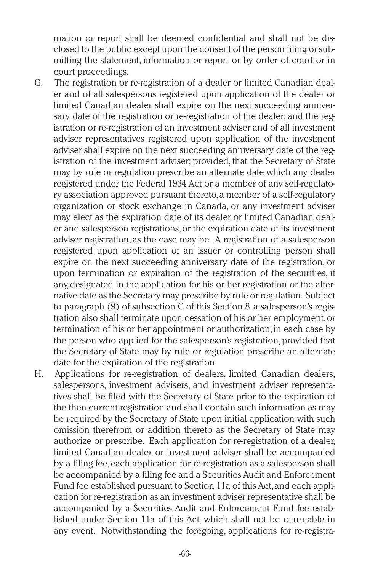mation or report shall be deemed confidential and shall not be disclosed to the public except upon the consent of the person filing or submitting the statement, information or report or by order of court or in court proceedings.

- G. The registration or re-registration of a dealer or limited Canadian dealer and of all salespersons registered upon application of the dealer or limited Canadian dealer shall expire on the next succeeding anniversary date of the registration or re-registration of the dealer; and the registration or re-registration of an investment adviser and of all investment adviser representatives registered upon application of the investment adviser shall expire on the next succeeding anniversary date of the registration of the investment adviser; provided, that the Secretary of State may by rule or regulation prescribe an alternate date which any dealer registered under the Federal 1934 Act or a member of any self-regulatory association approved pursuant thereto,a member of a self-regulatory organization or stock exchange in Canada, or any investment adviser may elect as the expiration date of its dealer or limited Canadian dealer and salesperson registrations,or the expiration date of its investment adviser registration, as the case may be. A registration of a salesperson registered upon application of an issuer or controlling person shall expire on the next succeeding anniversary date of the registration, or upon termination or expiration of the registration of the securities, if any,designated in the application for his or her registration or the alternative date as the Secretary may prescribe by rule or regulation. Subject to paragraph (9) of subsection C of this Section 8, a salesperson's registration also shall terminate upon cessation of his or her employment,or termination of his or her appointment or authorization,in each case by the person who applied for the salesperson's registration,provided that the Secretary of State may by rule or regulation prescribe an alternate date for the expiration of the registration.
- H. Applications for re-registration of dealers, limited Canadian dealers, salespersons, investment advisers, and investment adviser representatives shall be filed with the Secretary of State prior to the expiration of the then current registration and shall contain such information as may be required by the Secretary of State upon initial application with such omission therefrom or addition thereto as the Secretary of State may authorize or prescribe. Each application for re-registration of a dealer, limited Canadian dealer, or investment adviser shall be accompanied by a filing fee,each application for re-registration as a salesperson shall be accompanied by a filing fee and a Securities Audit and Enforcement Fund fee established pursuant to Section 11a of this Act,and each application for re-registration as an investment adviser representative shall be accompanied by a Securities Audit and Enforcement Fund fee established under Section 11a of this Act, which shall not be returnable in any event. Notwithstanding the foregoing, applications for re-registra-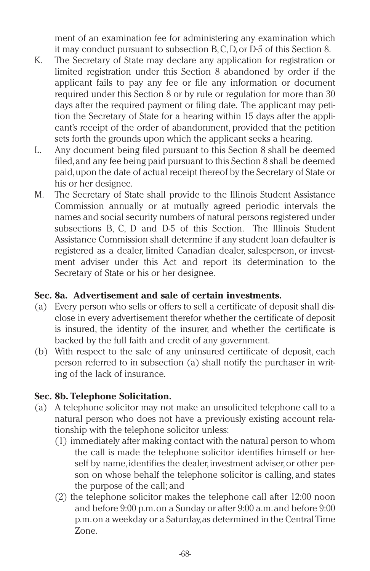ment of an examination fee for administering any examination which it may conduct pursuant to subsection B,C,D,or D-5 of this Section 8.

- K. The Secretary of State may declare any application for registration or limited registration under this Section 8 abandoned by order if the applicant fails to pay any fee or file any information or document required under this Section 8 or by rule or regulation for more than 30 days after the required payment or filing date. The applicant may petition the Secretary of State for a hearing within 15 days after the applicant's receipt of the order of abandonment, provided that the petition sets forth the grounds upon which the applicant seeks a hearing.
- L. Any document being filed pursuant to this Section 8 shall be deemed filed,and any fee being paid pursuant to this Section 8 shall be deemed paid,upon the date of actual receipt thereof by the Secretary of State or his or her designee.
- M. The Secretary of State shall provide to the Illinois Student Assistance Commission annually or at mutually agreed periodic intervals the names and social security numbers of natural persons registered under subsections B, C, D and D-5 of this Section. The Illinois Student Assistance Commission shall determine if any student loan defaulter is registered as a dealer, limited Canadian dealer, salesperson, or investment adviser under this Act and report its determination to the Secretary of State or his or her designee.

## **Sec. 8a. Advertisement and sale of certain investments.**

- (a) Every person who sells or offers to sell a certificate of deposit shall disclose in every advertisement therefor whether the certificate of deposit is insured, the identity of the insurer, and whether the certificate is backed by the full faith and credit of any government.
- (b) With respect to the sale of any uninsured certificate of deposit, each person referred to in subsection (a) shall notify the purchaser in writing of the lack of insurance.

## **Sec. 8b. Telephone Solicitation.**

- (a) A telephone solicitor may not make an unsolicited telephone call to a natural person who does not have a previously existing account relationship with the telephone solicitor unless:
	- (1) immediately after making contact with the natural person to whom the call is made the telephone solicitor identifies himself or herself by name, identifies the dealer, investment adviser, or other person on whose behalf the telephone solicitor is calling, and states the purpose of the call; and
	- (2) the telephone solicitor makes the telephone call after 12:00 noon and before 9:00 p.m.on a Sunday or after 9:00 a.m.and before 9:00 p.m.on a weekday or a Saturday,as determined in the Central Time Zone.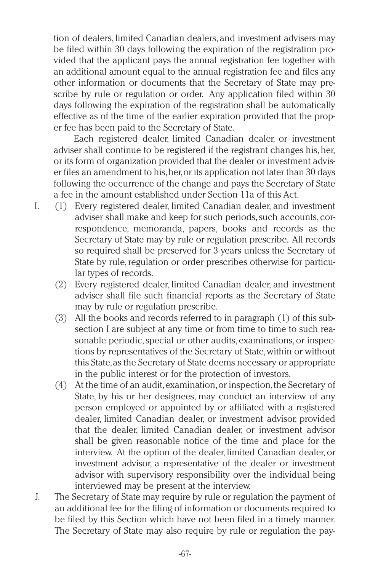tion of dealers, limited Canadian dealers, and investment advisers may be filed within 30 days following the expiration of the registration provided that the applicant pays the annual registration fee together with an additional amount equal to the annual registration fee and files any other information or documents that the Secretary of State may prescribe by rule or regulation or order. Any application filed within 30 days following the expiration of the registration shall be automatically effective as of the time of the earlier expiration provided that the proper fee has been paid to the Secretary of State.

Each registered dealer, limited Canadian dealer, or investment adviser shall continue to be registered if the registrant changes his,her, or its form of organization provided that the dealer or investment adviser files an amendment to his,her,or its application not later than 30 days following the occurrence of the change and pays the Secretary of State a fee in the amount established under Section 11a of this Act.

- I. (1) Every registered dealer, limited Canadian dealer, and investment adviser shall make and keep for such periods, such accounts, correspondence, memoranda, papers, books and records as the Secretary of State may by rule or regulation prescribe. All records so required shall be preserved for 3 years unless the Secretary of State by rule, regulation or order prescribes otherwise for particular types of records.
	- (2) Every registered dealer, limited Canadian dealer, and investment adviser shall file such financial reports as the Secretary of State may by rule or regulation prescribe.
	- (3) All the books and records referred to in paragraph (1) of this subsection I are subject at any time or from time to time to such reasonable periodic, special or other audits, examinations, or inspections by representatives of the Secretary of State,within or without this State,as the Secretary of State deems necessary or appropriate in the public interest or for the protection of investors.
	- (4) At the time of an audit,examination,or inspection,the Secretary of State, by his or her designees, may conduct an interview of any person employed or appointed by or affiliated with a registered dealer, limited Canadian dealer, or investment advisor, provided that the dealer, limited Canadian dealer, or investment advisor shall be given reasonable notice of the time and place for the interview. At the option of the dealer, limited Canadian dealer, or investment advisor, a representative of the dealer or investment advisor with supervisory responsibility over the individual being interviewed may be present at the interview.
- J. The Secretary of State may require by rule or regulation the payment of an additional fee for the filing of information or documents required to be filed by this Section which have not been filed in a timely manner. The Secretary of State may also require by rule or regulation the pay-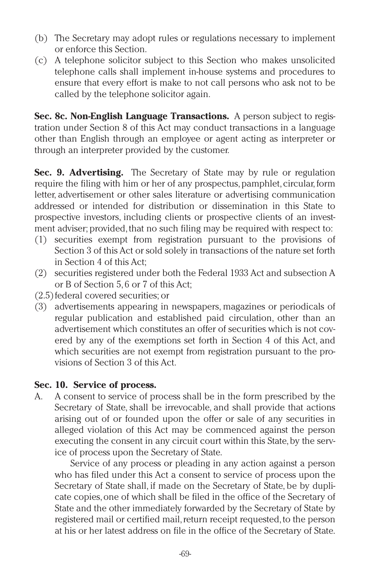- (b) The Secretary may adopt rules or regulations necessary to implement or enforce this Section.
- (c) A telephone solicitor subject to this Section who makes unsolicited telephone calls shall implement in-house systems and procedures to ensure that every effort is make to not call persons who ask not to be called by the telephone solicitor again.

**Sec. 8c. Non-English Language Transactions.** A person subject to registration under Section 8 of this Act may conduct transactions in a language other than English through an employee or agent acting as interpreter or through an interpreter provided by the customer.

**Sec. 9. Advertising.** The Secretary of State may by rule or regulation require the filing with him or her of any prospectus, pamphlet, circular, form letter, advertisement or other sales literature or advertising communication addressed or intended for distribution or dissemination in this State to prospective investors, including clients or prospective clients of an investment adviser; provided, that no such filing may be required with respect to:

- (1) securities exempt from registration pursuant to the provisions of Section 3 of this Act or sold solely in transactions of the nature set forth in Section 4 of this Act;
- (2) securities registered under both the Federal 1933 Act and subsection A or B of Section 5, 6 or 7 of this Act;
- (2.5)federal covered securities; or
- (3) advertisements appearing in newspapers, magazines or periodicals of regular publication and established paid circulation, other than an advertisement which constitutes an offer of securities which is not covered by any of the exemptions set forth in Section 4 of this Act, and which securities are not exempt from registration pursuant to the provisions of Section 3 of this Act.

## **Sec. 10. Service of process.**

A. A consent to service of process shall be in the form prescribed by the Secretary of State, shall be irrevocable, and shall provide that actions arising out of or founded upon the offer or sale of any securities in alleged violation of this Act may be commenced against the person executing the consent in any circuit court within this State, by the service of process upon the Secretary of State.

Service of any process or pleading in any action against a person who has filed under this Act a consent to service of process upon the Secretary of State shall, if made on the Secretary of State, be by duplicate copies,one of which shall be filed in the office of the Secretary of State and the other immediately forwarded by the Secretary of State by registered mail or certified mail, return receipt requested, to the person at his or her latest address on file in the office of the Secretary of State.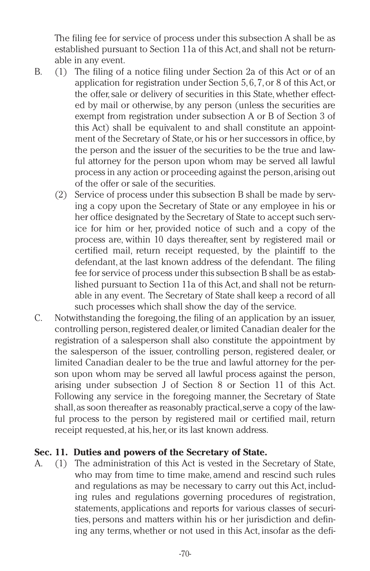The filing fee for service of process under this subsection A shall be as established pursuant to Section 11a of this Act, and shall not be returnable in any event.

- B. (1) The filing of a notice filing under Section 2a of this Act or of an application for registration under Section 5, 6, 7,or 8 of this Act,or the offer, sale or delivery of securities in this State, whether effected by mail or otherwise, by any person (unless the securities are exempt from registration under subsection A or B of Section 3 of this Act) shall be equivalent to and shall constitute an appointment of the Secretary of State,or his or her successors in office,by the person and the issuer of the securities to be the true and lawful attorney for the person upon whom may be served all lawful process in any action or proceeding against the person,arising out of the offer or sale of the securities.
	- (2) Service of process under this subsection B shall be made by serving a copy upon the Secretary of State or any employee in his or her office designated by the Secretary of State to accept such service for him or her, provided notice of such and a copy of the process are, within 10 days thereafter, sent by registered mail or certified mail, return receipt requested, by the plaintiff to the defendant, at the last known address of the defendant. The filing fee for service of process under this subsection B shall be as established pursuant to Section 11a of this Act, and shall not be returnable in any event. The Secretary of State shall keep a record of all such processes which shall show the day of the service.
- C. Notwithstanding the foregoing,the filing of an application by an issuer, controlling person,registered dealer,or limited Canadian dealer for the registration of a salesperson shall also constitute the appointment by the salesperson of the issuer, controlling person, registered dealer, or limited Canadian dealer to be the true and lawful attorney for the person upon whom may be served all lawful process against the person, arising under subsection J of Section 8 or Section 11 of this Act. Following any service in the foregoing manner, the Secretary of State shall, as soon thereafter as reasonably practical, serve a copy of the lawful process to the person by registered mail or certified mail, return receipt requested, at his, her, or its last known address.

## **Sec. 11. Duties and powers of the Secretary of State.**

A. (1) The administration of this Act is vested in the Secretary of State, who may from time to time make, amend and rescind such rules and regulations as may be necessary to carry out this Act, including rules and regulations governing procedures of registration, statements, applications and reports for various classes of securities, persons and matters within his or her jurisdiction and defining any terms, whether or not used in this Act, insofar as the defi-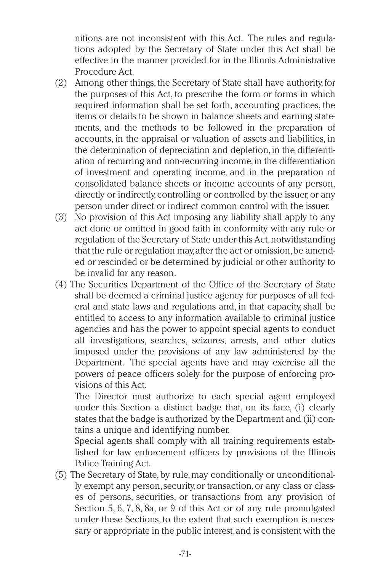nitions are not inconsistent with this Act. The rules and regulations adopted by the Secretary of State under this Act shall be effective in the manner provided for in the Illinois Administrative Procedure Act.

- (2) Among other things, the Secretary of State shall have authority, for the purposes of this Act, to prescribe the form or forms in which required information shall be set forth, accounting practices, the items or details to be shown in balance sheets and earning statements, and the methods to be followed in the preparation of accounts, in the appraisal or valuation of assets and liabilities, in the determination of depreciation and depletion,in the differentiation of recurring and non-recurring income,in the differentiation of investment and operating income, and in the preparation of consolidated balance sheets or income accounts of any person, directly or indirectly, controlling or controlled by the issuer, or any person under direct or indirect common control with the issuer.
- (3) No provision of this Act imposing any liability shall apply to any act done or omitted in good faith in conformity with any rule or regulation of the Secretary of State under this Act, notwithstanding that the rule or regulation may,after the act or omission,be amended or rescinded or be determined by judicial or other authority to be invalid for any reason.
- (4) The Securities Department of the Office of the Secretary of State shall be deemed a criminal justice agency for purposes of all federal and state laws and regulations and, in that capacity, shall be entitled to access to any information available to criminal justice agencies and has the power to appoint special agents to conduct all investigations, searches, seizures, arrests, and other duties imposed under the provisions of any law administered by the Department. The special agents have and may exercise all the powers of peace officers solely for the purpose of enforcing provisions of this Act.

The Director must authorize to each special agent employed under this Section a distinct badge that, on its face, (i) clearly states that the badge is authorized by the Department and (ii) contains a unique and identifying number.

Special agents shall comply with all training requirements established for law enforcement officers by provisions of the Illinois Police Training Act.

(5) The Secretary of State,by rule,may conditionally or unconditionally exempt any person,security,or transaction,or any class or classes of persons, securities, or transactions from any provision of Section 5, 6, 7, 8, 8a, or 9 of this Act or of any rule promulgated under these Sections, to the extent that such exemption is necessary or appropriate in the public interest,and is consistent with the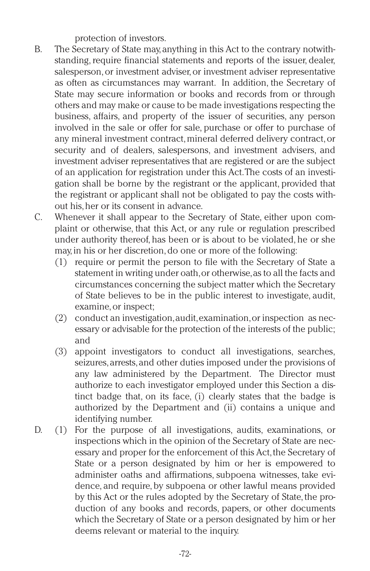protection of investors.

- B. The Secretary of State may,anything in this Act to the contrary notwithstanding, require financial statements and reports of the issuer, dealer, salesperson,or investment adviser,or investment adviser representative as often as circumstances may warrant. In addition, the Secretary of State may secure information or books and records from or through others and may make or cause to be made investigations respecting the business, affairs, and property of the issuer of securities, any person involved in the sale or offer for sale, purchase or offer to purchase of any mineral investment contract, mineral deferred delivery contract, or security and of dealers, salespersons, and investment advisers, and investment adviser representatives that are registered or are the subject of an application for registration under this Act.The costs of an investigation shall be borne by the registrant or the applicant, provided that the registrant or applicant shall not be obligated to pay the costs without his,her or its consent in advance.
- C. Whenever it shall appear to the Secretary of State, either upon complaint or otherwise, that this Act, or any rule or regulation prescribed under authority thereof, has been or is about to be violated, he or she may,in his or her discretion,do one or more of the following:
	- (1) require or permit the person to file with the Secretary of State a statement in writing under oath,or otherwise,as to all the facts and circumstances concerning the subject matter which the Secretary of State believes to be in the public interest to investigate, audit, examine,or inspect;
	- (2) conduct an investigation,audit,examination,or inspection as necessary or advisable for the protection of the interests of the public; and
	- (3) appoint investigators to conduct all investigations, searches, seizures, arrests, and other duties imposed under the provisions of any law administered by the Department. The Director must authorize to each investigator employed under this Section a distinct badge that, on its face, (i) clearly states that the badge is authorized by the Department and (ii) contains a unique and identifying number.
- D. (1) For the purpose of all investigations, audits, examinations, or inspections which in the opinion of the Secretary of State are necessary and proper for the enforcement of this Act, the Secretary of State or a person designated by him or her is empowered to administer oaths and affirmations, subpoena witnesses, take evidence, and require, by subpoena or other lawful means provided by this Act or the rules adopted by the Secretary of State, the production of any books and records, papers, or other documents which the Secretary of State or a person designated by him or her deems relevant or material to the inquiry.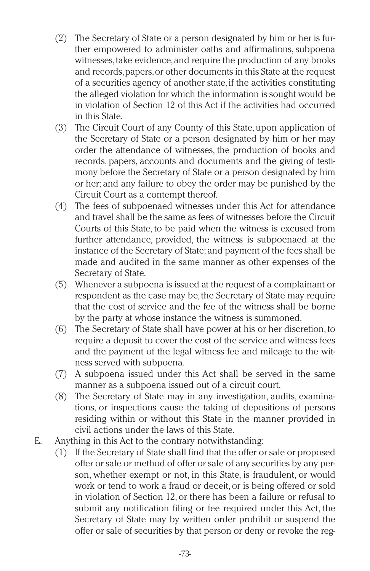- (2) The Secretary of State or a person designated by him or her is further empowered to administer oaths and affirmations, subpoena witnesses,take evidence,and require the production of any books and records,papers,or other documents in this State at the request of a securities agency of another state,if the activities constituting the alleged violation for which the information is sought would be in violation of Section 12 of this Act if the activities had occurred in this State.
- (3) The Circuit Court of any County of this State, upon application of the Secretary of State or a person designated by him or her may order the attendance of witnesses, the production of books and records, papers, accounts and documents and the giving of testimony before the Secretary of State or a person designated by him or her; and any failure to obey the order may be punished by the Circuit Court as a contempt thereof.
- (4) The fees of subpoenaed witnesses under this Act for attendance and travel shall be the same as fees of witnesses before the Circuit Courts of this State, to be paid when the witness is excused from further attendance, provided, the witness is subpoenaed at the instance of the Secretary of State; and payment of the fees shall be made and audited in the same manner as other expenses of the Secretary of State.
- (5) Whenever a subpoena is issued at the request of a complainant or respondent as the case may be,the Secretary of State may require that the cost of service and the fee of the witness shall be borne by the party at whose instance the witness is summoned.
- (6) The Secretary of State shall have power at his or her discretion,to require a deposit to cover the cost of the service and witness fees and the payment of the legal witness fee and mileage to the witness served with subpoena.
- (7) A subpoena issued under this Act shall be served in the same manner as a subpoena issued out of a circuit court.
- (8) The Secretary of State may in any investigation, audits, examinations, or inspections cause the taking of depositions of persons residing within or without this State in the manner provided in civil actions under the laws of this State.
- E. Anything in this Act to the contrary notwithstanding:
	- (1) If the Secretary of State shall find that the offer or sale or proposed offer or sale or method of offer or sale of any securities by any person, whether exempt or not, in this State, is fraudulent, or would work or tend to work a fraud or deceit,or is being offered or sold in violation of Section 12, or there has been a failure or refusal to submit any notification filing or fee required under this Act, the Secretary of State may by written order prohibit or suspend the offer or sale of securities by that person or deny or revoke the reg-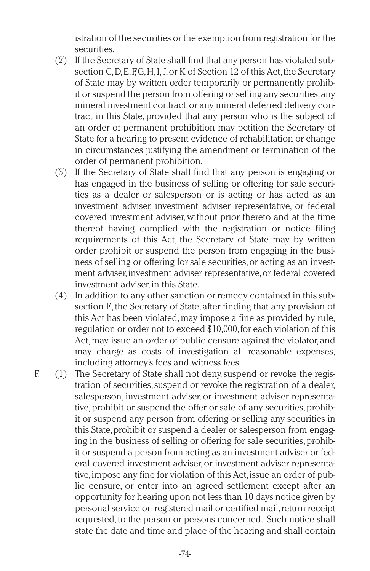istration of the securities or the exemption from registration for the securities.

- (2) If the Secretary of State shall find that any person has violated subsection C, D, E, F, G, H, I, J, or K of Section 12 of this Act, the Secretary of State may by written order temporarily or permanently prohibit or suspend the person from offering or selling any securities,any mineral investment contract,or any mineral deferred delivery contract in this State, provided that any person who is the subject of an order of permanent prohibition may petition the Secretary of State for a hearing to present evidence of rehabilitation or change in circumstances justifying the amendment or termination of the order of permanent prohibition.
- (3) If the Secretary of State shall find that any person is engaging or has engaged in the business of selling or offering for sale securities as a dealer or salesperson or is acting or has acted as an investment adviser, investment adviser representative, or federal covered investment adviser, without prior thereto and at the time thereof having complied with the registration or notice filing requirements of this Act, the Secretary of State may by written order prohibit or suspend the person from engaging in the business of selling or offering for sale securities,or acting as an investment adviser, investment adviser representative, or federal covered investment adviser, in this State.
- (4) In addition to any other sanction or remedy contained in this subsection E, the Secretary of State, after finding that any provision of this Act has been violated,may impose a fine as provided by rule, regulation or order not to exceed \$10,000,for each violation of this Act, may issue an order of public censure against the violator, and may charge as costs of investigation all reasonable expenses, including attorney's fees and witness fees.
- F. (1) The Secretary of State shall not deny,suspend or revoke the registration of securities, suspend or revoke the registration of a dealer, salesperson, investment adviser, or investment adviser representative, prohibit or suspend the offer or sale of any securities, prohibit or suspend any person from offering or selling any securities in this State,prohibit or suspend a dealer or salesperson from engaging in the business of selling or offering for sale securities, prohibit or suspend a person from acting as an investment adviser or federal covered investment adviser, or investment adviser representative, impose any fine for violation of this Act, issue an order of public censure, or enter into an agreed settlement except after an opportunity for hearing upon not less than 10 days notice given by personal service or registered mail or certified mail,return receipt requested, to the person or persons concerned. Such notice shall state the date and time and place of the hearing and shall contain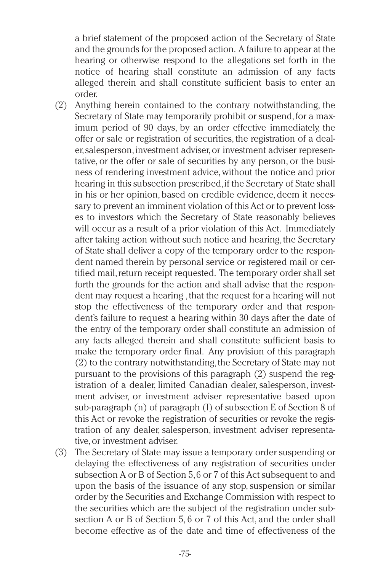a brief statement of the proposed action of the Secretary of State and the grounds for the proposed action. A failure to appear at the hearing or otherwise respond to the allegations set forth in the notice of hearing shall constitute an admission of any facts alleged therein and shall constitute sufficient basis to enter an order.

- (2) Anything herein contained to the contrary notwithstanding, the Secretary of State may temporarily prohibit or suspend, for a maximum period of 90 days, by an order effective immediately, the offer or sale or registration of securities, the registration of a dealer,salesperson,investment adviser,or investment adviser representative, or the offer or sale of securities by any person, or the business of rendering investment advice,without the notice and prior hearing in this subsection prescribed,if the Secretary of State shall in his or her opinion, based on credible evidence, deem it necessary to prevent an imminent violation of this Act or to prevent losses to investors which the Secretary of State reasonably believes will occur as a result of a prior violation of this Act. Immediately after taking action without such notice and hearing,the Secretary of State shall deliver a copy of the temporary order to the respondent named therein by personal service or registered mail or certified mail,return receipt requested. The temporary order shall set forth the grounds for the action and shall advise that the respondent may request a hearing ,that the request for a hearing will not stop the effectiveness of the temporary order and that respondent's failure to request a hearing within 30 days after the date of the entry of the temporary order shall constitute an admission of any facts alleged therein and shall constitute sufficient basis to make the temporary order final. Any provision of this paragraph (2) to the contrary notwithstanding,the Secretary of State may not pursuant to the provisions of this paragraph (2) suspend the registration of a dealer, limited Canadian dealer, salesperson, investment adviser, or investment adviser representative based upon sub-paragraph (n) of paragraph (l) of subsection E of Section 8 of this Act or revoke the registration of securities or revoke the registration of any dealer, salesperson, investment adviser representative,or investment adviser.
- (3) The Secretary of State may issue a temporary order suspending or delaying the effectiveness of any registration of securities under subsection A or B of Section 5,6 or 7 of this Act subsequent to and upon the basis of the issuance of any stop, suspension or similar order by the Securities and Exchange Commission with respect to the securities which are the subject of the registration under subsection A or B of Section 5, 6 or 7 of this Act, and the order shall become effective as of the date and time of effectiveness of the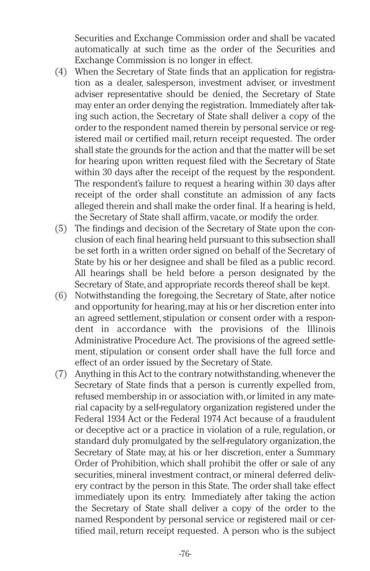Securities and Exchange Commission order and shall be vacated automatically at such time as the order of the Securities and Exchange Commission is no longer in effect.

- (4) When the Secretary of State finds that an application for registration as a dealer, salesperson, investment adviser, or investment adviser representative should be denied, the Secretary of State may enter an order denying the registration. Immediately after taking such action, the Secretary of State shall deliver a copy of the order to the respondent named therein by personal service or registered mail or certified mail, return receipt requested. The order shall state the grounds for the action and that the matter will be set for hearing upon written request filed with the Secretary of State within 30 days after the receipt of the request by the respondent. The respondent's failure to request a hearing within 30 days after receipt of the order shall constitute an admission of any facts alleged therein and shall make the order final. If a hearing is held, the Secretary of State shall affirm, vacate,or modify the order.
- (5) The findings and decision of the Secretary of State upon the conclusion of each final hearing held pursuant to this subsection shall be set forth in a written order signed on behalf of the Secretary of State by his or her designee and shall be filed as a public record. All hearings shall be held before a person designated by the Secretary of State, and appropriate records thereof shall be kept.
- (6) Notwithstanding the foregoing, the Secretary of State, after notice and opportunity for hearing,may at his or her discretion enter into an agreed settlement, stipulation or consent order with a respondent in accordance with the provisions of the Illinois Administrative Procedure Act. The provisions of the agreed settlement, stipulation or consent order shall have the full force and effect of an order issued by the Secretary of State.
- (7) Anything in this Act to the contrary notwithstanding,whenever the Secretary of State finds that a person is currently expelled from, refused membership in or association with, or limited in any material capacity by a self-regulatory organization registered under the Federal 1934 Act or the Federal 1974 Act because of a fraudulent or deceptive act or a practice in violation of a rule, regulation, or standard duly promulgated by the self-regulatory organization,the Secretary of State may, at his or her discretion, enter a Summary Order of Prohibition, which shall prohibit the offer or sale of any securities, mineral investment contract, or mineral deferred delivery contract by the person in this State. The order shall take effect immediately upon its entry. Immediately after taking the action the Secretary of State shall deliver a copy of the order to the named Respondent by personal service or registered mail or certified mail, return receipt requested. A person who is the subject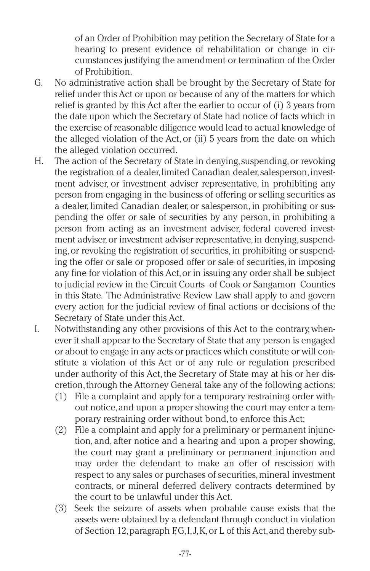of an Order of Prohibition may petition the Secretary of State for a hearing to present evidence of rehabilitation or change in circumstances justifying the amendment or termination of the Order of Prohibition.

- G. No administrative action shall be brought by the Secretary of State for relief under this Act or upon or because of any of the matters for which relief is granted by this Act after the earlier to occur of (i) 3 years from the date upon which the Secretary of State had notice of facts which in the exercise of reasonable diligence would lead to actual knowledge of the alleged violation of the Act, or (ii) 5 years from the date on which the alleged violation occurred.
- H. The action of the Secretary of State in denying, suspending, or revoking the registration of a dealer, limited Canadian dealer, salesperson, investment adviser, or investment adviser representative, in prohibiting any person from engaging in the business of offering or selling securities as a dealer, limited Canadian dealer, or salesperson, in prohibiting or suspending the offer or sale of securities by any person, in prohibiting a person from acting as an investment adviser, federal covered investment adviser, or investment adviser representative, in denying, suspending,or revoking the registration of securities, in prohibiting or suspending the offer or sale or proposed offer or sale of securities, in imposing any fine for violation of this Act,or in issuing any order shall be subject to judicial review in the Circuit Courts of Cook or Sangamon Counties in this State. The Administrative Review Law shall apply to and govern every action for the judicial review of final actions or decisions of the Secretary of State under this Act.
- I. Notwithstanding any other provisions of this Act to the contrary,whenever it shall appear to the Secretary of State that any person is engaged or about to engage in any acts or practices which constitute or will constitute a violation of this Act or of any rule or regulation prescribed under authority of this Act, the Secretary of State may at his or her discretion,through the Attorney General take any of the following actions:
	- (1) File a complaint and apply for a temporary restraining order without notice,and upon a proper showing the court may enter a temporary restraining order without bond, to enforce this Act;
	- (2) File a complaint and apply for a preliminary or permanent injunction, and, after notice and a hearing and upon a proper showing, the court may grant a preliminary or permanent injunction and may order the defendant to make an offer of rescission with respect to any sales or purchases of securities,mineral investment contracts, or mineral deferred delivery contracts determined by the court to be unlawful under this Act.
	- (3) Seek the seizure of assets when probable cause exists that the assets were obtained by a defendant through conduct in violation of Section 12,paragraph F,G,I,J,K,or L of this Act,and thereby sub-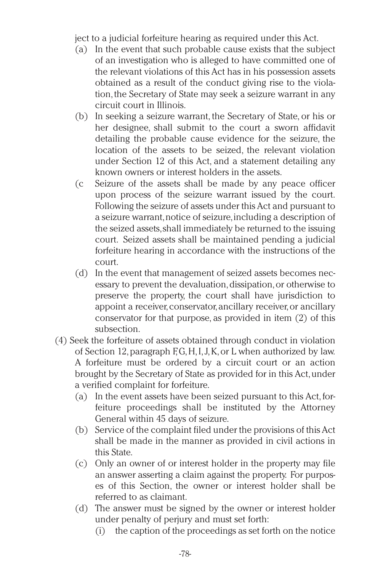ject to a judicial forfeiture hearing as required under this Act.

- (a) In the event that such probable cause exists that the subject of an investigation who is alleged to have committed one of the relevant violations of this Act has in his possession assets obtained as a result of the conduct giving rise to the violation,the Secretary of State may seek a seizure warrant in any circuit court in Illinois.
- (b) In seeking a seizure warrant, the Secretary of State, or his or her designee, shall submit to the court a sworn affidavit detailing the probable cause evidence for the seizure, the location of the assets to be seized, the relevant violation under Section 12 of this Act, and a statement detailing any known owners or interest holders in the assets.
- (c Seizure of the assets shall be made by any peace officer upon process of the seizure warrant issued by the court. Following the seizure of assets under this Act and pursuant to a seizure warrant,notice of seizure,including a description of the seized assets,shall immediately be returned to the issuing court. Seized assets shall be maintained pending a judicial forfeiture hearing in accordance with the instructions of the court.
- (d) In the event that management of seized assets becomes necessary to prevent the devaluation, dissipation, or otherwise to preserve the property, the court shall have jurisdiction to appoint a receiver, conservator, ancillary receiver, or ancillary conservator for that purpose, as provided in item (2) of this subsection.
- (4) Seek the forfeiture of assets obtained through conduct in violation of Section 12,paragraph F,G,H,I,J,K,or L when authorized by law. A forfeiture must be ordered by a circuit court or an action brought by the Secretary of State as provided for in this Act,under a verified complaint for forfeiture.
	- (a) In the event assets have been seized pursuant to this Act, forfeiture proceedings shall be instituted by the Attorney General within 45 days of seizure.
	- (b) Service of the complaint filed under the provisions of this Act shall be made in the manner as provided in civil actions in this State.
	- (c) Only an owner of or interest holder in the property may file an answer asserting a claim against the property. For purposes of this Section, the owner or interest holder shall be referred to as claimant.
	- (d) The answer must be signed by the owner or interest holder under penalty of perjury and must set forth:
		- (i) the caption of the proceedings as set forth on the notice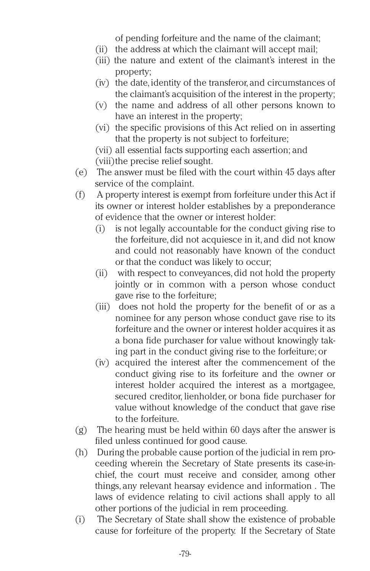of pending forfeiture and the name of the claimant;

- (ii) the address at which the claimant will accept mail;
- (iii) the nature and extent of the claimant's interest in the property;
- (iv) the date,identity of the transferor, and circumstances of the claimant's acquisition of the interest in the property;
- (v) the name and address of all other persons known to have an interest in the property;
- (vi) the specific provisions of this Act relied on in asserting that the property is not subject to forfeiture;

(vii) all essential facts supporting each assertion; and (viii)the precise relief sought.

- (e) The answer must be filed with the court within 45 days after service of the complaint.
- (f) A property interest is exempt from forfeiture under this Act if its owner or interest holder establishes by a preponderance of evidence that the owner or interest holder:
	- (i) is not legally accountable for the conduct giving rise to the forfeiture, did not acquiesce in it, and did not know and could not reasonably have known of the conduct or that the conduct was likely to occur;
	- (ii) with respect to conveyances, did not hold the property jointly or in common with a person whose conduct gave rise to the forfeiture;
	- (iii) does not hold the property for the benefit of or as a nominee for any person whose conduct gave rise to its forfeiture and the owner or interest holder acquires it as a bona fide purchaser for value without knowingly taking part in the conduct giving rise to the forfeiture; or
	- (iv) acquired the interest after the commencement of the conduct giving rise to its forfeiture and the owner or interest holder acquired the interest as a mortgagee, secured creditor, lienholder, or bona fide purchaser for value without knowledge of the conduct that gave rise to the forfeiture.
- (g) The hearing must be held within 60 days after the answer is filed unless continued for good cause.
- (h) During the probable cause portion of the judicial in rem proceeding wherein the Secretary of State presents its case-inchief, the court must receive and consider, among other things, any relevant hearsay evidence and information . The laws of evidence relating to civil actions shall apply to all other portions of the judicial in rem proceeding.
- (i) The Secretary of State shall show the existence of probable cause for forfeiture of the property. If the Secretary of State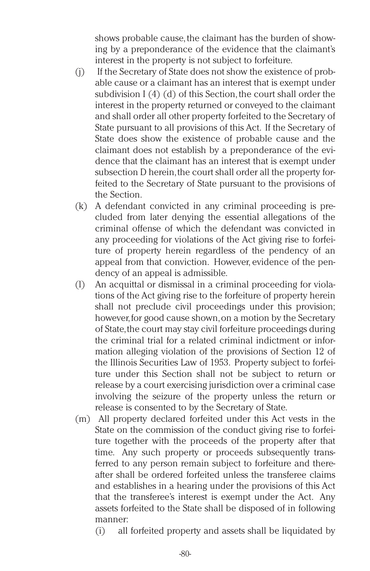shows probable cause, the claimant has the burden of showing by a preponderance of the evidence that the claimant's interest in the property is not subject to forfeiture.

- (j) If the Secretary of State does not show the existence of probable cause or a claimant has an interest that is exempt under subdivision  $I(4)(d)$  of this Section, the court shall order the interest in the property returned or conveyed to the claimant and shall order all other property forfeited to the Secretary of State pursuant to all provisions of this Act. If the Secretary of State does show the existence of probable cause and the claimant does not establish by a preponderance of the evidence that the claimant has an interest that is exempt under subsection D herein, the court shall order all the property forfeited to the Secretary of State pursuant to the provisions of the Section.
- (k) A defendant convicted in any criminal proceeding is precluded from later denying the essential allegations of the criminal offense of which the defendant was convicted in any proceeding for violations of the Act giving rise to forfeiture of property herein regardless of the pendency of an appeal from that conviction. However, evidence of the pendency of an appeal is admissible.
- (l) An acquittal or dismissal in a criminal proceeding for violations of the Act giving rise to the forfeiture of property herein shall not preclude civil proceedings under this provision; however, for good cause shown, on a motion by the Secretary of State,the court may stay civil forfeiture proceedings during the criminal trial for a related criminal indictment or information alleging violation of the provisions of Section 12 of the Illinois Securities Law of 1953. Property subject to forfeiture under this Section shall not be subject to return or release by a court exercising jurisdiction over a criminal case involving the seizure of the property unless the return or release is consented to by the Secretary of State.
- (m) All property declared forfeited under this Act vests in the State on the commission of the conduct giving rise to forfeiture together with the proceeds of the property after that time. Any such property or proceeds subsequently transferred to any person remain subject to forfeiture and thereafter shall be ordered forfeited unless the transferee claims and establishes in a hearing under the provisions of this Act that the transferee's interest is exempt under the Act. Any assets forfeited to the State shall be disposed of in following manner:
	- (i) all forfeited property and assets shall be liquidated by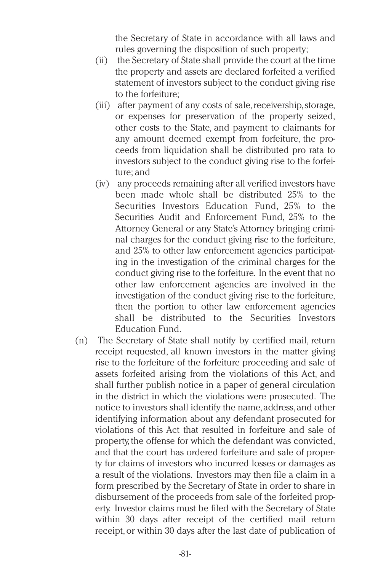the Secretary of State in accordance with all laws and rules governing the disposition of such property;

- (ii) the Secretary of State shall provide the court at the time the property and assets are declared forfeited a verified statement of investors subject to the conduct giving rise to the forfeiture;
- (iii) after payment of any costs of sale, receivership, storage, or expenses for preservation of the property seized, other costs to the State, and payment to claimants for any amount deemed exempt from forfeiture, the proceeds from liquidation shall be distributed pro rata to investors subject to the conduct giving rise to the forfeiture; and
- (iv) any proceeds remaining after all verified investors have been made whole shall be distributed 25% to the Securities Investors Education Fund, 25% to the Securities Audit and Enforcement Fund, 25% to the Attorney General or any State's Attorney bringing criminal charges for the conduct giving rise to the forfeiture, and 25% to other law enforcement agencies participating in the investigation of the criminal charges for the conduct giving rise to the forfeiture. In the event that no other law enforcement agencies are involved in the investigation of the conduct giving rise to the forfeiture, then the portion to other law enforcement agencies shall be distributed to the Securities Investors Education Fund.
- (n) The Secretary of State shall notify by certified mail, return receipt requested, all known investors in the matter giving rise to the forfeiture of the forfeiture proceeding and sale of assets forfeited arising from the violations of this Act, and shall further publish notice in a paper of general circulation in the district in which the violations were prosecuted. The notice to investors shall identify the name,address,and other identifying information about any defendant prosecuted for violations of this Act that resulted in forfeiture and sale of property, the offense for which the defendant was convicted, and that the court has ordered forfeiture and sale of property for claims of investors who incurred losses or damages as a result of the violations. Investors may then file a claim in a form prescribed by the Secretary of State in order to share in disbursement of the proceeds from sale of the forfeited property. Investor claims must be filed with the Secretary of State within 30 days after receipt of the certified mail return receipt,or within 30 days after the last date of publication of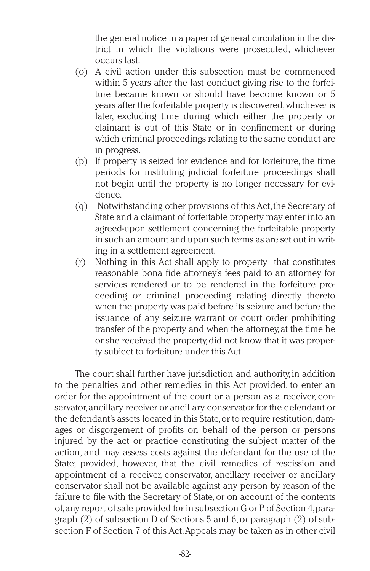the general notice in a paper of general circulation in the district in which the violations were prosecuted, whichever occurs last.

- (o) A civil action under this subsection must be commenced within 5 years after the last conduct giving rise to the forfeiture became known or should have become known or 5 years after the forfeitable property is discovered,whichever is later, excluding time during which either the property or claimant is out of this State or in confinement or during which criminal proceedings relating to the same conduct are in progress.
- (p) If property is seized for evidence and for forfeiture, the time periods for instituting judicial forfeiture proceedings shall not begin until the property is no longer necessary for evidence.
- (q) Notwithstanding other provisions of this Act,the Secretary of State and a claimant of forfeitable property may enter into an agreed-upon settlement concerning the forfeitable property in such an amount and upon such terms as are set out in writing in a settlement agreement.
- (r) Nothing in this Act shall apply to property that constitutes reasonable bona fide attorney's fees paid to an attorney for services rendered or to be rendered in the forfeiture proceeding or criminal proceeding relating directly thereto when the property was paid before its seizure and before the issuance of any seizure warrant or court order prohibiting transfer of the property and when the attorney,at the time he or she received the property,did not know that it was property subject to forfeiture under this Act.

The court shall further have jurisdiction and authority, in addition to the penalties and other remedies in this Act provided, to enter an order for the appointment of the court or a person as a receiver, conservator,ancillary receiver or ancillary conservator for the defendant or the defendant's assets located in this State,or to require restitution,damages or disgorgement of profits on behalf of the person or persons injured by the act or practice constituting the subject matter of the action, and may assess costs against the defendant for the use of the State; provided, however, that the civil remedies of rescission and appointment of a receiver, conservator, ancillary receiver or ancillary conservator shall not be available against any person by reason of the failure to file with the Secretary of State,or on account of the contents of,any report of sale provided for in subsection G or P of Section 4,paragraph (2) of subsection D of Sections 5 and 6,or paragraph (2) of subsection F of Section 7 of this Act.Appeals may be taken as in other civil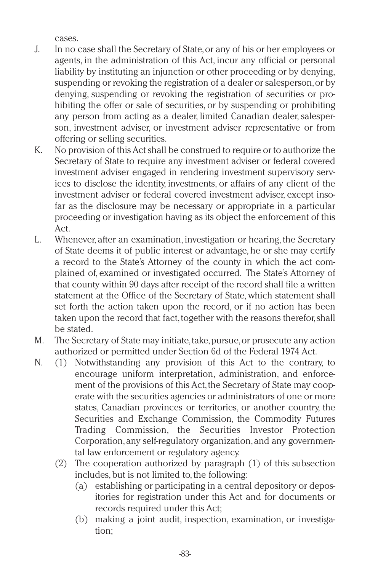cases.

- J. In no case shall the Secretary of State,or any of his or her employees or agents, in the administration of this Act, incur any official or personal liability by instituting an injunction or other proceeding or by denying, suspending or revoking the registration of a dealer or salesperson, or by denying, suspending or revoking the registration of securities or prohibiting the offer or sale of securities, or by suspending or prohibiting any person from acting as a dealer, limited Canadian dealer, salesperson, investment adviser, or investment adviser representative or from offering or selling securities.
- K. No provision of this Act shall be construed to require or to authorize the Secretary of State to require any investment adviser or federal covered investment adviser engaged in rendering investment supervisory services to disclose the identity, investments, or affairs of any client of the investment adviser or federal covered investment adviser, except insofar as the disclosure may be necessary or appropriate in a particular proceeding or investigation having as its object the enforcement of this Act.
- L. Whenever, after an examination, investigation or hearing, the Secretary of State deems it of public interest or advantage, he or she may certify a record to the State's Attorney of the county in which the act complained of, examined or investigated occurred. The State's Attorney of that county within 90 days after receipt of the record shall file a written statement at the Office of the Secretary of State, which statement shall set forth the action taken upon the record, or if no action has been taken upon the record that fact, together with the reasons therefor, shall be stated.
- M. The Secretary of State may initiate,take,pursue,or prosecute any action authorized or permitted under Section 6d of the Federal 1974 Act.
- N. (1) Notwithstanding any provision of this Act to the contrary, to encourage uniform interpretation, administration, and enforcement of the provisions of this Act, the Secretary of State may cooperate with the securities agencies or administrators of one or more states, Canadian provinces or territories, or another country, the Securities and Exchange Commission, the Commodity Futures Trading Commission, the Securities Investor Protection Corporation,any self-regulatory organization,and any governmental law enforcement or regulatory agency.
	- (2) The cooperation authorized by paragraph (1) of this subsection includes,but is not limited to,the following:
		- (a) establishing or participating in a central depository or depositories for registration under this Act and for documents or records required under this Act;
		- (b) making a joint audit, inspection, examination, or investigation;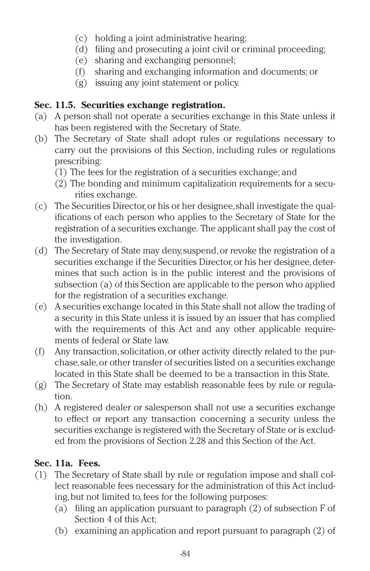- (c) holding a joint administrative hearing;
- (d) filing and prosecuting a joint civil or criminal proceeding;
- (e) sharing and exchanging personnel;
- (f) sharing and exchanging information and documents; or
- (g) issuing any joint statement or policy.

# **Sec. 11.5. Securities exchange registration.**

- (a) A person shall not operate a securities exchange in this State unless it has been registered with the Secretary of State.
- (b) The Secretary of State shall adopt rules or regulations necessary to carry out the provisions of this Section, including rules or regulations prescribing:
	- (1) The fees for the registration of a securities exchange; and
	- (2) The bonding and minimum capitalization requirements for a securities exchange.
- (c) The Securities Director,or his or her designee,shall investigate the qualifications of each person who applies to the Secretary of State for the registration of a securities exchange. The applicant shall pay the cost of the investigation.
- (d) The Secretary of State may deny,suspend,or revoke the registration of a securities exchange if the Securities Director, or his her designee, determines that such action is in the public interest and the provisions of subsection (a) of this Section are applicable to the person who applied for the registration of a securities exchange.
- (e) A securities exchange located in this State shall not allow the trading of a security in this State unless it is issued by an issuer that has complied with the requirements of this Act and any other applicable requirements of federal or State law.
- (f) Any transaction,solicitation,or other activity directly related to the purchase,sale,or other transfer of securities listed on a securities exchange located in this State shall be deemed to be a transaction in this State.
- (g) The Secretary of State may establish reasonable fees by rule or regulation.
- (h) A registered dealer or salesperson shall not use a securities exchange to effect or report any transaction concerning a security unless the securities exchange is registered with the Secretary of State or is excluded from the provisions of Section 2.28 and this Section of the Act.

# **Sec. 11a. Fees.**

- (1) The Secretary of State shall by rule or regulation impose and shall collect reasonable fees necessary for the administration of this Act including, but not limited to, fees for the following purposes:
	- (a) filing an application pursuant to paragraph (2) of subsection F of Section 4 of this Act;
	- (b) examining an application and report pursuant to paragraph (2) of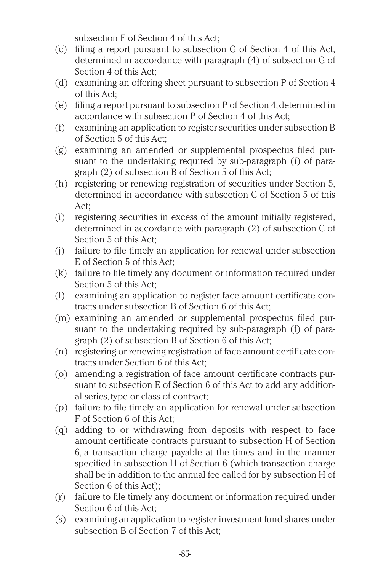subsection F of Section 4 of this Act;

- (c) filing a report pursuant to subsection G of Section 4 of this Act, determined in accordance with paragraph (4) of subsection G of Section 4 of this Act;
- (d) examining an offering sheet pursuant to subsection P of Section 4 of this Act;
- (e) filing a report pursuant to subsection P of Section 4,determined in accordance with subsection P of Section 4 of this Act;
- (f) examining an application to register securities under subsection B of Section 5 of this Act;
- (g) examining an amended or supplemental prospectus filed pursuant to the undertaking required by sub-paragraph (i) of paragraph (2) of subsection B of Section 5 of this Act;
- (h) registering or renewing registration of securities under Section 5, determined in accordance with subsection C of Section 5 of this Act;
- (i) registering securities in excess of the amount initially registered, determined in accordance with paragraph (2) of subsection C of Section 5 of this Act;
- (j) failure to file timely an application for renewal under subsection E of Section 5 of this Act;
- (k) failure to file timely any document or information required under Section 5 of this Act;
- (l) examining an application to register face amount certificate contracts under subsection B of Section 6 of this Act;
- (m) examining an amended or supplemental prospectus filed pursuant to the undertaking required by sub-paragraph (f) of paragraph (2) of subsection B of Section 6 of this Act;
- (n) registering or renewing registration of face amount certificate contracts under Section 6 of this Act;
- (o) amending a registration of face amount certificate contracts pursuant to subsection E of Section 6 of this Act to add any additional series,type or class of contract;
- (p) failure to file timely an application for renewal under subsection F of Section 6 of this Act;
- (q) adding to or withdrawing from deposits with respect to face amount certificate contracts pursuant to subsection H of Section 6, a transaction charge payable at the times and in the manner specified in subsection H of Section 6 (which transaction charge shall be in addition to the annual fee called for by subsection H of Section 6 of this Act);
- (r) failure to file timely any document or information required under Section 6 of this Act;
- (s) examining an application to register investment fund shares under subsection B of Section 7 of this Act;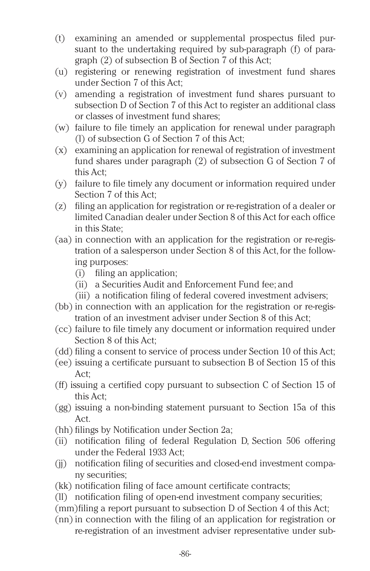- (t) examining an amended or supplemental prospectus filed pursuant to the undertaking required by sub-paragraph (f) of paragraph (2) of subsection B of Section 7 of this Act;
- (u) registering or renewing registration of investment fund shares under Section 7 of this Act;
- (v) amending a registration of investment fund shares pursuant to subsection D of Section 7 of this Act to register an additional class or classes of investment fund shares;
- (w) failure to file timely an application for renewal under paragraph (l) of subsection G of Section 7 of this Act;
- (x) examining an application for renewal of registration of investment fund shares under paragraph (2) of subsection G of Section 7 of this Act;
- (y) failure to file timely any document or information required under Section 7 of this Act;
- (z) filing an application for registration or re-registration of a dealer or limited Canadian dealer under Section 8 of this Act for each office in this State;
- (aa) in connection with an application for the registration or re-registration of a salesperson under Section 8 of this Act, for the following purposes:
	- (i) filing an application;
	- (ii) a Securities Audit and Enforcement Fund fee; and
	- (iii) a notification filing of federal covered investment advisers;
- (bb) in connection with an application for the registration or re-registration of an investment adviser under Section 8 of this Act;
- (cc) failure to file timely any document or information required under Section 8 of this Act;
- (dd) filing a consent to service of process under Section 10 of this Act;
- (ee) issuing a certificate pursuant to subsection B of Section 15 of this Act;
- (ff) issuing a certified copy pursuant to subsection C of Section 15 of this Act;
- (gg) issuing a non-binding statement pursuant to Section 15a of this Act.
- (hh) filings by Notification under Section 2a;
- (ii) notification filing of federal Regulation D, Section 506 offering under the Federal 1933 Act;
- (jj) notification filing of securities and closed-end investment company securities;
- (kk) notification filing of face amount certificate contracts;
- (ll) notification filing of open-end investment company securities;
- (mm)filing a report pursuant to subsection D of Section 4 of this Act;
- (nn) in connection with the filing of an application for registration or re-registration of an investment adviser representative under sub-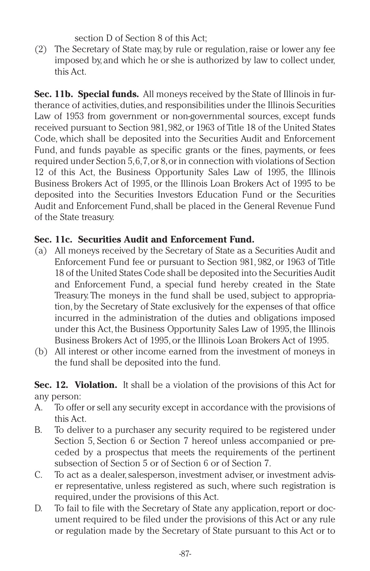section D of Section 8 of this Act;

(2) The Secretary of State may, by rule or regulation,raise or lower any fee imposed by,and which he or she is authorized by law to collect under, this Act.

**Sec. 11b. Special funds.** All moneys received by the State of Illinois in furtherance of activities, duties, and responsibilities under the Illinois Securities Law of 1953 from government or non-governmental sources, except funds received pursuant to Section 981,982,or 1963 of Title 18 of the United States Code, which shall be deposited into the Securities Audit and Enforcement Fund, and funds payable as specific grants or the fines, payments, or fees required under Section 5,6,7,or 8,or in connection with violations of Section 12 of this Act, the Business Opportunity Sales Law of 1995, the Illinois Business Brokers Act of 1995, or the Illinois Loan Brokers Act of 1995 to be deposited into the Securities Investors Education Fund or the Securities Audit and Enforcement Fund,shall be placed in the General Revenue Fund of the State treasury.

# **Sec. 11c. Securities Audit and Enforcement Fund.**

- (a) All moneys received by the Secretary of State as a Securities Audit and Enforcement Fund fee or pursuant to Section 981, 982, or 1963 of Title 18 of the United States Code shall be deposited into the Securities Audit and Enforcement Fund, a special fund hereby created in the State Treasury. The moneys in the fund shall be used, subject to appropriation,by the Secretary of State exclusively for the expenses of that office incurred in the administration of the duties and obligations imposed under this Act, the Business Opportunity Sales Law of 1995, the Illinois Business Brokers Act of 1995, or the Illinois Loan Brokers Act of 1995.
- (b) All interest or other income earned from the investment of moneys in the fund shall be deposited into the fund.

**Sec. 12. Violation.** It shall be a violation of the provisions of this Act for any person:

- A. To offer or sell any security except in accordance with the provisions of this Act.
- B. To deliver to a purchaser any security required to be registered under Section 5, Section 6 or Section 7 hereof unless accompanied or preceded by a prospectus that meets the requirements of the pertinent subsection of Section 5 or of Section 6 or of Section 7.
- C. To act as a dealer, salesperson, investment adviser, or investment adviser representative, unless registered as such, where such registration is required,under the provisions of this Act.
- D. To fail to file with the Secretary of State any application, report or document required to be filed under the provisions of this Act or any rule or regulation made by the Secretary of State pursuant to this Act or to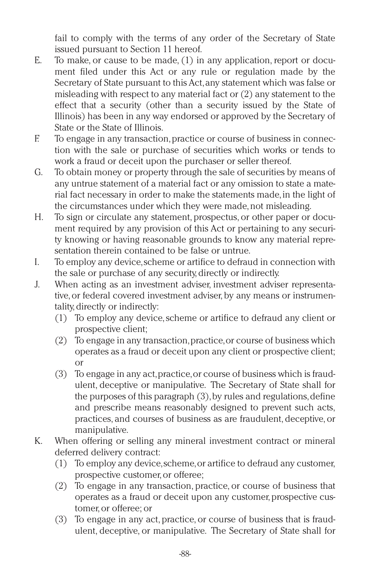fail to comply with the terms of any order of the Secretary of State issued pursuant to Section 11 hereof.

- E. To make, or cause to be made, (1) in any application, report or document filed under this Act or any rule or regulation made by the Secretary of State pursuant to this Act,any statement which was false or misleading with respect to any material fact or (2) any statement to the effect that a security (other than a security issued by the State of Illinois) has been in any way endorsed or approved by the Secretary of State or the State of Illinois.
- F. To engage in any transaction,practice or course of business in connection with the sale or purchase of securities which works or tends to work a fraud or deceit upon the purchaser or seller thereof.
- G. To obtain money or property through the sale of securities by means of any untrue statement of a material fact or any omission to state a material fact necessary in order to make the statements made,in the light of the circumstances under which they were made,not misleading.
- H. To sign or circulate any statement, prospectus, or other paper or document required by any provision of this Act or pertaining to any security knowing or having reasonable grounds to know any material representation therein contained to be false or untrue.
- I. To employ any device,scheme or artifice to defraud in connection with the sale or purchase of any security,directly or indirectly.
- J. When acting as an investment adviser, investment adviser representative, or federal covered investment adviser, by any means or instrumentality, directly or indirectly:
	- (1) To employ any device,scheme or artifice to defraud any client or prospective client;
	- (2) To engage in any transaction,practice,or course of business which operates as a fraud or deceit upon any client or prospective client; or
	- (3) To engage in any act,practice,or course of business which is fraudulent, deceptive or manipulative. The Secretary of State shall for the purposes of this paragraph  $(3)$ , by rules and regulations, define and prescribe means reasonably designed to prevent such acts, practices, and courses of business as are fraudulent, deceptive, or manipulative.
- K. When offering or selling any mineral investment contract or mineral deferred delivery contract:
	- (1) To employ any device,scheme,or artifice to defraud any customer, prospective customer,or offeree;
	- (2) To engage in any transaction, practice, or course of business that operates as a fraud or deceit upon any customer, prospective customer,or offeree; or
	- (3) To engage in any act, practice, or course of business that is fraudulent, deceptive, or manipulative. The Secretary of State shall for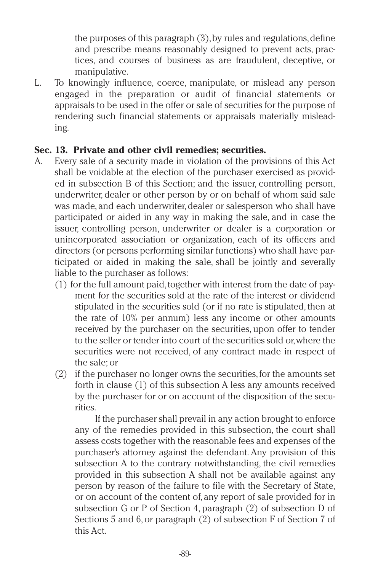the purposes of this paragraph  $(3)$ , by rules and regulations, define and prescribe means reasonably designed to prevent acts, practices, and courses of business as are fraudulent, deceptive, or manipulative.

L. To knowingly influence, coerce, manipulate, or mislead any person engaged in the preparation or audit of financial statements or appraisals to be used in the offer or sale of securities for the purpose of rendering such financial statements or appraisals materially misleading.

#### **Sec. 13. Private and other civil remedies; securities.**

- A. Every sale of a security made in violation of the provisions of this Act shall be voidable at the election of the purchaser exercised as provided in subsection B of this Section; and the issuer, controlling person, underwriter, dealer or other person by or on behalf of whom said sale was made, and each underwriter, dealer or salesperson who shall have participated or aided in any way in making the sale, and in case the issuer, controlling person, underwriter or dealer is a corporation or unincorporated association or organization, each of its officers and directors (or persons performing similar functions) who shall have participated or aided in making the sale, shall be jointly and severally liable to the purchaser as follows:
	- (1) for the full amount paid,together with interest from the date of payment for the securities sold at the rate of the interest or dividend stipulated in the securities sold (or if no rate is stipulated, then at the rate of 10% per annum) less any income or other amounts received by the purchaser on the securities, upon offer to tender to the seller or tender into court of the securities sold or,where the securities were not received, of any contract made in respect of the sale; or
	- (2) if the purchaser no longer owns the securities,for the amounts set forth in clause (1) of this subsection A less any amounts received by the purchaser for or on account of the disposition of the securities.

If the purchaser shall prevail in any action brought to enforce any of the remedies provided in this subsection, the court shall assess costs together with the reasonable fees and expenses of the purchaser's attorney against the defendant. Any provision of this subsection A to the contrary notwithstanding, the civil remedies provided in this subsection A shall not be available against any person by reason of the failure to file with the Secretary of State, or on account of the content of, any report of sale provided for in subsection G or P of Section 4, paragraph (2) of subsection D of Sections 5 and 6, or paragraph (2) of subsection F of Section 7 of this Act.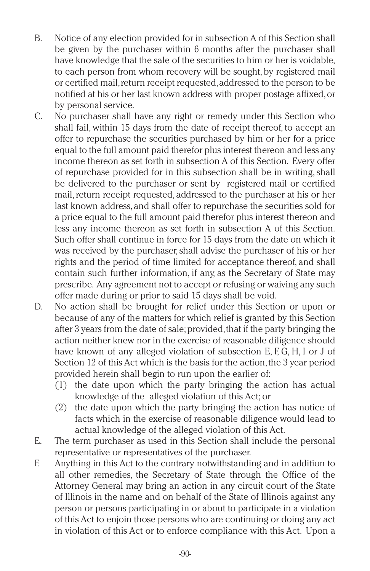- B. Notice of any election provided for in subsection A of this Section shall be given by the purchaser within 6 months after the purchaser shall have knowledge that the sale of the securities to him or her is voidable, to each person from whom recovery will be sought, by registered mail or certified mail,return receipt requested,addressed to the person to be notified at his or her last known address with proper postage affixed,or by personal service.
- C. No purchaser shall have any right or remedy under this Section who shall fail, within 15 days from the date of receipt thereof, to accept an offer to repurchase the securities purchased by him or her for a price equal to the full amount paid therefor plus interest thereon and less any income thereon as set forth in subsection A of this Section. Every offer of repurchase provided for in this subsection shall be in writing, shall be delivered to the purchaser or sent by registered mail or certified mail, return receipt requested, addressed to the purchaser at his or her last known address, and shall offer to repurchase the securities sold for a price equal to the full amount paid therefor plus interest thereon and less any income thereon as set forth in subsection A of this Section. Such offer shall continue in force for 15 days from the date on which it was received by the purchaser,shall advise the purchaser of his or her rights and the period of time limited for acceptance thereof, and shall contain such further information, if any, as the Secretary of State may prescribe. Any agreement not to accept or refusing or waiving any such offer made during or prior to said 15 days shall be void.
- D. No action shall be brought for relief under this Section or upon or because of any of the matters for which relief is granted by this Section after 3 years from the date of sale; provided, that if the party bringing the action neither knew nor in the exercise of reasonable diligence should have known of any alleged violation of subsection E, F, G, H, I or J of Section 12 of this Act which is the basis for the action,the 3 year period provided herein shall begin to run upon the earlier of:
	- (1) the date upon which the party bringing the action has actual knowledge of the alleged violation of this Act; or
	- (2) the date upon which the party bringing the action has notice of facts which in the exercise of reasonable diligence would lead to actual knowledge of the alleged violation of this Act.
- E. The term purchaser as used in this Section shall include the personal representative or representatives of the purchaser.
- F. Anything in this Act to the contrary notwithstanding and in addition to all other remedies, the Secretary of State through the Office of the Attorney General may bring an action in any circuit court of the State of Illinois in the name and on behalf of the State of Illinois against any person or persons participating in or about to participate in a violation of this Act to enjoin those persons who are continuing or doing any act in violation of this Act or to enforce compliance with this Act. Upon a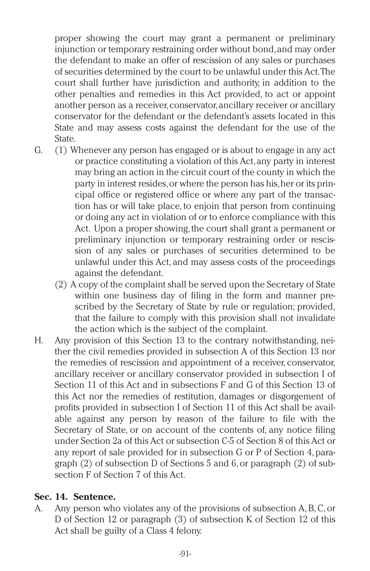proper showing the court may grant a permanent or preliminary injunction or temporary restraining order without bond,and may order the defendant to make an offer of rescission of any sales or purchases of securities determined by the court to be unlawful under this Act.The court shall further have jurisdiction and authority, in addition to the other penalties and remedies in this Act provided, to act or appoint another person as a receiver, conservator, ancillary receiver or ancillary conservator for the defendant or the defendant's assets located in this State and may assess costs against the defendant for the use of the State.

- G. (1) Whenever any person has engaged or is about to engage in any act or practice constituting a violation of this Act,any party in interest may bring an action in the circuit court of the county in which the party in interest resides,or where the person has his,her or its principal office or registered office or where any part of the transaction has or will take place, to enjoin that person from continuing or doing any act in violation of or to enforce compliance with this Act. Upon a proper showing, the court shall grant a permanent or preliminary injunction or temporary restraining order or rescission of any sales or purchases of securities determined to be unlawful under this Act, and may assess costs of the proceedings against the defendant.
	- (2) A copy of the complaint shall be served upon the Secretary of State within one business day of filing in the form and manner prescribed by the Secretary of State by rule or regulation; provided, that the failure to comply with this provision shall not invalidate the action which is the subject of the complaint.
- H. Any provision of this Section 13 to the contrary notwithstanding, neither the civil remedies provided in subsection A of this Section 13 nor the remedies of rescission and appointment of a receiver, conservator, ancillary receiver or ancillary conservator provided in subsection I of Section 11 of this Act and in subsections F and G of this Section 13 of this Act nor the remedies of restitution, damages or disgorgement of profits provided in subsection I of Section 11 of this Act shall be available against any person by reason of the failure to file with the Secretary of State, or on account of the contents of, any notice filing under Section 2a of this Act or subsection C-5 of Section 8 of this Act or any report of sale provided for in subsection G or P of Section 4, paragraph (2) of subsection D of Sections 5 and 6,or paragraph (2) of subsection F of Section 7 of this Act.

## **Sec. 14. Sentence.**

A. Any person who violates any of the provisions of subsection A,B,C, or D of Section 12 or paragraph (3) of subsection K of Section 12 of this Act shall be guilty of a Class 4 felony.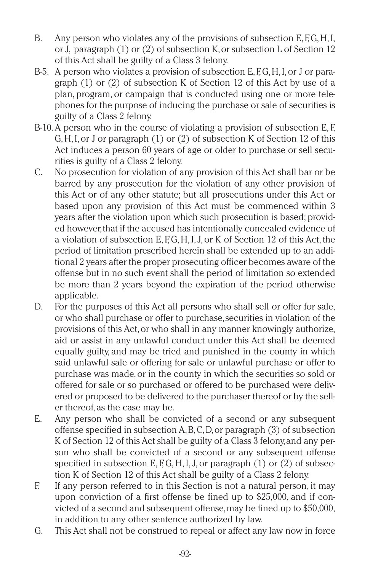- B. Any person who violates any of the provisions of subsection  $E, F, G, H, I$ , or J, paragraph (1) or (2) of subsection K,or subsection L of Section 12 of this Act shall be guilty of a Class 3 felony.
- B-5. A person who violates a provision of subsection E, F, G, H, I, or J or paragraph (1) or (2) of subsection K of Section 12 of this Act by use of a plan, program, or campaign that is conducted using one or more telephones for the purpose of inducing the purchase or sale of securities is guilty of a Class 2 felony.
- B-10.A person who in the course of violating a provision of subsection E, F, G,H,I,or J or paragraph (1) or (2) of subsection K of Section 12 of this Act induces a person 60 years of age or older to purchase or sell securities is guilty of a Class 2 felony.
- C. No prosecution for violation of any provision of this Act shall bar or be barred by any prosecution for the violation of any other provision of this Act or of any other statute; but all prosecutions under this Act or based upon any provision of this Act must be commenced within 3 years after the violation upon which such prosecution is based; provided however,that if the accused has intentionally concealed evidence of a violation of subsection E, F,G, H, I,J, or K of Section 12 of this Act, the period of limitation prescribed herein shall be extended up to an additional 2 years after the proper prosecuting officer becomes aware of the offense but in no such event shall the period of limitation so extended be more than 2 years beyond the expiration of the period otherwise applicable.
- D. For the purposes of this Act all persons who shall sell or offer for sale, or who shall purchase or offer to purchase,securities in violation of the provisions of this Act,or who shall in any manner knowingly authorize, aid or assist in any unlawful conduct under this Act shall be deemed equally guilty, and may be tried and punished in the county in which said unlawful sale or offering for sale or unlawful purchase or offer to purchase was made,or in the county in which the securities so sold or offered for sale or so purchased or offered to be purchased were delivered or proposed to be delivered to the purchaser thereof or by the seller thereof, as the case may be.
- E. Any person who shall be convicted of a second or any subsequent offense specified in subsection A,B,C,D,or paragraph (3) of subsection K of Section 12 of this Act shall be guilty of a Class 3 felony,and any person who shall be convicted of a second or any subsequent offense specified in subsection E,  $F, G, H, I, J$ , or paragraph (1) or (2) of subsection K of Section 12 of this Act shall be guilty of a Class 2 felony.
- F. If any person referred to in this Section is not a natural person, it may upon conviction of a first offense be fined up to \$25,000, and if convicted of a second and subsequent offense,may be fined up to \$50,000, in addition to any other sentence authorized by law.
- G. This Act shall not be construed to repeal or affect any law now in force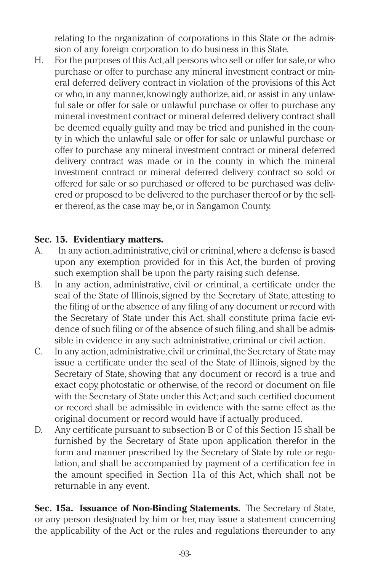relating to the organization of corporations in this State or the admission of any foreign corporation to do business in this State.

H. For the purposes of this Act,all persons who sell or offer for sale,or who purchase or offer to purchase any mineral investment contract or mineral deferred delivery contract in violation of the provisions of this Act or who,in any manner, knowingly authorize, aid,or assist in any unlawful sale or offer for sale or unlawful purchase or offer to purchase any mineral investment contract or mineral deferred delivery contract shall be deemed equally guilty and may be tried and punished in the county in which the unlawful sale or offer for sale or unlawful purchase or offer to purchase any mineral investment contract or mineral deferred delivery contract was made or in the county in which the mineral investment contract or mineral deferred delivery contract so sold or offered for sale or so purchased or offered to be purchased was delivered or proposed to be delivered to the purchaser thereof or by the seller thereof, as the case may be,or in Sangamon County.

#### **Sec. 15. Evidentiary matters.**

- A. In any action,administrative,civil or criminal,where a defense is based upon any exemption provided for in this Act, the burden of proving such exemption shall be upon the party raising such defense.
- B. In any action, administrative, civil or criminal, a certificate under the seal of the State of Illinois,signed by the Secretary of State, attesting to the filing of or the absence of any filing of any document or record with the Secretary of State under this Act, shall constitute prima facie evidence of such filing or of the absence of such filing,and shall be admissible in evidence in any such administrative, criminal or civil action.
- C. In any action,administrative,civil or criminal,the Secretary of State may issue a certificate under the seal of the State of Illinois, signed by the Secretary of State, showing that any document or record is a true and exact copy, photostatic or otherwise, of the record or document on file with the Secretary of State under this Act; and such certified document or record shall be admissible in evidence with the same effect as the original document or record would have if actually produced.
- D. Any certificate pursuant to subsection B or C of this Section 15 shall be furnished by the Secretary of State upon application therefor in the form and manner prescribed by the Secretary of State by rule or regulation, and shall be accompanied by payment of a certification fee in the amount specified in Section 11a of this Act, which shall not be returnable in any event.

**Sec. 15a. Issuance of Non-Binding Statements.** The Secretary of State, or any person designated by him or her, may issue a statement concerning the applicability of the Act or the rules and regulations thereunder to any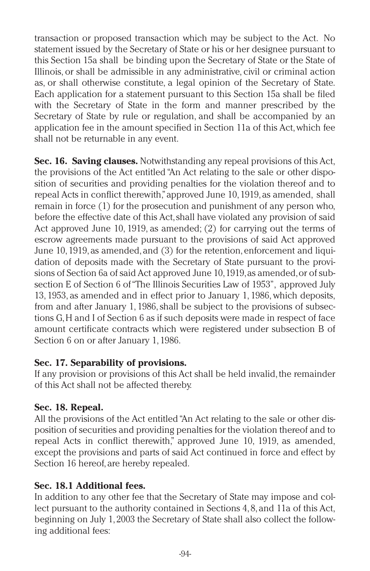transaction or proposed transaction which may be subject to the Act. No statement issued by the Secretary of State or his or her designee pursuant to this Section 15a shall be binding upon the Secretary of State or the State of Illinois, or shall be admissible in any administrative, civil or criminal action as, or shall otherwise constitute, a legal opinion of the Secretary of State. Each application for a statement pursuant to this Section 15a shall be filed with the Secretary of State in the form and manner prescribed by the Secretary of State by rule or regulation, and shall be accompanied by an application fee in the amount specified in Section 11a of this Act,which fee shall not be returnable in any event.

**Sec. 16. Saving clauses.** Notwithstanding any repeal provisions of this Act, the provisions of the Act entitled"An Act relating to the sale or other disposition of securities and providing penalties for the violation thereof and to repeal Acts in conflict therewith,"approved June 10,1919,as amended, shall remain in force (1) for the prosecution and punishment of any person who, before the effective date of this Act,shall have violated any provision of said Act approved June 10, 1919, as amended; (2) for carrying out the terms of escrow agreements made pursuant to the provisions of said Act approved June 10, 1919, as amended, and (3) for the retention, enforcement and liquidation of deposits made with the Secretary of State pursuant to the provisions of Section 6a of said Act approved June 10,1919,as amended,or of subsection E of Section 6 of"The Illinois Securities Law of 1953", approved July 13, 1953, as amended and in effect prior to January 1, 1986, which deposits, from and after January 1, 1986, shall be subject to the provisions of subsections G,H and I of Section 6 as if such deposits were made in respect of face amount certificate contracts which were registered under subsection B of Section 6 on or after January 1, 1986.

## **Sec. 17. Separability of provisions.**

If any provision or provisions of this Act shall be held invalid, the remainder of this Act shall not be affected thereby.

# **Sec. 18. Repeal.**

All the provisions of the Act entitled"An Act relating to the sale or other disposition of securities and providing penalties for the violation thereof and to repeal Acts in conflict therewith," approved June 10, 1919, as amended, except the provisions and parts of said Act continued in force and effect by Section 16 hereof, are hereby repealed.

# **Sec. 18.1 Additional fees.**

In addition to any other fee that the Secretary of State may impose and collect pursuant to the authority contained in Sections 4, 8, and 11a of this Act, beginning on July 1, 2003 the Secretary of State shall also collect the following additional fees: